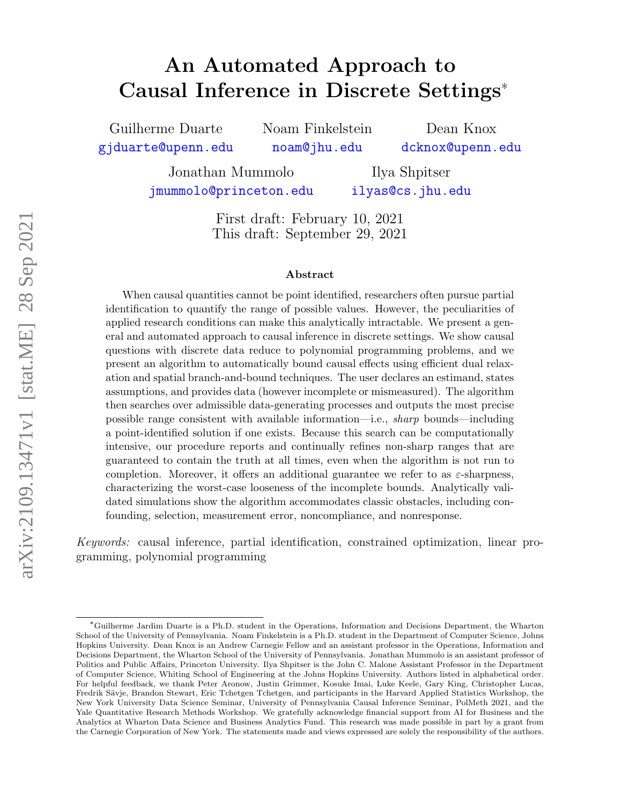# <span id="page-0-0"></span>An Automated Approach to Causal Inference in Discrete Settings<sup>∗</sup>

Guilherme Duarte [gjduarte@upenn.edu](mailto:gjduarte@upenn.edu) Noam Finkelstein [noam@jhu.edu](mailto:noam@jhu.edu)

Dean Knox [dcknox@upenn.edu](mailto:dcknox@upenn.edu)

Jonathan Mummolo [jmummolo@princeton.edu](mailto:jmummolo@princeton.edu)

Ilya Shpitser [ilyas@cs.jhu.edu](mailto:ilyas@cs.jhu.edu)

First draft: February 10, 2021 This draft: September 29, 2021

#### Abstract

When causal quantities cannot be point identified, researchers often pursue partial identification to quantify the range of possible values. However, the peculiarities of applied research conditions can make this analytically intractable. We present a general and automated approach to causal inference in discrete settings. We show causal questions with discrete data reduce to polynomial programming problems, and we present an algorithm to automatically bound causal effects using efficient dual relaxation and spatial branch-and-bound techniques. The user declares an estimand, states assumptions, and provides data (however incomplete or mismeasured). The algorithm then searches over admissible data-generating processes and outputs the most precise possible range consistent with available information—i.e., sharp bounds—including a point-identified solution if one exists. Because this search can be computationally intensive, our procedure reports and continually refines non-sharp ranges that are guaranteed to contain the truth at all times, even when the algorithm is not run to completion. Moreover, it offers an additional guarantee we refer to as  $\varepsilon$ -sharpness, characterizing the worst-case looseness of the incomplete bounds. Analytically validated simulations show the algorithm accommodates classic obstacles, including confounding, selection, measurement error, noncompliance, and nonresponse.

Keywords: causal inference, partial identification, constrained optimization, linear programming, polynomial programming

<sup>∗</sup>Guilherme Jardim Duarte is a Ph.D. student in the Operations, Information and Decisions Department, the Wharton School of the University of Pennsylvania. Noam Finkelstein is a Ph.D. student in the Department of Computer Science, Johns Hopkins University. Dean Knox is an Andrew Carnegie Fellow and an assistant professor in the Operations, Information and Decisions Department, the Wharton School of the University of Pennsylvania. Jonathan Mummolo is an assistant professor of Politics and Public Affairs, Princeton University. Ilya Shpitser is the John C. Malone Assistant Professor in the Department of Computer Science, Whiting School of Engineering at the Johns Hopkins University. Authors listed in alphabetical order. For helpful feedback, we thank Peter Aronow, Justin Grimmer, Kosuke Imai, Luke Keele, Gary King, Christopher Lucas, Fredrik Sävje, Brandon Stewart, Eric Tchetgen Tchetgen, and participants in the Harvard Applied Statistics Workshop, the New York University Data Science Seminar, University of Pennsylvania Causal Inference Seminar, PolMeth 2021, and the Yale Quantitative Research Methods Workshop. We gratefully acknowledge financial support from AI for Business and the Analytics at Wharton Data Science and Business Analytics Fund. This research was made possible in part by a grant from the Carnegie Corporation of New York. The statements made and views expressed are solely the responsibility of the authors.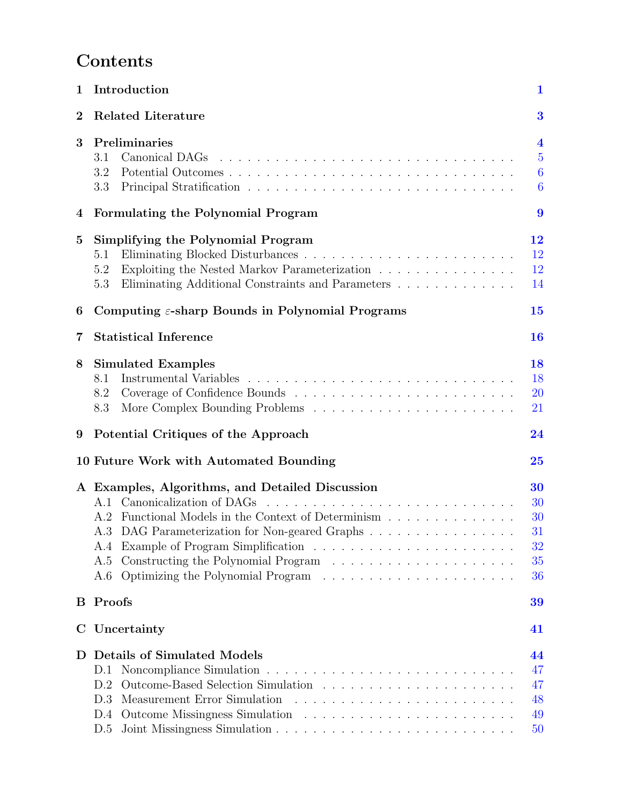# Contents

| $\mathbf{1}$ | Introduction<br>$\mathbf{1}$                                                                                                                                                                                  |                                                                                   |  |  |
|--------------|---------------------------------------------------------------------------------------------------------------------------------------------------------------------------------------------------------------|-----------------------------------------------------------------------------------|--|--|
| $\bf{2}$     | <b>Related Literature</b>                                                                                                                                                                                     |                                                                                   |  |  |
| 3            | Preliminaries<br>3.1<br>Canonical DAGs<br>3.2<br>3.3                                                                                                                                                          | $\overline{\mathbf{4}}$<br>$\overline{5}$<br>$\boldsymbol{6}$<br>$\boldsymbol{6}$ |  |  |
| 4            | Formulating the Polynomial Program                                                                                                                                                                            | 9                                                                                 |  |  |
| 5            | Simplifying the Polynomial Program<br>5.1<br>Exploiting the Nested Markov Parameterization<br>5.2<br>Eliminating Additional Constraints and Parameters<br>5.3                                                 | 12<br>12<br>12<br>14                                                              |  |  |
| 6            | Computing $\varepsilon$ -sharp Bounds in Polynomial Programs<br>15                                                                                                                                            |                                                                                   |  |  |
| 7            | <b>Statistical Inference</b>                                                                                                                                                                                  | 16                                                                                |  |  |
| 8            | <b>Simulated Examples</b><br>8.1<br>8.2<br>8.3                                                                                                                                                                | 18<br>18<br><b>20</b><br>21                                                       |  |  |
| 9            | Potential Critiques of the Approach                                                                                                                                                                           | 24                                                                                |  |  |
|              | 10 Future Work with Automated Bounding                                                                                                                                                                        | 25                                                                                |  |  |
|              | A Examples, Algorithms, and Detailed Discussion<br>A.1 Canonicalization of DAGs<br>A.2 Functional Models in the Context of Determinism<br>A.3 DAG Parameterization for Non-geared Graphs<br>A.4<br>A.5<br>A.6 | 30<br>30<br>30<br>31<br>32<br>35<br>36                                            |  |  |
| Β            | Proofs                                                                                                                                                                                                        | 39                                                                                |  |  |
| Ċ            | Uncertainty                                                                                                                                                                                                   | 41                                                                                |  |  |
| D            | <b>Details of Simulated Models</b><br>D.1<br>D.2<br>D.3<br>D.4<br>D.5                                                                                                                                         | 44<br>47<br>47<br>48<br>49<br>50                                                  |  |  |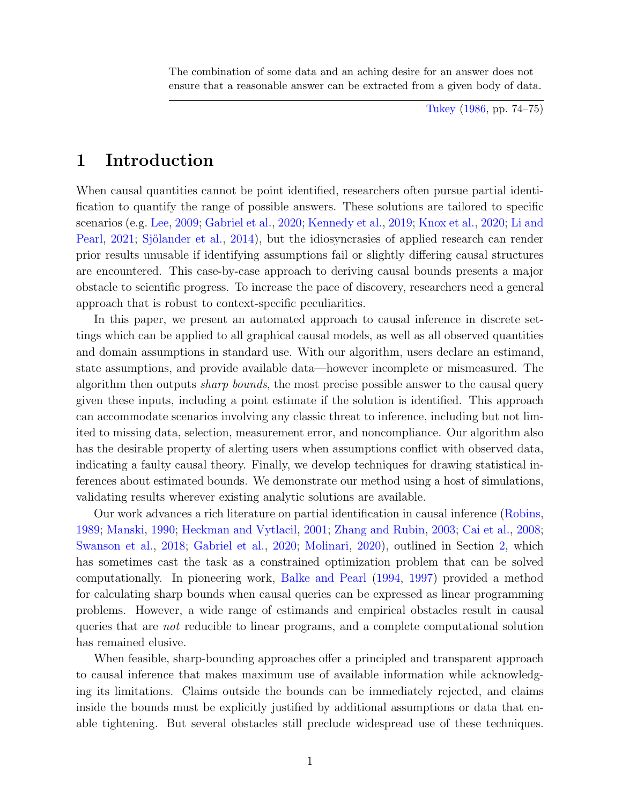The combination of some data and an aching desire for an answer does not ensure that a reasonable answer can be extracted from a given body of data.

[Tukey](#page-30-0) [\(1986,](#page-30-0) pp. 74–75)

# <span id="page-2-0"></span>1 Introduction

When causal quantities cannot be point identified, researchers often pursue partial identification to quantify the range of possible answers. These solutions are tailored to specific scenarios (e.g. [Lee,](#page-28-0) [2009;](#page-28-0) [Gabriel et al.,](#page-28-1) [2020;](#page-28-1) [Kennedy et al.,](#page-28-2) [2019;](#page-28-2) [Knox et al.,](#page-28-3) [2020;](#page-28-3) [Li and](#page-28-4) [Pearl,](#page-28-4) [2021;](#page-28-4) Sjölander et al., [2014\)](#page-29-0), but the idiosyncrasies of applied research can render prior results unusable if identifying assumptions fail or slightly differing causal structures are encountered. This case-by-case approach to deriving causal bounds presents a major obstacle to scientific progress. To increase the pace of discovery, researchers need a general approach that is robust to context-specific peculiarities.

In this paper, we present an automated approach to causal inference in discrete settings which can be applied to all graphical causal models, as well as all observed quantities and domain assumptions in standard use. With our algorithm, users declare an estimand, state assumptions, and provide available data—however incomplete or mismeasured. The algorithm then outputs sharp bounds, the most precise possible answer to the causal query given these inputs, including a point estimate if the solution is identified. This approach can accommodate scenarios involving any classic threat to inference, including but not limited to missing data, selection, measurement error, and noncompliance. Our algorithm also has the desirable property of alerting users when assumptions conflict with observed data, indicating a faulty causal theory. Finally, we develop techniques for drawing statistical inferences about estimated bounds. We demonstrate our method using a host of simulations, validating results wherever existing analytic solutions are available.

Our work advances a rich literature on partial identification in causal inference [\(Robins,](#page-29-1) [1989;](#page-29-1) [Manski,](#page-28-5) [1990;](#page-28-5) [Heckman and Vytlacil,](#page-28-6) [2001;](#page-28-6) [Zhang and Rubin,](#page-30-1) [2003;](#page-30-1) [Cai et al.,](#page-27-0) [2008;](#page-27-0) [Swanson et al.,](#page-29-2) [2018;](#page-29-2) [Gabriel et al.,](#page-28-1) [2020;](#page-28-1) [Molinari,](#page-29-3) [2020\)](#page-29-3), outlined in Section [2,](#page-4-0) which has sometimes cast the task as a constrained optimization problem that can be solved computationally. In pioneering work, [Balke and Pearl](#page-27-1) [\(1994,](#page-27-1) [1997\)](#page-27-2) provided a method for calculating sharp bounds when causal queries can be expressed as linear programming problems. However, a wide range of estimands and empirical obstacles result in causal queries that are not reducible to linear programs, and a complete computational solution has remained elusive.

When feasible, sharp-bounding approaches offer a principled and transparent approach to causal inference that makes maximum use of available information while acknowledging its limitations. Claims outside the bounds can be immediately rejected, and claims inside the bounds must be explicitly justified by additional assumptions or data that enable tightening. But several obstacles still preclude widespread use of these techniques.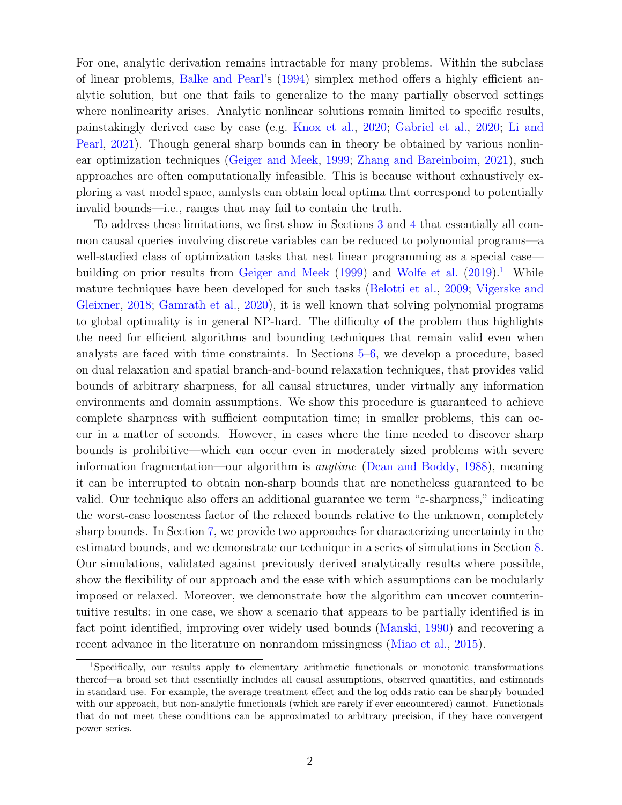For one, analytic derivation remains intractable for many problems. Within the subclass of linear problems, [Balke and Pearl'](#page-27-1)s [\(1994\)](#page-27-1) simplex method offers a highly efficient analytic solution, but one that fails to generalize to the many partially observed settings where nonlinearity arises. Analytic nonlinear solutions remain limited to specific results, painstakingly derived case by case (e.g. [Knox et al.,](#page-28-3) [2020;](#page-28-3) [Gabriel et al.,](#page-28-1) [2020;](#page-28-1) [Li and](#page-28-4) [Pearl,](#page-28-4) [2021\)](#page-28-4). Though general sharp bounds can in theory be obtained by various nonlinear optimization techniques [\(Geiger and Meek,](#page-28-7) [1999;](#page-28-7) [Zhang and Bareinboim,](#page-30-2) [2021\)](#page-30-2), such approaches are often computationally infeasible. This is because without exhaustively exploring a vast model space, analysts can obtain local optima that correspond to potentially invalid bounds—i.e., ranges that may fail to contain the truth.

To address these limitations, we first show in Sections [3](#page-5-0) and [4](#page-10-0) that essentially all common causal queries involving discrete variables can be reduced to polynomial programs—a well-studied class of optimization tasks that nest linear programming as a special case— building on prior results from [Geiger and Meek](#page-28-7)  $(1999)$  and [Wolfe et al.](#page-30-3)  $(2019)^{1}$  $(2019)^{1}$  $(2019)^{1}$  $(2019)^{1}$  While mature techniques have been developed for such tasks [\(Belotti et al.,](#page-27-3) [2009;](#page-27-3) [Vigerske and](#page-30-4) [Gleixner,](#page-30-4) [2018;](#page-30-4) [Gamrath et al.,](#page-28-8) [2020\)](#page-28-8), it is well known that solving polynomial programs to global optimality is in general NP-hard. The difficulty of the problem thus highlights the need for efficient algorithms and bounding techniques that remain valid even when analysts are faced with time constraints. In Sections [5](#page-13-0)[–6,](#page-16-0) we develop a procedure, based on dual relaxation and spatial branch-and-bound relaxation techniques, that provides valid bounds of arbitrary sharpness, for all causal structures, under virtually any information environments and domain assumptions. We show this procedure is guaranteed to achieve complete sharpness with sufficient computation time; in smaller problems, this can occur in a matter of seconds. However, in cases where the time needed to discover sharp bounds is prohibitive—which can occur even in moderately sized problems with severe information fragmentation—our algorithm is anytime [\(Dean and Boddy,](#page-27-4) [1988\)](#page-27-4), meaning it can be interrupted to obtain non-sharp bounds that are nonetheless guaranteed to be valid. Our technique also offers an additional guarantee we term " $\varepsilon$ -sharpness," indicating the worst-case looseness factor of the relaxed bounds relative to the unknown, completely sharp bounds. In Section [7,](#page-17-0) we provide two approaches for characterizing uncertainty in the estimated bounds, and we demonstrate our technique in a series of simulations in Section [8.](#page-19-0) Our simulations, validated against previously derived analytically results where possible, show the flexibility of our approach and the ease with which assumptions can be modularly imposed or relaxed. Moreover, we demonstrate how the algorithm can uncover counterintuitive results: in one case, we show a scenario that appears to be partially identified is in fact point identified, improving over widely used bounds [\(Manski,](#page-28-5) [1990\)](#page-28-5) and recovering a recent advance in the literature on nonrandom missingness [\(Miao et al.,](#page-29-4) [2015\)](#page-29-4).

<sup>1</sup>Specifically, our results apply to elementary arithmetic functionals or monotonic transformations thereof—a broad set that essentially includes all causal assumptions, observed quantities, and estimands in standard use. For example, the average treatment effect and the log odds ratio can be sharply bounded with our approach, but non-analytic functionals (which are rarely if ever encountered) cannot. Functionals that do not meet these conditions can be approximated to arbitrary precision, if they have convergent power series.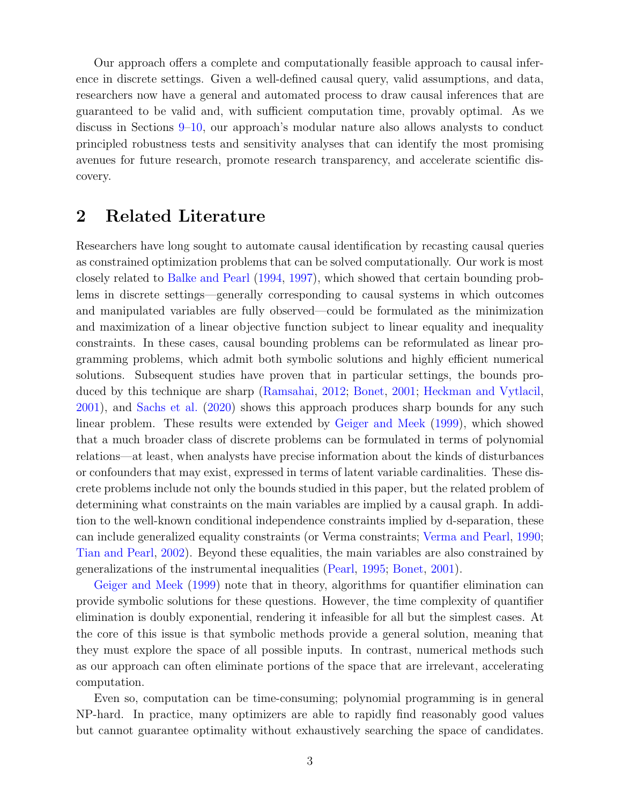Our approach offers a complete and computationally feasible approach to causal inference in discrete settings. Given a well-defined causal query, valid assumptions, and data, researchers now have a general and automated process to draw causal inferences that are guaranteed to be valid and, with sufficient computation time, provably optimal. As we discuss in Sections [9–](#page-25-0)[10,](#page-26-0) our approach's modular nature also allows analysts to conduct principled robustness tests and sensitivity analyses that can identify the most promising avenues for future research, promote research transparency, and accelerate scientific discovery.

# <span id="page-4-0"></span>2 Related Literature

Researchers have long sought to automate causal identification by recasting causal queries as constrained optimization problems that can be solved computationally. Our work is most closely related to [Balke and Pearl](#page-27-1) [\(1994,](#page-27-1) [1997\)](#page-27-2), which showed that certain bounding problems in discrete settings—generally corresponding to causal systems in which outcomes and manipulated variables are fully observed—could be formulated as the minimization and maximization of a linear objective function subject to linear equality and inequality constraints. In these cases, causal bounding problems can be reformulated as linear programming problems, which admit both symbolic solutions and highly efficient numerical solutions. Subsequent studies have proven that in particular settings, the bounds produced by this technique are sharp [\(Ramsahai,](#page-29-5) [2012;](#page-29-5) [Bonet,](#page-27-5) [2001;](#page-27-5) [Heckman and Vytlacil,](#page-28-6) [2001\)](#page-28-6), and [Sachs et al.](#page-29-6) [\(2020\)](#page-29-6) shows this approach produces sharp bounds for any such linear problem. These results were extended by [Geiger and Meek](#page-28-7) [\(1999\)](#page-28-7), which showed that a much broader class of discrete problems can be formulated in terms of polynomial relations—at least, when analysts have precise information about the kinds of disturbances or confounders that may exist, expressed in terms of latent variable cardinalities. These discrete problems include not only the bounds studied in this paper, but the related problem of determining what constraints on the main variables are implied by a causal graph. In addition to the well-known conditional independence constraints implied by d-separation, these can include generalized equality constraints (or Verma constraints; [Verma and Pearl,](#page-30-5) [1990;](#page-30-5) [Tian and Pearl,](#page-30-6) [2002\)](#page-30-6). Beyond these equalities, the main variables are also constrained by generalizations of the instrumental inequalities [\(Pearl,](#page-29-7) [1995;](#page-29-7) [Bonet,](#page-27-5) [2001\)](#page-27-5).

[Geiger and Meek](#page-28-7) [\(1999\)](#page-28-7) note that in theory, algorithms for quantifier elimination can provide symbolic solutions for these questions. However, the time complexity of quantifier elimination is doubly exponential, rendering it infeasible for all but the simplest cases. At the core of this issue is that symbolic methods provide a general solution, meaning that they must explore the space of all possible inputs. In contrast, numerical methods such as our approach can often eliminate portions of the space that are irrelevant, accelerating computation.

Even so, computation can be time-consuming; polynomial programming is in general NP-hard. In practice, many optimizers are able to rapidly find reasonably good values but cannot guarantee optimality without exhaustively searching the space of candidates.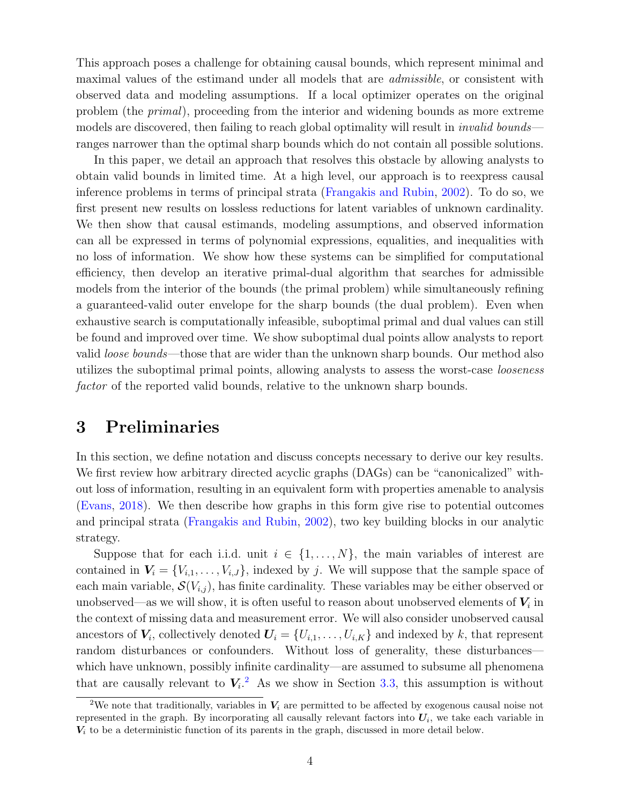This approach poses a challenge for obtaining causal bounds, which represent minimal and maximal values of the estimand under all models that are admissible, or consistent with observed data and modeling assumptions. If a local optimizer operates on the original problem (the primal), proceeding from the interior and widening bounds as more extreme models are discovered, then failing to reach global optimality will result in *invalid bounds* ranges narrower than the optimal sharp bounds which do not contain all possible solutions.

In this paper, we detail an approach that resolves this obstacle by allowing analysts to obtain valid bounds in limited time. At a high level, our approach is to reexpress causal inference problems in terms of principal strata [\(Frangakis and Rubin,](#page-28-9) [2002\)](#page-28-9). To do so, we first present new results on lossless reductions for latent variables of unknown cardinality. We then show that causal estimands, modeling assumptions, and observed information can all be expressed in terms of polynomial expressions, equalities, and inequalities with no loss of information. We show how these systems can be simplified for computational efficiency, then develop an iterative primal-dual algorithm that searches for admissible models from the interior of the bounds (the primal problem) while simultaneously refining a guaranteed-valid outer envelope for the sharp bounds (the dual problem). Even when exhaustive search is computationally infeasible, suboptimal primal and dual values can still be found and improved over time. We show suboptimal dual points allow analysts to report valid *loose bounds*—those that are wider than the unknown sharp bounds. Our method also utilizes the suboptimal primal points, allowing analysts to assess the worst-case looseness factor of the reported valid bounds, relative to the unknown sharp bounds.

# <span id="page-5-0"></span>3 Preliminaries

In this section, we define notation and discuss concepts necessary to derive our key results. We first review how arbitrary directed acyclic graphs (DAGs) can be "canonicalized" without loss of information, resulting in an equivalent form with properties amenable to analysis [\(Evans,](#page-27-6) [2018\)](#page-27-6). We then describe how graphs in this form give rise to potential outcomes and principal strata [\(Frangakis and Rubin,](#page-28-9) [2002\)](#page-28-9), two key building blocks in our analytic strategy.

Suppose that for each i.i.d. unit  $i \in \{1, \ldots, N\}$ , the main variables of interest are contained in  $V_i = \{V_{i,1}, \ldots, V_{i,J}\}\$ , indexed by j. We will suppose that the sample space of each main variable,  $\mathcal{S}(V_{i,j})$ , has finite cardinality. These variables may be either observed or unobserved—as we will show, it is often useful to reason about unobserved elements of  $V_i$  in the context of missing data and measurement error. We will also consider unobserved causal ancestors of  $V_i$ , collectively denoted  $U_i = \{U_{i,1}, \ldots, U_{i,K}\}\$  and indexed by k, that represent random disturbances or confounders. Without loss of generality, these disturbances which have unknown, possibly infinite cardinality—are assumed to subsume all phenomena that are causally relevant to  $V_i^2$  $V_i^2$ . As we show in Section [3.3,](#page-7-1) this assumption is without

<sup>&</sup>lt;sup>2</sup>We note that traditionally, variables in  $V_i$  are permitted to be affected by exogenous causal noise not represented in the graph. By incorporating all causally relevant factors into  $U_i$ , we take each variable in  $V_i$  to be a deterministic function of its parents in the graph, discussed in more detail below.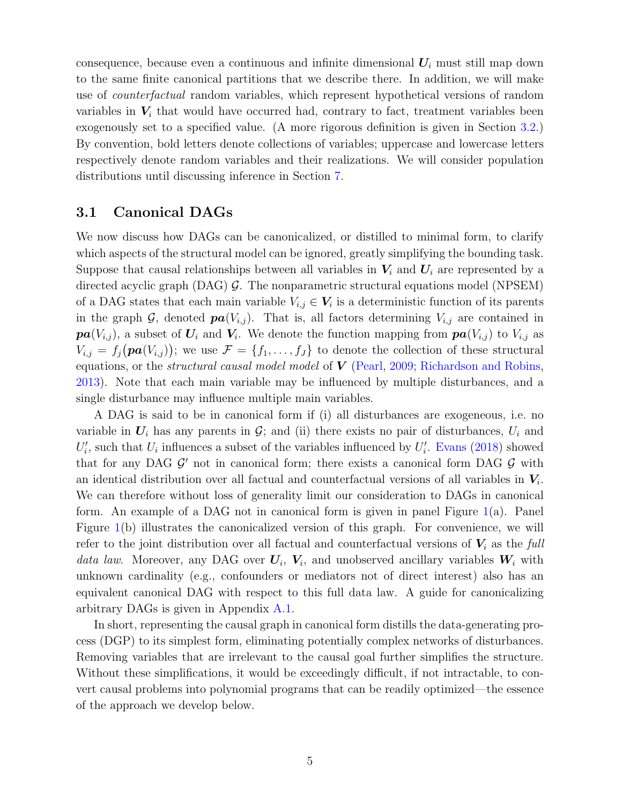consequence, because even a continuous and infinite dimensional  $U_i$  must still map down to the same finite canonical partitions that we describe there. In addition, we will make use of *counterfactual* random variables, which represent hypothetical versions of random variables in  $V_i$  that would have occurred had, contrary to fact, treatment variables been exogenously set to a specified value. (A more rigorous definition is given in Section [3.2.](#page-7-0)) By convention, bold letters denote collections of variables; uppercase and lowercase letters respectively denote random variables and their realizations. We will consider population distributions until discussing inference in Section [7.](#page-17-0)

#### <span id="page-6-0"></span>3.1 Canonical DAGs

We now discuss how DAGs can be canonicalized, or distilled to minimal form, to clarify which aspects of the structural model can be ignored, greatly simplifying the bounding task. Suppose that causal relationships between all variables in  $V_i$  and  $U_i$  are represented by a directed acyclic graph  $(DAG)$  G. The nonparametric structural equations model (NPSEM) of a DAG states that each main variable  $V_{i,j} \in V_i$  is a deterministic function of its parents in the graph G, denoted  $\boldsymbol{pa}(V_{i,j})$ . That is, all factors determining  $V_{i,j}$  are contained in  $\boldsymbol{pa}(V_{i,j})$ , a subset of  $\boldsymbol{U}_i$  and  $\boldsymbol{V}_i$ . We denote the function mapping from  $\boldsymbol{pa}(V_{i,j})$  to  $V_{i,j}$  as  $V_{i,j} = f_j(\boldsymbol{pa}(V_{i,j}))$ ; we use  $\mathcal{F} = \{f_1, \ldots, f_J\}$  to denote the collection of these structural equations, or the *structural causal model model* of  $V$  [\(Pearl,](#page-29-8) [2009;](#page-29-8) [Richardson and Robins,](#page-29-9) [2013\)](#page-29-9). Note that each main variable may be influenced by multiple disturbances, and a single disturbance may influence multiple main variables.

A DAG is said to be in canonical form if (i) all disturbances are exogeneous, i.e. no variable in  $U_i$  has any parents in  $\mathcal{G}$ ; and (ii) there exists no pair of disturbances,  $U_i$  and  $U_i'$ , such that  $U_i$  influences a subset of the variables influenced by  $U_i'$ . [Evans](#page-27-6) [\(2018\)](#page-27-6) showed that for any DAG  $\mathcal{G}'$  not in canonical form; there exists a canonical form DAG  $\mathcal{G}$  with an identical distribution over all factual and counterfactual versions of all variables in  $V_i$ . We can therefore without loss of generality limit our consideration to DAGs in canonical form. An example of a DAG not in canonical form is given in panel Figure [1\(](#page-7-2)a). Panel Figure [1\(](#page-7-2)b) illustrates the canonicalized version of this graph. For convenience, we will refer to the joint distribution over all factual and counterfactual versions of  $V_i$  as the full data law. Moreover, any DAG over  $U_i$ ,  $V_i$ , and unobserved ancillary variables  $W_i$  with unknown cardinality (e.g., confounders or mediators not of direct interest) also has an equivalent canonical DAG with respect to this full data law. A guide for canonicalizing arbitrary DAGs is given in Appendix [A.1.](#page-31-1)

In short, representing the causal graph in canonical form distills the data-generating process (DGP) to its simplest form, eliminating potentially complex networks of disturbances. Removing variables that are irrelevant to the causal goal further simplifies the structure. Without these simplifications, it would be exceedingly difficult, if not intractable, to convert causal problems into polynomial programs that can be readily optimized—the essence of the approach we develop below.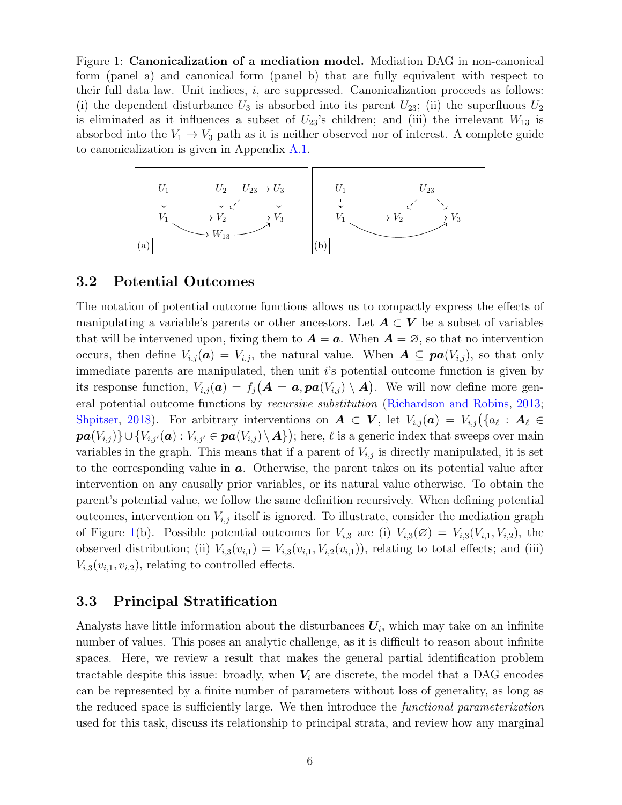<span id="page-7-2"></span>Figure 1: Canonicalization of a mediation model. Mediation DAG in non-canonical form (panel a) and canonical form (panel b) that are fully equivalent with respect to their full data law. Unit indices, i, are suppressed. Canonicalization proceeds as follows: (i) the dependent disturbance  $U_3$  is absorbed into its parent  $U_{23}$ ; (ii) the superfluous  $U_2$ is eliminated as it influences a subset of  $U_{23}$ 's children; and (iii) the irrelevant  $W_{13}$  is absorbed into the  $V_1 \rightarrow V_3$  path as it is neither observed nor of interest. A complete guide to canonicalization is given in Appendix [A.1.](#page-31-1)



### <span id="page-7-0"></span>3.2 Potential Outcomes

The notation of potential outcome functions allows us to compactly express the effects of manipulating a variable's parents or other ancestors. Let  $A \subset V$  be a subset of variables that will be intervened upon, fixing them to  $A = a$ . When  $A = \emptyset$ , so that no intervention occurs, then define  $V_{i,j}(\boldsymbol{a}) = V_{i,j}$ , the natural value. When  $\boldsymbol{A} \subseteq \boldsymbol{pa}(V_{i,j})$ , so that only immediate parents are manipulated, then unit  $i$ 's potential outcome function is given by its response function,  $V_{i,j}(\boldsymbol{a}) = f_j(\boldsymbol{A} = \boldsymbol{a}, \boldsymbol{pa}(V_{i,j}) \setminus \boldsymbol{A})$ . We will now define more general potential outcome functions by recursive substitution [\(Richardson and Robins,](#page-29-9) [2013;](#page-29-9) [Shpitser,](#page-29-10) [2018\)](#page-29-10). For arbitrary interventions on  $\mathbf{A} \subset \mathbf{V}$ , let  $V_{i,j}(\mathbf{a}) = V_{i,j}(\{a_\ell : \mathbf{A}_\ell \in \mathbf{V}\})$  $\textbf{\textit{pa}}(V_{i,j})\}\cup \{V_{i,j'}(\textbf{\textit{a}}): V_{i,j'}\in \textbf{\textit{pa}}(V_{i,j})\setminus \textbf{\textit{A}}\})$ ; here,  $\ell$  is a generic index that sweeps over main variables in the graph. This means that if a parent of  $V_{i,j}$  is directly manipulated, it is set to the corresponding value in  $a$ . Otherwise, the parent takes on its potential value after intervention on any causally prior variables, or its natural value otherwise. To obtain the parent's potential value, we follow the same definition recursively. When defining potential outcomes, intervention on  $V_{i,j}$  itself is ignored. To illustrate, consider the mediation graph of Figure [1\(](#page-7-2)b). Possible potential outcomes for  $V_{i,3}$  are (i)  $V_{i,3}(\emptyset) = V_{i,3}(V_{i,1}, V_{i,2})$ , the observed distribution; (ii)  $V_{i,3}(v_{i,1}) = V_{i,3}(v_{i,1}, V_{i,2}(v_{i,1}))$ , relating to total effects; and (iii)  $V_{i,3}(v_{i,1}, v_{i,2})$ , relating to controlled effects.

### <span id="page-7-1"></span>3.3 Principal Stratification

Analysts have little information about the disturbances  $U_i$ , which may take on an infinite number of values. This poses an analytic challenge, as it is difficult to reason about infinite spaces. Here, we review a result that makes the general partial identification problem tractable despite this issue: broadly, when  $V_i$  are discrete, the model that a DAG encodes can be represented by a finite number of parameters without loss of generality, as long as the reduced space is sufficiently large. We then introduce the functional parameterization used for this task, discuss its relationship to principal strata, and review how any marginal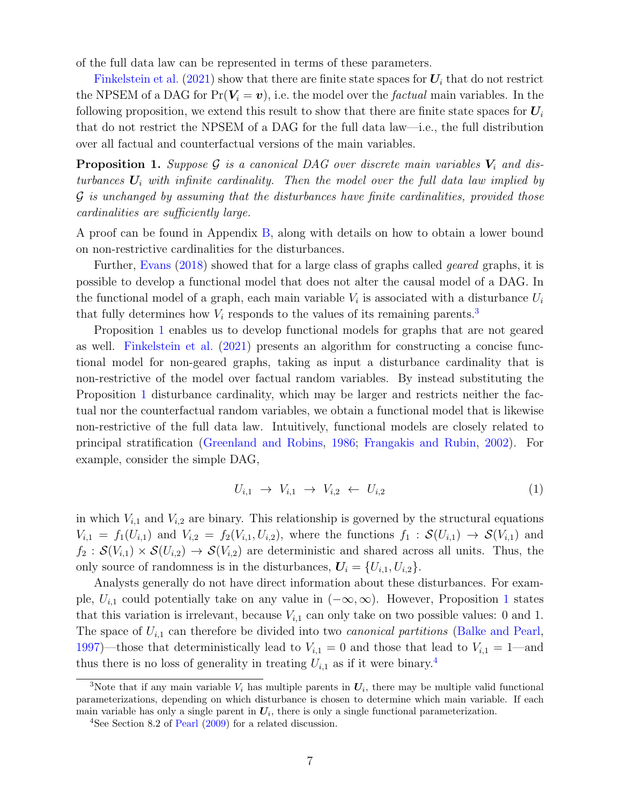of the full data law can be represented in terms of these parameters.

[Finkelstein et al.](#page-28-10) [\(2021\)](#page-28-10) show that there are finite state spaces for  $U_i$  that do not restrict the NPSEM of a DAG for  $Pr(V_i = v)$ , i.e. the model over the *factual* main variables. In the following proposition, we extend this result to show that there are finite state spaces for  $U_i$ that do not restrict the NPSEM of a DAG for the full data law—i.e., the full distribution over all factual and counterfactual versions of the main variables.

<span id="page-8-0"></span>**Proposition 1.** Suppose G is a canonical DAG over discrete main variables  $V_i$  and disturbances  $U_i$  with infinite cardinality. Then the model over the full data law implied by G is unchanged by assuming that the disturbances have finite cardinalities, provided those cardinalities are sufficiently large.

A proof can be found in Appendix [B,](#page-40-0) along with details on how to obtain a lower bound on non-restrictive cardinalities for the disturbances.

Further, [Evans](#page-27-6) [\(2018\)](#page-27-6) showed that for a large class of graphs called geared graphs, it is possible to develop a functional model that does not alter the causal model of a DAG. In the functional model of a graph, each main variable  $V_i$  is associated with a disturbance  $U_i$ that fully determines how  $V_i$  responds to the values of its remaining parents.<sup>[3](#page-0-0)</sup>

Proposition [1](#page-8-0) enables us to develop functional models for graphs that are not geared as well. [Finkelstein et al.](#page-28-10) [\(2021\)](#page-28-10) presents an algorithm for constructing a concise functional model for non-geared graphs, taking as input a disturbance cardinality that is non-restrictive of the model over factual random variables. By instead substituting the Proposition [1](#page-8-0) disturbance cardinality, which may be larger and restricts neither the factual nor the counterfactual random variables, we obtain a functional model that is likewise non-restrictive of the full data law. Intuitively, functional models are closely related to principal stratification [\(Greenland and Robins,](#page-28-11) [1986;](#page-28-11) [Frangakis and Rubin,](#page-28-9) [2002\)](#page-28-9). For example, consider the simple DAG,

<span id="page-8-1"></span>
$$
U_{i,1} \rightarrow V_{i,1} \rightarrow V_{i,2} \leftarrow U_{i,2} \tag{1}
$$

in which  $V_{i,1}$  and  $V_{i,2}$  are binary. This relationship is governed by the structural equations  $V_{i,1} = f_1(U_{i,1})$  and  $V_{i,2} = f_2(V_{i,1}, U_{i,2}),$  where the functions  $f_1 : \mathcal{S}(U_{i,1}) \to \mathcal{S}(V_{i,1})$  and  $f_2 : \mathcal{S}(V_{i,1}) \times \mathcal{S}(U_{i,2}) \to \mathcal{S}(V_{i,2})$  are deterministic and shared across all units. Thus, the only source of randomness is in the disturbances,  $U_i = \{U_{i,1}, U_{i,2}\}.$ 

Analysts generally do not have direct information about these disturbances. For example,  $U_{i,1}$  $U_{i,1}$  $U_{i,1}$  could potentially take on any value in  $(-\infty,\infty)$ . However, Proposition 1 states that this variation is irrelevant, because  $V_{i,1}$  can only take on two possible values: 0 and 1. The space of  $U_{i,1}$  can therefore be divided into two *canonical partitions* [\(Balke and Pearl,](#page-27-2) [1997\)](#page-27-2)—those that deterministically lead to  $V_{i,1} = 0$  and those that lead to  $V_{i,1} = 1$ —and thus there is no loss of generality in treating  $U_{i,1}$  as if it were binary.<sup>[4](#page-0-0)</sup>

<sup>&</sup>lt;sup>3</sup>Note that if any main variable  $V_i$  has multiple parents in  $U_i$ , there may be multiple valid functional parameterizations, depending on which disturbance is chosen to determine which main variable. If each main variable has only a single parent in  $U_i$ , there is only a single functional parameterization.

<sup>&</sup>lt;sup>4</sup>See Section 8.2 of [Pearl](#page-29-8) [\(2009\)](#page-29-8) for a related discussion.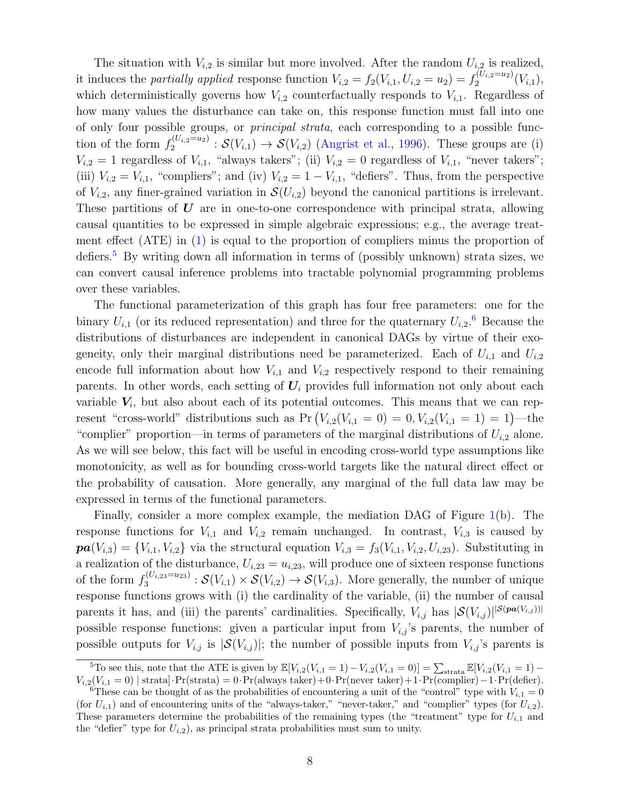The situation with  $V_{i,2}$  is similar but more involved. After the random  $U_{i,2}$  is realized, it induces the *partially applied* response function  $V_{i,2} = f_2(V_{i,1}, U_{i,2} = u_2) = f_2^{(U_{i,2} = u_2)}$  $2^{(U_{i,2}=u_2)}(V_{i,1}),$ which deterministically governs how  $V_{i,2}$  counterfactually responds to  $V_{i,1}$ . Regardless of how many values the disturbance can take on, this response function must fall into one of only four possible groups, or principal strata, each corresponding to a possible function of the form  $f_2^{(U_{i,2}=u_2)}$  $2^{(U_{i,2}=u_2)}$ :  $\mathcal{S}(V_{i,1}) \to \mathcal{S}(V_{i,2})$  [\(Angrist et al.,](#page-27-7) [1996\)](#page-27-7). These groups are (i)  $V_{i,2} = 1$  regardless of  $V_{i,1}$ , "always takers"; (ii)  $V_{i,2} = 0$  regardless of  $V_{i,1}$ , "never takers"; (iii)  $V_{i,2} = V_{i,1}$ , "compliers"; and (iv)  $V_{i,2} = 1 - V_{i,1}$ , "defiers". Thus, from the perspective of  $V_{i,2}$ , any finer-grained variation in  $\mathcal{S}(U_{i,2})$  beyond the canonical partitions is irrelevant. These partitions of  $\bf{U}$  are in one-to-one correspondence with principal strata, allowing causal quantities to be expressed in simple algebraic expressions; e.g., the average treatment effect (ATE) in [\(1\)](#page-8-1) is equal to the proportion of compliers minus the proportion of defiers.<sup>[5](#page-0-0)</sup> By writing down all information in terms of (possibly unknown) strata sizes, we can convert causal inference problems into tractable polynomial programming problems over these variables.

The functional parameterization of this graph has four free parameters: one for the binary  $U_{i,1}$  (or its reduced representation) and three for the quaternary  $U_{i,2}$ .<sup>[6](#page-0-0)</sup> Because the distributions of disturbances are independent in canonical DAGs by virtue of their exogeneity, only their marginal distributions need be parameterized. Each of  $U_{i,1}$  and  $U_{i,2}$ encode full information about how  $V_{i,1}$  and  $V_{i,2}$  respectively respond to their remaining parents. In other words, each setting of  $U_i$  provides full information not only about each variable  $V_i$ , but also about each of its potential outcomes. This means that we can represent "cross-world" distributions such as  $Pr(V_{i,2}(V_{i,1}=0)=0, V_{i,2}(V_{i,1}=1)=1)$ —the "complier" proportion—in terms of parameters of the marginal distributions of  $U_{i,2}$  alone. As we will see below, this fact will be useful in encoding cross-world type assumptions like monotonicity, as well as for bounding cross-world targets like the natural direct effect or the probability of causation. More generally, any marginal of the full data law may be expressed in terms of the functional parameters.

Finally, consider a more complex example, the mediation DAG of Figure [1\(](#page-7-2)b). The response functions for  $V_{i,1}$  and  $V_{i,2}$  remain unchanged. In contrast,  $V_{i,3}$  is caused by  $\textbf{pa}(V_{i,3}) = \{V_{i,1}, V_{i,2}\}\$  via the structural equation  $V_{i,3} = f_3(V_{i,1}, V_{i,2}, U_{i,23})$ . Substituting in a realization of the disturbance,  $U_{i,23} = u_{i,23}$ , will produce one of sixteen response functions of the form  $f_3^{(U_{i,23}=u_{23})}$  $S^{(U_i,23=u_{23})}_{3}$ :  $\mathcal{S}(V_{i,1})\times \mathcal{S}(V_{i,2})\to \mathcal{S}(V_{i,3})$ . More generally, the number of unique response functions grows with (i) the cardinality of the variable, (ii) the number of causal parents it has, and (iii) the parents' cardinalities. Specifically,  $V_{i,j}$  has  $|S(V_{i,j})|^{|S(\textit{pa}(V_{i,j}))|}$ possible response functions: given a particular input from  $V_{i,j}$ 's parents, the number of possible outputs for  $V_{i,j}$  is  $|\mathcal{S}(V_{i,j})|$ ; the number of possible inputs from  $V_{i,j}$ 's parents is

<sup>&</sup>lt;sup>5</sup>To see this, note that the ATE is given by  $\mathbb{E}[V_{i,2}(V_{i,1} = 1) - V_{i,2}(V_{i,1} = 0)] = \sum_{\text{strata}} \mathbb{E}[V_{i,2}(V_{i,1} = 1) - V_{i,2}(V_{i,1} = 0)]$  $V_{i,2}(V_{i,1}=0)$  | strata]·Pr(strata) = 0·Pr(always taker)+0·Pr(never taker)+1·Pr(complier)-1·Pr(defier).

<sup>&</sup>lt;sup>6</sup>These can be thought of as the probabilities of encountering a unit of the "control" type with  $V_{i,1} = 0$ (for  $U_{i,1}$ ) and of encountering units of the "always-taker," "never-taker," and "complier" types (for  $U_{i,2}$ ). These parameters determine the probabilities of the remaining types (the "treatment" type for  $U_{i,1}$  and the "defier" type for  $U_{i,2}$ ), as principal strata probabilities must sum to unity.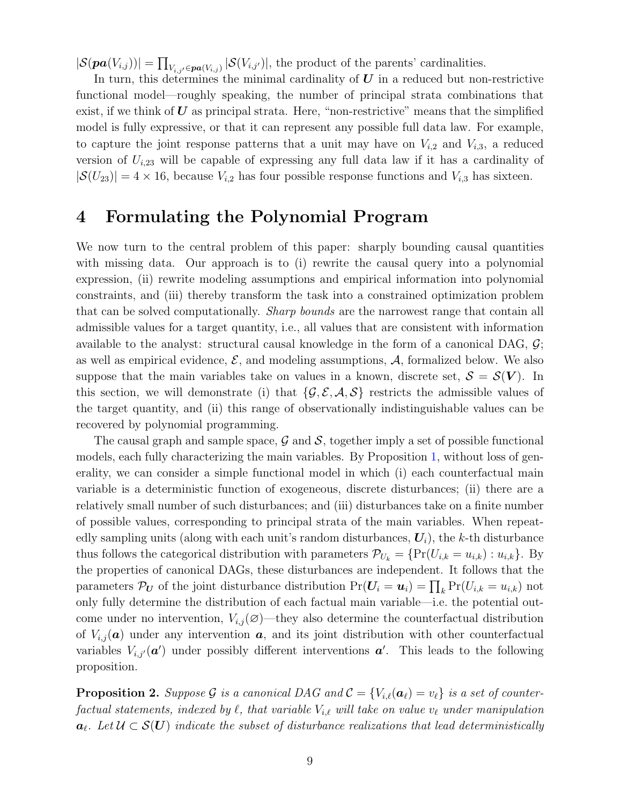$|\mathcal{S}(pa(V_{i,j}))| = \prod_{V_{i,j'} \in pa(V_{i,j})} |\mathcal{S}(V_{i,j'})|$ , the product of the parents' cardinalities.

In turn, this determines the minimal cardinality of  $U$  in a reduced but non-restrictive functional model—roughly speaking, the number of principal strata combinations that exist, if we think of  $U$  as principal strata. Here, "non-restrictive" means that the simplified model is fully expressive, or that it can represent any possible full data law. For example, to capture the joint response patterns that a unit may have on  $V_{i,2}$  and  $V_{i,3}$ , a reduced version of  $U_{i,23}$  will be capable of expressing any full data law if it has a cardinality of  $|\mathcal{S}(U_{23})| = 4 \times 16$ , because  $V_{i,2}$  has four possible response functions and  $V_{i,3}$  has sixteen.

# <span id="page-10-0"></span>4 Formulating the Polynomial Program

We now turn to the central problem of this paper: sharply bounding causal quantities with missing data. Our approach is to (i) rewrite the causal query into a polynomial expression, (ii) rewrite modeling assumptions and empirical information into polynomial constraints, and (iii) thereby transform the task into a constrained optimization problem that can be solved computationally. *Sharp bounds* are the narrowest range that contain all admissible values for a target quantity, i.e., all values that are consistent with information available to the analyst: structural causal knowledge in the form of a canonical DAG,  $\mathcal{G}$ ; as well as empirical evidence,  $\mathcal{E}$ , and modeling assumptions,  $\mathcal{A}$ , formalized below. We also suppose that the main variables take on values in a known, discrete set,  $S = S(V)$ . In this section, we will demonstrate (i) that  $\{\mathcal{G}, \mathcal{E}, \mathcal{A}, \mathcal{S}\}\$  restricts the admissible values of the target quantity, and (ii) this range of observationally indistinguishable values can be recovered by polynomial programming.

The causal graph and sample space,  $\mathcal G$  and  $\mathcal S$ , together imply a set of possible functional models, each fully characterizing the main variables. By Proposition [1,](#page-8-0) without loss of generality, we can consider a simple functional model in which (i) each counterfactual main variable is a deterministic function of exogeneous, discrete disturbances; (ii) there are a relatively small number of such disturbances; and (iii) disturbances take on a finite number of possible values, corresponding to principal strata of the main variables. When repeatedly sampling units (along with each unit's random disturbances,  $U_i$ ), the k-th disturbance thus follows the categorical distribution with parameters  $\mathcal{P}_{U_k} = \{ \Pr(U_{i,k} = u_{i,k}) : u_{i,k} \}$ . By the properties of canonical DAGs, these disturbances are independent. It follows that the parameters  $\mathcal{P}_{U}$  of the joint disturbance distribution  $Pr(U_i = u_i) = \prod_k Pr(U_{i,k} = u_{i,k})$  not only fully determine the distribution of each factual main variable—i.e. the potential outcome under no intervention,  $V_{i,j}(\emptyset)$ —they also determine the counterfactual distribution of  $V_{i,j}(\boldsymbol{a})$  under any intervention  $\boldsymbol{a}$ , and its joint distribution with other counterfactual variables  $V_{i,j'}(\boldsymbol{a}')$  under possibly different interventions  $\boldsymbol{a}'$ . This leads to the following proposition.

<span id="page-10-1"></span>**Proposition 2.** Suppose G is a canonical DAG and  $\mathcal{C} = \{V_{i,\ell}(\boldsymbol{a}_{\ell}) = v_{\ell}\}\$ is a set of counterfactual statements, indexed by  $\ell$ , that variable  $V_{i,\ell}$  will take on value  $v_{\ell}$  under manipulation  $a_{\ell}$ . Let  $\mathcal{U} \subset \mathcal{S}(U)$  indicate the subset of disturbance realizations that lead deterministically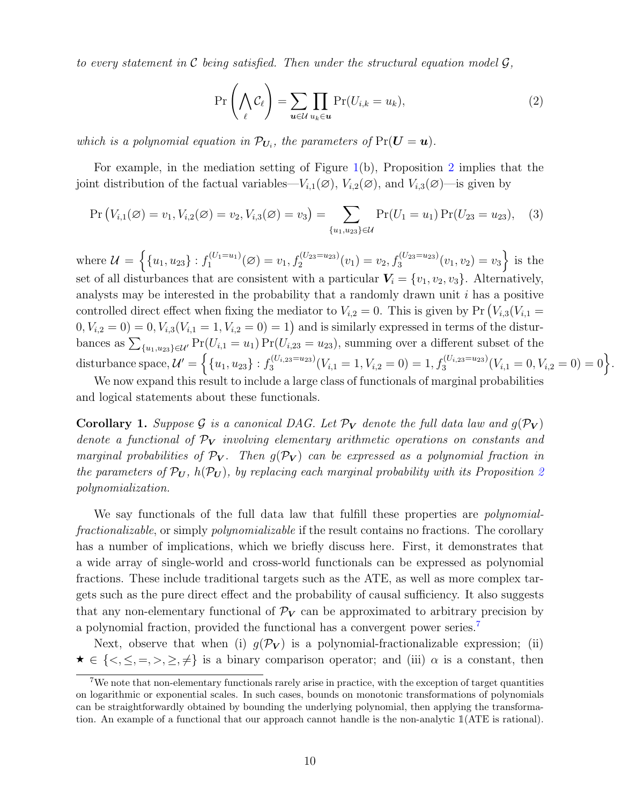to every statement in C being satisfied. Then under the structural equation model  $\mathcal{G},$ 

<span id="page-11-1"></span>
$$
\Pr\left(\bigwedge_{\ell} \mathcal{C}_{\ell}\right) = \sum_{\mathbf{u}\in\mathcal{U}} \prod_{u_k \in \mathbf{u}} \Pr(U_{i,k} = u_k),\tag{2}
$$

which is a polynomial equation in  $\mathcal{P}_{U_i}$ , the parameters of  $Pr(U = u)$ .

For example, in the mediation setting of Figure [1\(](#page-7-2)b), Proposition [2](#page-10-1) implies that the joint distribution of the factual variables— $V_{i,1}(\emptyset)$ ,  $V_{i,2}(\emptyset)$ , and  $V_{i,3}(\emptyset)$ —is given by

$$
\Pr\left(V_{i,1}(\varnothing) = v_1, V_{i,2}(\varnothing) = v_2, V_{i,3}(\varnothing) = v_3\right) = \sum_{\{u_1, u_2, u_3\} \in \mathcal{U}} \Pr(U_1 = u_1) \Pr(U_{23} = u_{23}), \quad (3)
$$

where  $\mathcal{U} = \left\{ \{u_1, u_{23}\} : f_1^{(U_1=u_1)} \right\}$  $C_1^{(U_1=u_1)}(\emptyset) = v_1, f_2^{(U_{23}=u_{23})}(v_1) = v_2, f_3^{(U_{23}=u_{23})}(v_1, v_2) = v_3$  is the set of all disturbances that are consistent with a particular  $V_i = \{v_1, v_2, v_3\}$ . Alternatively, analysts may be interested in the probability that a randomly drawn unit  $i$  has a positive controlled direct effect when fixing the mediator to  $V_{i,2} = 0$ . This is given by Pr  $(V_{i,3}(V_{i,1} =$  $(0, V_{i,2} = 0) = 0, V_{i,3}(V_{i,1} = 1, V_{i,2} = 0) = 1)$  and is similarly expressed in terms of the disturbances as  $\sum_{\{u_1, u_2\} \in \mathcal{U}'} \Pr(U_{i,1} = u_1) \Pr(U_{i,23} = u_{23})$ , summing over a different subset of the disturbance space,  $\mathcal{U}' = \left\{ \{u_1, u_{23}\} : f_3^{(U_{i,23}=u_{23})} \right\}$  $S_3^{(U_{i,23}=u_{23})}(V_{i,1}=1, V_{i,2}=0) = 1, f_3^{(U_{i,23}=u_{23})}(V_{i,1}=0, V_{i,2}=0) = 0$ .

We now expand this result to include a large class of functionals of marginal probabilities and logical statements about these functionals.

<span id="page-11-0"></span>**Corollary 1.** Suppose G is a canonical DAG. Let  $\mathcal{P}_V$  denote the full data law and  $g(\mathcal{P}_V)$ denote a functional of  $\mathcal{P}_V$  involving elementary arithmetic operations on constants and marginal probabilities of  $\mathcal{P}_V$ . Then  $g(\mathcal{P}_V)$  can be expressed as a polynomial fraction in the parameters of  $\mathcal{P}_U$ ,  $h(\mathcal{P}_U)$ , by replacing each marginal probability with its Proposition [2](#page-10-1) polynomialization.

We say functionals of the full data law that fulfill these properties are *polynomial*fractionalizable, or simply polynomializable if the result contains no fractions. The corollary has a number of implications, which we briefly discuss here. First, it demonstrates that a wide array of single-world and cross-world functionals can be expressed as polynomial fractions. These include traditional targets such as the ATE, as well as more complex targets such as the pure direct effect and the probability of causal sufficiency. It also suggests that any non-elementary functional of  $\mathcal{P}_V$  can be approximated to arbitrary precision by a polynomial fraction, provided the functional has a convergent power series.[7](#page-0-0)

Next, observe that when (i)  $q(\mathcal{P}_{V})$  is a polynomial-fractionalizable expression; (ii)  $\star \in \{<,\leq,=,>,\geq,\neq\}$  is a binary comparison operator; and (iii)  $\alpha$  is a constant, then

<sup>7</sup>We note that non-elementary functionals rarely arise in practice, with the exception of target quantities on logarithmic or exponential scales. In such cases, bounds on monotonic transformations of polynomials can be straightforwardly obtained by bounding the underlying polynomial, then applying the transformation. An example of a functional that our approach cannot handle is the non-analytic 1(ATE is rational).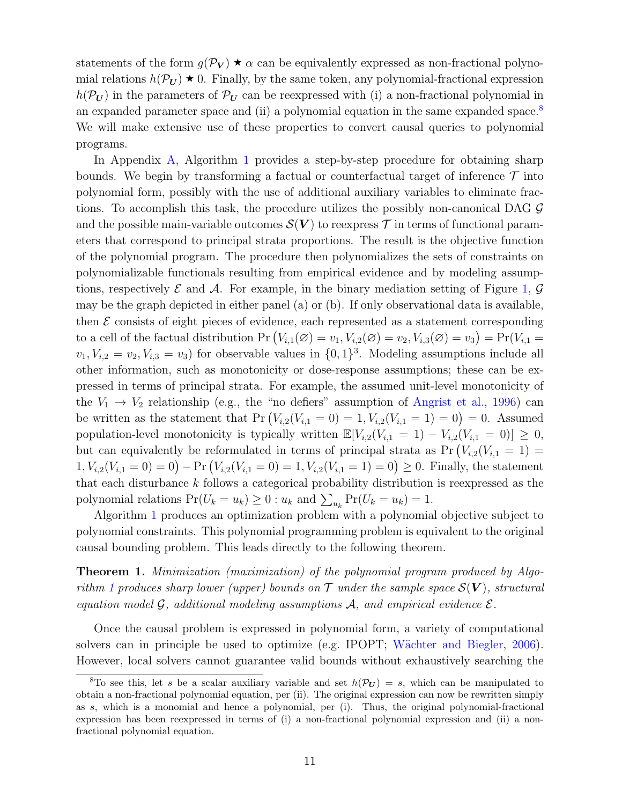statements of the form  $g(\mathcal{P}_V) \star \alpha$  can be equivalently expressed as non-fractional polynomial relations  $h(\mathcal{P}_U) \star 0$ . Finally, by the same token, any polynomial-fractional expression  $h(\mathcal{P}_U)$  in the parameters of  $\mathcal{P}_U$  can be reexpressed with (i) a non-fractional polynomial in an expanded parameter space and (ii) a polynomial equation in the same expanded space.<sup>[8](#page-0-0)</sup> We will make extensive use of these properties to convert causal queries to polynomial programs.

In Appendix [A,](#page-31-0) Algorithm [1](#page-37-1) provides a step-by-step procedure for obtaining sharp bounds. We begin by transforming a factual or counterfactual target of inference  $\mathcal T$  into polynomial form, possibly with the use of additional auxiliary variables to eliminate fractions. To accomplish this task, the procedure utilizes the possibly non-canonical DAG  $\mathcal G$ and the possible main-variable outcomes  $\mathcal{S}(V)$  to reexpress  $\mathcal T$  in terms of functional parameters that correspond to principal strata proportions. The result is the objective function of the polynomial program. The procedure then polynomializes the sets of constraints on polynomializable functionals resulting from empirical evidence and by modeling assumptions, respectively  $\mathcal E$  and  $\mathcal A$ . For example, in the binary mediation setting of Figure [1,](#page-7-2)  $\mathcal G$ may be the graph depicted in either panel (a) or (b). If only observational data is available, then  $\mathcal E$  consists of eight pieces of evidence, each represented as a statement corresponding to a cell of the factual distribution Pr  $(V_{i,1}(\varnothing) = v_1, V_{i,2}(\varnothing) = v_2, V_{i,3}(\varnothing) = v_3) = Pr(V_{i,1} = v_1, V_{i,2}(\varnothing) = v_2)$  $v_1, V_{i,2} = v_2, V_{i,3} = v_3$  for observable values in  $\{0, 1\}^3$ . Modeling assumptions include all other information, such as monotonicity or dose-response assumptions; these can be expressed in terms of principal strata. For example, the assumed unit-level monotonicity of the  $V_1 \rightarrow V_2$  relationship (e.g., the "no defiers" assumption of [Angrist et al.,](#page-27-7) [1996\)](#page-27-7) can be written as the statement that  $Pr(V_{i,2}(V_{i,1} = 0) = 1, V_{i,2}(V_{i,1} = 1) = 0) = 0$ . Assumed population-level monotonicity is typically written  $\mathbb{E}[V_{i,2}(V_{i,1} = 1) - V_{i,2}(V_{i,1} = 0)] \geq 0$ , but can equivalently be reformulated in terms of principal strata as  $Pr(V_{i,2}(V_{i,1} = 1))$  $1, V_{i,2}(V_{i,1} = 0) = 0$  – Pr  $(V_{i,2}(V_{i,1} = 0) = 1, V_{i,2}(V_{i,1} = 1) = 0) \ge 0$ . Finally, the statement that each disturbance k follows a categorical probability distribution is reexpressed as the polynomial relations  $Pr(U_k = u_k) \ge 0 : u_k$  and  $\sum_{u_k} Pr(U_k = u_k) = 1$ .

Algorithm [1](#page-37-1) produces an optimization problem with a polynomial objective subject to polynomial constraints. This polynomial programming problem is equivalent to the original causal bounding problem. This leads directly to the following theorem.

<span id="page-12-0"></span>Theorem 1. Minimization (maximization) of the polynomial program produced by Algo-rithm [1](#page-37-1) produces sharp lower (upper) bounds on  $\mathcal T$  under the sample space  $\mathcal S(\mathbf V)$ , structural equation model  $\mathcal G$ , additional modeling assumptions  $\mathcal A$ , and empirical evidence  $\mathcal E$ .

Once the causal problem is expressed in polynomial form, a variety of computational solvers can in principle be used to optimize (e.g. IPOPT; Wächter and Biegler,  $2006$ ). However, local solvers cannot guarantee valid bounds without exhaustively searching the

<sup>&</sup>lt;sup>8</sup>To see this, let s be a scalar auxiliary variable and set  $h(\mathcal{P}_U) = s$ , which can be manipulated to obtain a non-fractional polynomial equation, per (ii). The original expression can now be rewritten simply as s, which is a monomial and hence a polynomial, per (i). Thus, the original polynomial-fractional expression has been reexpressed in terms of (i) a non-fractional polynomial expression and (ii) a nonfractional polynomial equation.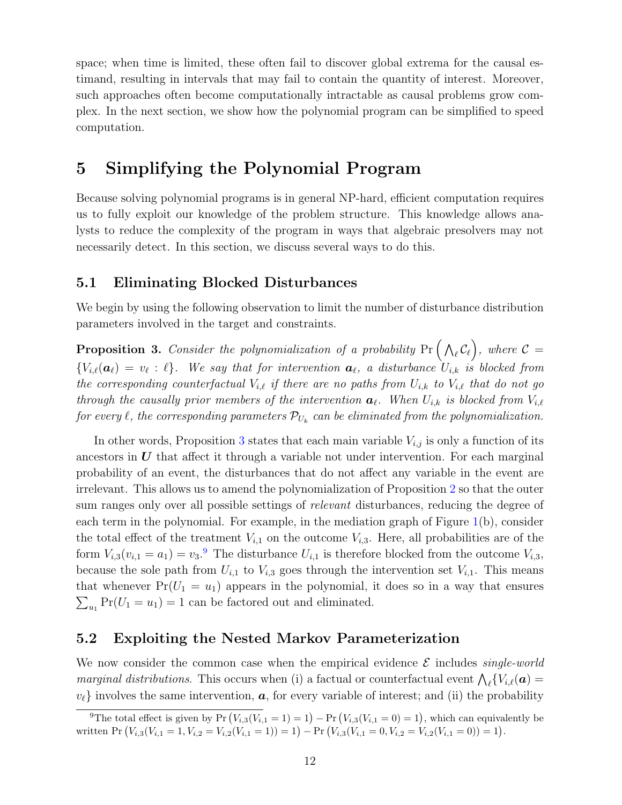space; when time is limited, these often fail to discover global extrema for the causal estimand, resulting in intervals that may fail to contain the quantity of interest. Moreover, such approaches often become computationally intractable as causal problems grow complex. In the next section, we show how the polynomial program can be simplified to speed computation.

# <span id="page-13-0"></span>5 Simplifying the Polynomial Program

Because solving polynomial programs is in general NP-hard, efficient computation requires us to fully exploit our knowledge of the problem structure. This knowledge allows analysts to reduce the complexity of the program in ways that algebraic presolvers may not necessarily detect. In this section, we discuss several ways to do this.

### <span id="page-13-1"></span>5.1 Eliminating Blocked Disturbances

We begin by using the following observation to limit the number of disturbance distribution parameters involved in the target and constraints.

<span id="page-13-3"></span>**Proposition 3.** Consider the polynomialization of a probability  $Pr(\theta \setminus \mathcal{C}_\ell)$ , where  $\mathcal{C} =$  ${V_{i,\ell}(\boldsymbol{a}_\ell) = v_\ell : \ell}.$  We say that for intervention  $\boldsymbol{a}_\ell$ , a disturbance  $U_{i,k}$  is blocked from the corresponding counterfactual  $V_{i,\ell}$  if there are no paths from  $U_{i,k}$  to  $V_{i,\ell}$  that do not go through the causally prior members of the intervention  $a_\ell$ . When  $U_{i,k}$  is blocked from  $V_{i,\ell}$ for every  $\ell$ , the corresponding parameters  $\mathcal{P}_{U_k}$  can be eliminated from the polynomialization.

In other words, Proposition [3](#page-13-3) states that each main variable  $V_{i,j}$  is only a function of its ancestors in  $U$  that affect it through a variable not under intervention. For each marginal probability of an event, the disturbances that do not affect any variable in the event are irrelevant. This allows us to amend the polynomialization of Proposition [2](#page-10-1) so that the outer sum ranges only over all possible settings of relevant disturbances, reducing the degree of each term in the polynomial. For example, in the mediation graph of Figure [1\(](#page-7-2)b), consider the total effect of the treatment  $V_{i,1}$  on the outcome  $V_{i,3}$ . Here, all probabilities are of the form  $V_{i,3}(v_{i,1} = a_1) = v_3$ . The disturbance  $U_{i,1}$  is therefore blocked from the outcome  $V_{i,3}$ , because the sole path from  $U_{i,1}$  to  $V_{i,3}$  goes through the intervention set  $V_{i,1}$ . This means that whenever  $Pr(U_1 = u_1)$  appears in the polynomial, it does so in a way that ensures  $\sum_{u_1} Pr(U_1 = u_1) = 1$  can be factored out and eliminated.

### <span id="page-13-2"></span>5.2 Exploiting the Nested Markov Parameterization

We now consider the common case when the empirical evidence  $\mathcal E$  includes single-world *marginal distributions*. This occurs when (i) a factual or counterfactual event  $\bigwedge_{\ell} \{V_{i,\ell}(\boldsymbol{a}) =$  $v_{\ell}$  involves the same intervention,  $a$ , for every variable of interest; and (ii) the probability

<sup>&</sup>lt;sup>9</sup>The total effect is given by Pr  $(V_{i,3}(V_{i,1} = 1) = 1) - Pr(V_{i,3}(V_{i,1} = 0) = 1)$ , which can equivalently be written Pr  $(V_{i,3}(V_{i,1} = 1, V_{i,2} = V_{i,2}(V_{i,1} = 1)) = 1) - Pr\left(V_{i,3}(V_{i,1} = 0, V_{i,2} = V_{i,2}(V_{i,1} = 0)) = 1\right)$ .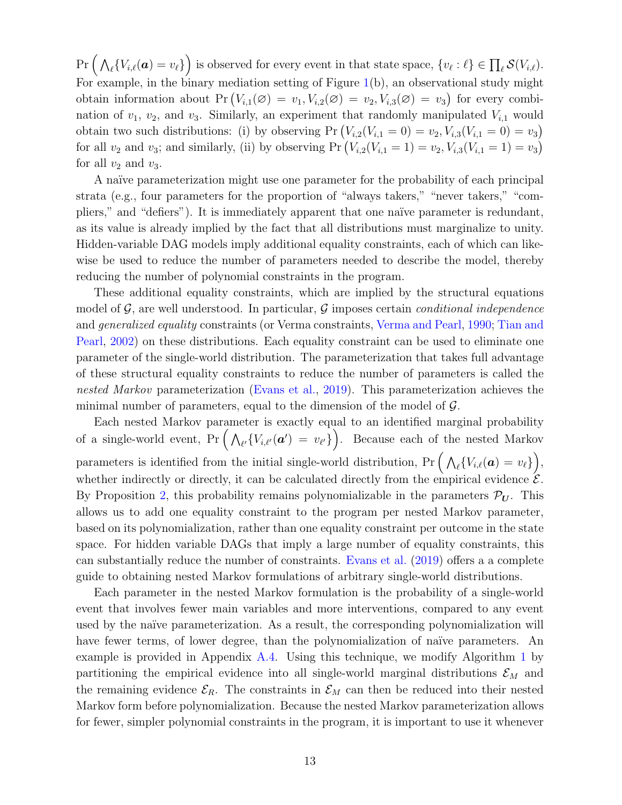$Pr\Big(\bigwedge_{\ell} \{V_{i,\ell}(\boldsymbol{a}) = v_{\ell}\}\Big)$  is observed for every event in that state space,  $\{v_{\ell} : \ell\} \in \prod_{\ell} \mathcal{S}(V_{i,\ell}).$ For example, in the binary mediation setting of Figure [1\(](#page-7-2)b), an observational study might obtain information about  $Pr(V_{i,1}(\emptyset) = v_1, V_{i,2}(\emptyset) = v_2, V_{i,3}(\emptyset) = v_3)$  for every combination of  $v_1$ ,  $v_2$ , and  $v_3$ . Similarly, an experiment that randomly manipulated  $V_{i,1}$  would obtain two such distributions: (i) by observing  $Pr(V_{i,2}(V_{i,1} = 0) = v_2, V_{i,3}(V_{i,1} = 0) = v_3)$ for all  $v_2$  and  $v_3$ ; and similarly, (ii) by observing  $Pr(V_{i,2}(V_{i,1} = 1) = v_2, V_{i,3}(V_{i,1} = 1) = v_3)$ for all  $v_2$  and  $v_3$ .

A naïve parameterization might use one parameter for the probability of each principal strata (e.g., four parameters for the proportion of "always takers," "never takers," "compliers," and "defiers"). It is immediately apparent that one naïve parameter is redundant, as its value is already implied by the fact that all distributions must marginalize to unity. Hidden-variable DAG models imply additional equality constraints, each of which can likewise be used to reduce the number of parameters needed to describe the model, thereby reducing the number of polynomial constraints in the program.

These additional equality constraints, which are implied by the structural equations model of  $\mathcal{G}$ , are well understood. In particular,  $\mathcal{G}$  imposes certain *conditional independence* and generalized equality constraints (or Verma constraints, [Verma and Pearl,](#page-30-5) [1990;](#page-30-5) [Tian and](#page-30-6) [Pearl,](#page-30-6) [2002\)](#page-30-6) on these distributions. Each equality constraint can be used to eliminate one parameter of the single-world distribution. The parameterization that takes full advantage of these structural equality constraints to reduce the number of parameters is called the nested Markov parameterization [\(Evans et al.,](#page-27-8) [2019\)](#page-27-8). This parameterization achieves the minimal number of parameters, equal to the dimension of the model of  $\mathcal{G}$ .

Each nested Markov parameter is exactly equal to an identified marginal probability of a single-world event,  $Pr\left(\bigwedge_{\ell'}\{V_{i,\ell'}(\boldsymbol{a}') = v_{\ell'}\}\right)$ . Because each of the nested Markov parameters is identified from the initial single-world distribution,  $Pr\left(\bigwedge_{\ell} \{V_{i,\ell}(\boldsymbol{a}) = v_{\ell}\}\right)$ , whether indirectly or directly, it can be calculated directly from the empirical evidence  $\mathcal{E}$ . By Proposition [2,](#page-10-1) this probability remains polynomializable in the parameters  $\mathcal{P}_{U}$ . This allows us to add one equality constraint to the program per nested Markov parameter, based on its polynomialization, rather than one equality constraint per outcome in the state space. For hidden variable DAGs that imply a large number of equality constraints, this can substantially reduce the number of constraints. [Evans et al.](#page-27-8) [\(2019\)](#page-27-8) offers a a complete guide to obtaining nested Markov formulations of arbitrary single-world distributions.

Each parameter in the nested Markov formulation is the probability of a single-world event that involves fewer main variables and more interventions, compared to any event used by the naïve parameterization. As a result, the corresponding polynomialization will have fewer terms, of lower degree, than the polynomialization of naïve parameters. An example is provided in Appendix [A.4.](#page-33-0) Using this technique, we modify Algorithm [1](#page-37-1) by partitioning the empirical evidence into all single-world marginal distributions  $\mathcal{E}_M$  and the remaining evidence  $\mathcal{E}_R$ . The constraints in  $\mathcal{E}_M$  can then be reduced into their nested Markov form before polynomialization. Because the nested Markov parameterization allows for fewer, simpler polynomial constraints in the program, it is important to use it whenever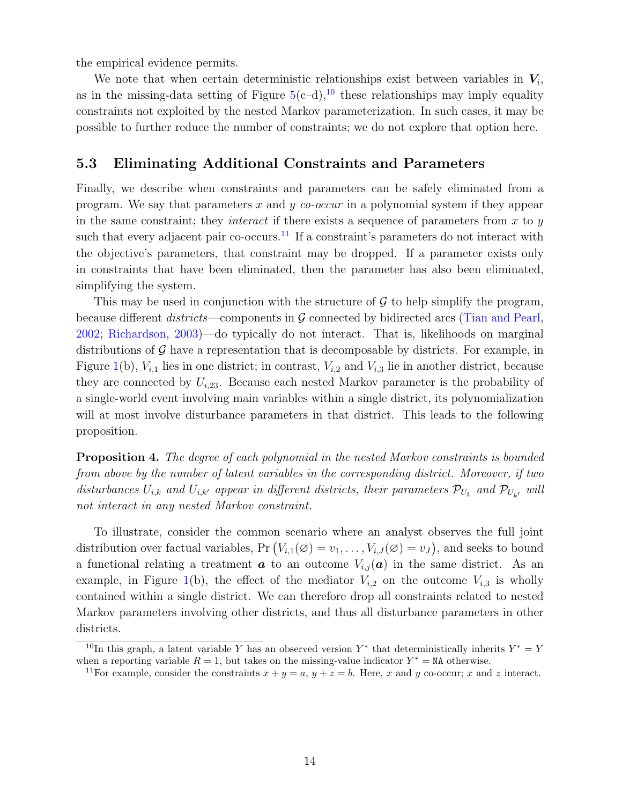the empirical evidence permits.

We note that when certain deterministic relationships exist between variables in  $V_i$ , as in the missing-data setting of Figure  $5(c-d)$  $5(c-d)$ ,<sup>[10](#page-0-0)</sup> these relationships may imply equality constraints not exploited by the nested Markov parameterization. In such cases, it may be possible to further reduce the number of constraints; we do not explore that option here.

### <span id="page-15-0"></span>5.3 Eliminating Additional Constraints and Parameters

Finally, we describe when constraints and parameters can be safely eliminated from a program. We say that parameters x and y co-occur in a polynomial system if they appear in the same constraint; they *interact* if there exists a sequence of parameters from  $x$  to  $y$ such that every adjacent pair co-occurs.<sup>[11](#page-0-0)</sup> If a constraint's parameters do not interact with the objective's parameters, that constraint may be dropped. If a parameter exists only in constraints that have been eliminated, then the parameter has also been eliminated, simplifying the system.

This may be used in conjunction with the structure of  $\mathcal G$  to help simplify the program, because different *districts*—components in  $\mathcal G$  connected by bidirected arcs [\(Tian and Pearl,](#page-30-6) [2002;](#page-30-6) [Richardson,](#page-29-11) [2003\)](#page-29-11)—do typically do not interact. That is, likelihoods on marginal distributions of  $\mathcal G$  have a representation that is decomposable by districts. For example, in Figure [1\(](#page-7-2)b),  $V_{i,1}$  lies in one district; in contrast,  $V_{i,2}$  and  $V_{i,3}$  lie in another district, because they are connected by  $U_{i,23}$ . Because each nested Markov parameter is the probability of a single-world event involving main variables within a single district, its polynomialization will at most involve disturbance parameters in that district. This leads to the following proposition.

<span id="page-15-1"></span>Proposition 4. The degree of each polynomial in the nested Markov constraints is bounded from above by the number of latent variables in the corresponding district. Moreover, if two disturbances  $U_{i,k}$  and  $U_{i,k'}$  appear in different districts, their parameters  $\mathcal{P}_{U_k}$  and  $\mathcal{P}_{U_{k'}}$  will not interact in any nested Markov constraint.

To illustrate, consider the common scenario where an analyst observes the full joint distribution over factual variables,  $Pr(V_{i,1}(\emptyset) = v_1, \ldots, V_{i,J}(\emptyset) = v_J)$ , and seeks to bound a functional relating a treatment  $\boldsymbol{a}$  to an outcome  $V_{i,j}(\boldsymbol{a})$  in the same district. As an example, in Figure [1\(](#page-7-2)b), the effect of the mediator  $V_{i,2}$  on the outcome  $V_{i,3}$  is wholly contained within a single district. We can therefore drop all constraints related to nested Markov parameters involving other districts, and thus all disturbance parameters in other districts.

<sup>&</sup>lt;sup>10</sup>In this graph, a latent variable Y has an observed version Y<sup>\*</sup> that deterministically inherits  $Y^* = Y$ when a reporting variable  $R = 1$ , but takes on the missing-value indicator  $Y^* = \texttt{NA}$  otherwise.

<sup>&</sup>lt;sup>11</sup>For example, consider the constraints  $x + y = a$ ,  $y + z = b$ . Here, x and y co-occur; x and z interact.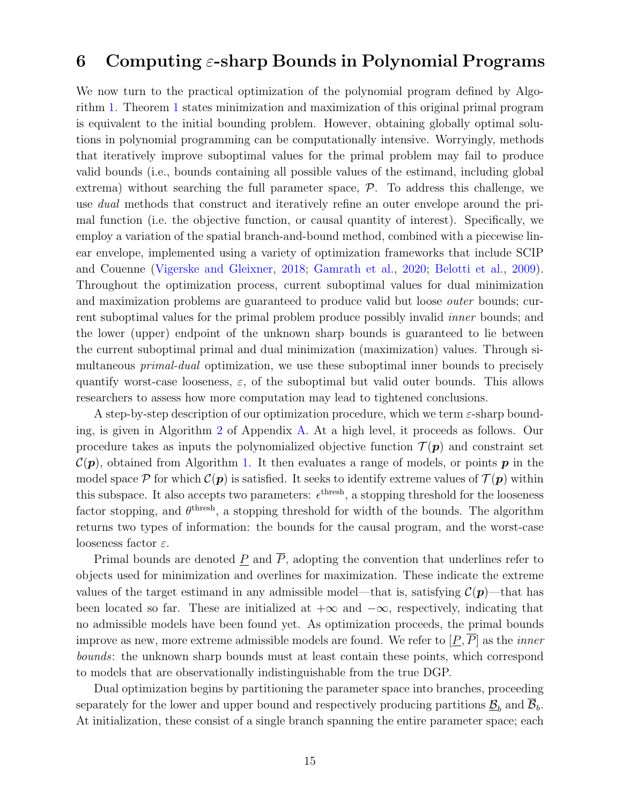### <span id="page-16-0"></span>6 Computing  $\varepsilon$ -sharp Bounds in Polynomial Programs

We now turn to the practical optimization of the polynomial program defined by Algorithm [1.](#page-37-1) Theorem [1](#page-12-0) states minimization and maximization of this original primal program is equivalent to the initial bounding problem. However, obtaining globally optimal solutions in polynomial programming can be computationally intensive. Worryingly, methods that iteratively improve suboptimal values for the primal problem may fail to produce valid bounds (i.e., bounds containing all possible values of the estimand, including global extrema) without searching the full parameter space,  $P$ . To address this challenge, we use dual methods that construct and iteratively refine an outer envelope around the primal function (i.e. the objective function, or causal quantity of interest). Specifically, we employ a variation of the spatial branch-and-bound method, combined with a piecewise linear envelope, implemented using a variety of optimization frameworks that include SCIP and Couenne [\(Vigerske and Gleixner,](#page-30-4) [2018;](#page-30-4) [Gamrath et al.,](#page-28-8) [2020;](#page-28-8) [Belotti et al.,](#page-27-3) [2009\)](#page-27-3). Throughout the optimization process, current suboptimal values for dual minimization and maximization problems are guaranteed to produce valid but loose *outer* bounds; current suboptimal values for the primal problem produce possibly invalid inner bounds; and the lower (upper) endpoint of the unknown sharp bounds is guaranteed to lie between the current suboptimal primal and dual minimization (maximization) values. Through simultaneous *primal-dual* optimization, we use these suboptimal inner bounds to precisely quantify worst-case looseness,  $\varepsilon$ , of the suboptimal but valid outer bounds. This allows researchers to assess how more computation may lead to tightened conclusions.

A step-by-step description of our optimization procedure, which we term  $\varepsilon$ -sharp bounding, is given in Algorithm [2](#page-39-0) of Appendix [A.](#page-31-0) At a high level, it proceeds as follows. Our procedure takes as inputs the polynomialized objective function  $\mathcal{T}(\boldsymbol{p})$  and constraint set  $\mathcal{C}(p)$ , obtained from Algorithm [1.](#page-37-1) It then evaluates a range of models, or points p in the model space P for which  $\mathcal{C}(p)$  is satisfied. It seeks to identify extreme values of  $\mathcal{T}(p)$  within this subspace. It also accepts two parameters:  $\epsilon^{\text{thresh}}$ , a stopping threshold for the looseness factor stopping, and  $\theta^{\text{thresh}}$ , a stopping threshold for width of the bounds. The algorithm returns two types of information: the bounds for the causal program, and the worst-case looseness factor  $\varepsilon$ .

Primal bounds are denoted P and  $\overline{P}$ , adopting the convention that underlines refer to objects used for minimization and overlines for maximization. These indicate the extreme values of the target estimand in any admissible model—that is, satisfying  $\mathcal{C}(\mathbf{p})$ —that has been located so far. These are initialized at  $+\infty$  and  $-\infty$ , respectively, indicating that no admissible models have been found yet. As optimization proceeds, the primal bounds improve as new, more extreme admissible models are found. We refer to  $[\underline{P}, \overline{P}]$  as the *inner* bounds: the unknown sharp bounds must at least contain these points, which correspond to models that are observationally indistinguishable from the true DGP.

Dual optimization begins by partitioning the parameter space into branches, proceeding separately for the lower and upper bound and respectively producing partitions  $\underline{\mathcal{B}}_b$  and  $\mathcal{B}_b$ . At initialization, these consist of a single branch spanning the entire parameter space; each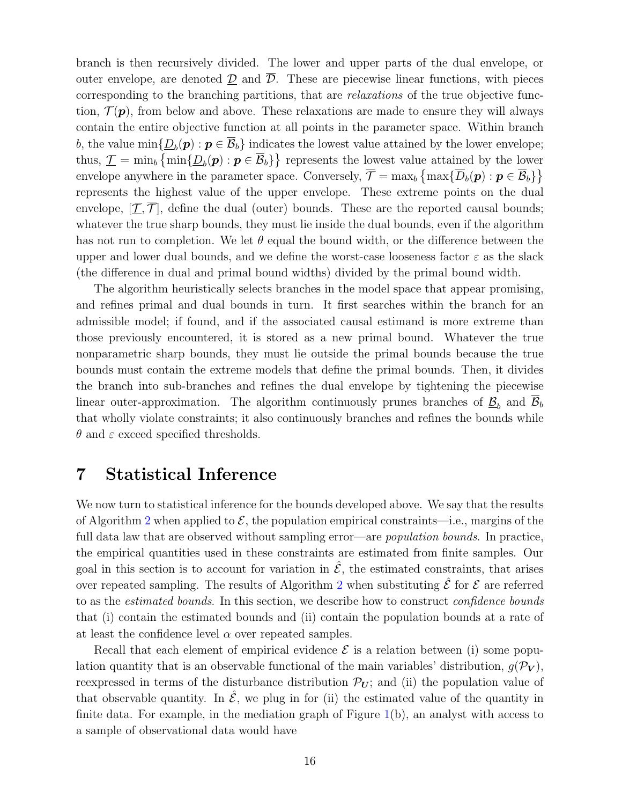branch is then recursively divided. The lower and upper parts of the dual envelope, or outer envelope, are denoted  $\mathcal D$  and  $\overline{\mathcal D}$ . These are piecewise linear functions, with pieces corresponding to the branching partitions, that are relaxations of the true objective function,  $\mathcal{T}(\boldsymbol{p})$ , from below and above. These relaxations are made to ensure they will always contain the entire objective function at all points in the parameter space. Within branch b, the value  $\min\{\underline{D}_b(\bm{p}) : \bm{p} \in \overline{\mathcal{B}}_b\}$  indicates the lowest value attained by the lower envelope; thus,  $\mathcal{I} = \min_b \{ \min \{ \underline{D}_b(\boldsymbol{p}) : \boldsymbol{p} \in \overline{\mathcal{B}}_b \} \}$  represents the lowest value attained by the lower envelope anywhere in the parameter space. Conversely,  $\overline{\mathcal{T}} = \max_b \{ \max \{ \overline{D}_b(\boldsymbol{p}) : \boldsymbol{p} \in \overline{\mathcal{B}}_b \} \}$ represents the highest value of the upper envelope. These extreme points on the dual envelope,  $[\mathcal{T}, \mathcal{T}]$ , define the dual (outer) bounds. These are the reported causal bounds; whatever the true sharp bounds, they must lie inside the dual bounds, even if the algorithm has not run to completion. We let  $\theta$  equal the bound width, or the difference between the upper and lower dual bounds, and we define the worst-case looseness factor  $\varepsilon$  as the slack (the difference in dual and primal bound widths) divided by the primal bound width.

The algorithm heuristically selects branches in the model space that appear promising, and refines primal and dual bounds in turn. It first searches within the branch for an admissible model; if found, and if the associated causal estimand is more extreme than those previously encountered, it is stored as a new primal bound. Whatever the true nonparametric sharp bounds, they must lie outside the primal bounds because the true bounds must contain the extreme models that define the primal bounds. Then, it divides the branch into sub-branches and refines the dual envelope by tightening the piecewise linear outer-approximation. The algorithm continuously prunes branches of  $\underline{\mathcal{B}}_b$  and  $\mathcal{B}_b$ that wholly violate constraints; it also continuously branches and refines the bounds while  $\theta$  and  $\varepsilon$  exceed specified thresholds.

## <span id="page-17-0"></span>7 Statistical Inference

We now turn to statistical inference for the bounds developed above. We say that the results of Algorithm [2](#page-39-0) when applied to  $\mathcal{E}$ , the population empirical constraints—i.e., margins of the full data law that are observed without sampling error—are *population bounds*. In practice, the empirical quantities used in these constraints are estimated from finite samples. Our goal in this section is to account for variation in  $\hat{\mathcal{E}}$ , the estimated constraints, that arises over repeated sampling. The results of Algorithm [2](#page-39-0) when substituting  $\hat{\mathcal{E}}$  for  $\mathcal{E}$  are referred to as the estimated bounds. In this section, we describe how to construct confidence bounds that (i) contain the estimated bounds and (ii) contain the population bounds at a rate of at least the confidence level  $\alpha$  over repeated samples.

Recall that each element of empirical evidence  $\mathcal E$  is a relation between (i) some population quantity that is an observable functional of the main variables' distribution,  $q(\mathcal{P}_V)$ , reexpressed in terms of the disturbance distribution  $\mathcal{P}_U$ ; and (ii) the population value of that observable quantity. In  $\hat{\mathcal{E}}$ , we plug in for (ii) the estimated value of the quantity in finite data. For example, in the mediation graph of Figure  $1(b)$  $1(b)$ , an analyst with access to a sample of observational data would have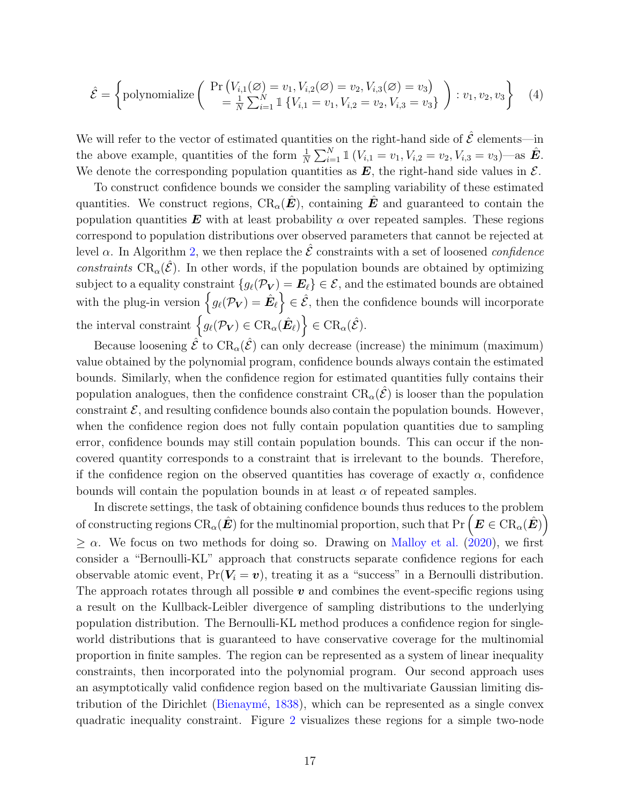$$
\hat{\mathcal{E}} = \left\{ \text{polynomialize} \left( \begin{array}{c} \Pr\left( V_{i,1}(\varnothing) = v_1, V_{i,2}(\varnothing) = v_2, V_{i,3}(\varnothing) = v_3 \right) \\ = \frac{1}{N} \sum_{i=1}^N \mathbb{1} \left\{ V_{i,1} = v_1, V_{i,2} = v_2, V_{i,3} = v_3 \right\} \end{array} \right) : v_1, v_2, v_3 \right\} \tag{4}
$$

We will refer to the vector of estimated quantities on the right-hand side of  $\hat{\mathcal{E}}$  elements—in the above example, quantities of the form  $\frac{1}{N} \sum_{i=1}^{N} \mathbb{1} (V_{i,1} = v_1, V_{i,2} = v_2, V_{i,3} = v_3)$ —as  $\hat{E}$ . We denote the corresponding population quantities as  $E$ , the right-hand side values in  $\mathcal{E}$ .

To construct confidence bounds we consider the sampling variability of these estimated quantities. We construct regions,  $CR_{\alpha}(\hat{E})$ , containing  $\hat{E}$  and guaranteed to contain the population quantities **E** with at least probability  $\alpha$  over repeated samples. These regions correspond to population distributions over observed parameters that cannot be rejected at level  $\alpha$ . In Algorithm [2,](#page-39-0) we then replace the  $\hat{\mathcal{E}}$  constraints with a set of loosened *confidence* constraints  $CR_{\alpha}(\hat{\mathcal{E}})$ . In other words, if the population bounds are obtained by optimizing subject to a equality constraint  $\{g_\ell(\mathcal{P}_V) = \boldsymbol{E}_\ell\} \in \mathcal{E}$ , and the estimated bounds are obtained with the plug-in version  $\left\{g_\ell(\mathcal{P}_{\mathbf{V}}) = \hat{\boldsymbol{E}}_\ell\right\} \in \hat{\mathcal{E}}$ , then the confidence bounds will incorporate the interval constraint  $\left\{ g_{\ell}(\mathcal{P}_{\boldsymbol{V}}) \in \operatorname{CR}_{\alpha}(\hat{\boldsymbol{E}}_{\ell}) \right\} \in \operatorname{CR}_{\alpha}(\hat{\mathcal{E}}).$ 

Because loosening  $\hat{\mathcal{E}}$  to  $\text{CR}_{\alpha}(\hat{\mathcal{E}})$  can only decrease (increase) the minimum (maximum) value obtained by the polynomial program, confidence bounds always contain the estimated bounds. Similarly, when the confidence region for estimated quantities fully contains their population analogues, then the confidence constraint  $CR_{\alpha}(\hat{\mathcal{E}})$  is looser than the population constraint  $\mathcal{E}$ , and resulting confidence bounds also contain the population bounds. However, when the confidence region does not fully contain population quantities due to sampling error, confidence bounds may still contain population bounds. This can occur if the noncovered quantity corresponds to a constraint that is irrelevant to the bounds. Therefore, if the confidence region on the observed quantities has coverage of exactly  $\alpha$ , confidence bounds will contain the population bounds in at least  $\alpha$  of repeated samples.

In discrete settings, the task of obtaining confidence bounds thus reduces to the problem of constructing regions  $\text{CR}_\alpha(\hat{\bm E})$  for the multinomial proportion, such that  $\text{Pr}\left(\bm E\in\text{CR}_\alpha(\hat{\bm E})\right)$  $\geq \alpha$ . We focus on two methods for doing so. Drawing on [Malloy et al.](#page-28-12) [\(2020\)](#page-28-12), we first consider a "Bernoulli-KL" approach that constructs separate confidence regions for each observable atomic event,  $Pr(V_i = v)$ , treating it as a "success" in a Bernoulli distribution. The approach rotates through all possible  $v$  and combines the event-specific regions using a result on the Kullback-Leibler divergence of sampling distributions to the underlying population distribution. The Bernoulli-KL method produces a confidence region for singleworld distributions that is guaranteed to have conservative coverage for the multinomial proportion in finite samples. The region can be represented as a system of linear inequality constraints, then incorporated into the polynomial program. Our second approach uses an asymptotically valid confidence region based on the multivariate Gaussian limiting dis-tribution of the Dirichlet (Bienaymé, [1838\)](#page-27-9), which can be represented as a single convex quadratic inequality constraint. Figure [2](#page-19-2) visualizes these regions for a simple two-node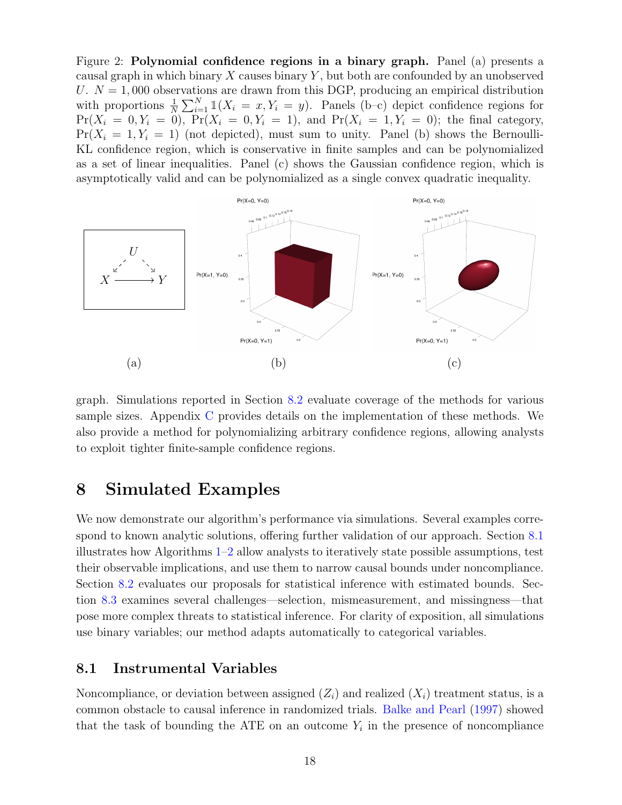<span id="page-19-2"></span>Figure 2: Polynomial confidence regions in a binary graph. Panel (a) presents a causal graph in which binary  $X$  causes binary  $Y$ , but both are confounded by an unobserved U.  $N = 1,000$  observations are drawn from this DGP, producing an empirical distribution with proportions  $\frac{1}{N} \sum_{i=1}^{N} \mathbb{1}(X_i = x, Y_i = y)$ . Panels (b-c) depict confidence regions for  $Pr(X_i = 0, Y_i = 0)$ ,  $Pr(X_i = 0, Y_i = 1)$ , and  $Pr(X_i = 1, Y_i = 0)$ ; the final category,  $Pr(X_i = 1, Y_i = 1)$  (not depicted), must sum to unity. Panel (b) shows the Bernoulli-KL confidence region, which is conservative in finite samples and can be polynomialized as a set of linear inequalities. Panel (c) shows the Gaussian confidence region, which is asymptotically valid and can be polynomialized as a single convex quadratic inequality.



graph. Simulations reported in Section [8.2](#page-21-0) evaluate coverage of the methods for various sample sizes. Appendix [C](#page-42-0) provides details on the implementation of these methods. We also provide a method for polynomializing arbitrary confidence regions, allowing analysts to exploit tighter finite-sample confidence regions.

# <span id="page-19-0"></span>8 Simulated Examples

We now demonstrate our algorithm's performance via simulations. Several examples correspond to known analytic solutions, offering further validation of our approach. Section [8.1](#page-19-1) illustrates how Algorithms [1–](#page-37-1)[2](#page-39-0) allow analysts to iteratively state possible assumptions, test their observable implications, and use them to narrow causal bounds under noncompliance. Section [8.2](#page-21-0) evaluates our proposals for statistical inference with estimated bounds. Section [8.3](#page-22-0) examines several challenges—selection, mismeasurement, and missingness—that pose more complex threats to statistical inference. For clarity of exposition, all simulations use binary variables; our method adapts automatically to categorical variables.

### <span id="page-19-1"></span>8.1 Instrumental Variables

Noncompliance, or deviation between assigned  $(Z_i)$  and realized  $(X_i)$  treatment status, is a common obstacle to causal inference in randomized trials. [Balke and Pearl](#page-27-2) [\(1997\)](#page-27-2) showed that the task of bounding the ATE on an outcome  $Y_i$  in the presence of noncompliance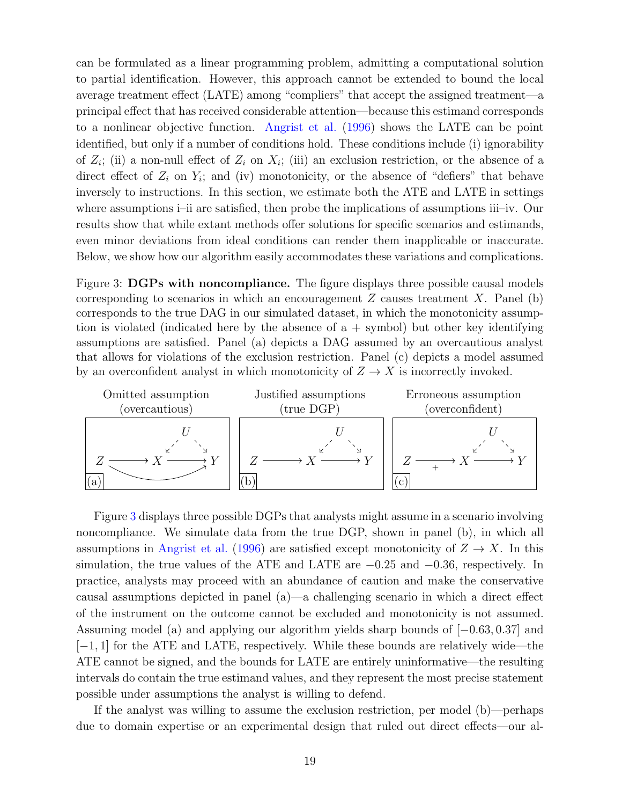can be formulated as a linear programming problem, admitting a computational solution to partial identification. However, this approach cannot be extended to bound the local average treatment effect (LATE) among "compliers" that accept the assigned treatment—a principal effect that has received considerable attention—because this estimand corresponds to a nonlinear objective function. [Angrist et al.](#page-27-7) [\(1996\)](#page-27-7) shows the LATE can be point identified, but only if a number of conditions hold. These conditions include (i) ignorability of  $Z_i$ ; (ii) a non-null effect of  $Z_i$  on  $X_i$ ; (iii) an exclusion restriction, or the absence of a direct effect of  $Z_i$  on  $Y_i$ ; and (iv) monotonicity, or the absence of "defiers" that behave inversely to instructions. In this section, we estimate both the ATE and LATE in settings where assumptions i–ii are satisfied, then probe the implications of assumptions iii–iv. Our results show that while extant methods offer solutions for specific scenarios and estimands, even minor deviations from ideal conditions can render them inapplicable or inaccurate. Below, we show how our algorithm easily accommodates these variations and complications.

<span id="page-20-0"></span>Figure 3: DGPs with noncompliance. The figure displays three possible causal models corresponding to scenarios in which an encouragement  $Z$  causes treatment  $X$ . Panel (b) corresponds to the true DAG in our simulated dataset, in which the monotonicity assumption is violated (indicated here by the absence of a + symbol) but other key identifying assumptions are satisfied. Panel (a) depicts a DAG assumed by an overcautious analyst that allows for violations of the exclusion restriction. Panel (c) depicts a model assumed by an overconfident analyst in which monotonicity of  $Z \to X$  is incorrectly invoked.



Figure [3](#page-20-0) displays three possible DGPs that analysts might assume in a scenario involving noncompliance. We simulate data from the true DGP, shown in panel (b), in which all assumptions in [Angrist et al.](#page-27-7) [\(1996\)](#page-27-7) are satisfied except monotonicity of  $Z \to X$ . In this simulation, the true values of the ATE and LATE are  $-0.25$  and  $-0.36$ , respectively. In practice, analysts may proceed with an abundance of caution and make the conservative causal assumptions depicted in panel (a)—a challenging scenario in which a direct effect of the instrument on the outcome cannot be excluded and monotonicity is not assumed. Assuming model (a) and applying our algorithm yields sharp bounds of [−0.63, 0.37] and  $[-1, 1]$  for the ATE and LATE, respectively. While these bounds are relatively wide—the ATE cannot be signed, and the bounds for LATE are entirely uninformative—the resulting intervals do contain the true estimand values, and they represent the most precise statement possible under assumptions the analyst is willing to defend.

If the analyst was willing to assume the exclusion restriction, per model (b)—perhaps due to domain expertise or an experimental design that ruled out direct effects—our al-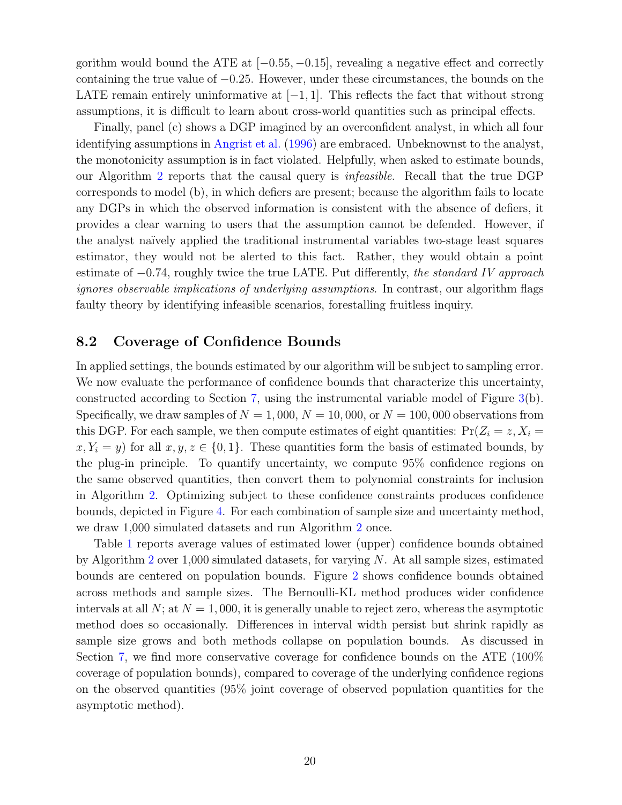gorithm would bound the ATE at  $[-0.55, -0.15]$ , revealing a negative effect and correctly containing the true value of −0.25. However, under these circumstances, the bounds on the LATE remain entirely uninformative at  $[-1, 1]$ . This reflects the fact that without strong assumptions, it is difficult to learn about cross-world quantities such as principal effects.

Finally, panel (c) shows a DGP imagined by an overconfident analyst, in which all four identifying assumptions in [Angrist et al.](#page-27-7) [\(1996\)](#page-27-7) are embraced. Unbeknownst to the analyst, the monotonicity assumption is in fact violated. Helpfully, when asked to estimate bounds, our Algorithm [2](#page-39-0) reports that the causal query is infeasible. Recall that the true DGP corresponds to model (b), in which defiers are present; because the algorithm fails to locate any DGPs in which the observed information is consistent with the absence of defiers, it provides a clear warning to users that the assumption cannot be defended. However, if the analyst na¨ıvely applied the traditional instrumental variables two-stage least squares estimator, they would not be alerted to this fact. Rather, they would obtain a point estimate of  $-0.74$ , roughly twice the true LATE. Put differently, the standard IV approach ignores observable implications of underlying assumptions. In contrast, our algorithm flags faulty theory by identifying infeasible scenarios, forestalling fruitless inquiry.

### <span id="page-21-0"></span>8.2 Coverage of Confidence Bounds

In applied settings, the bounds estimated by our algorithm will be subject to sampling error. We now evaluate the performance of confidence bounds that characterize this uncertainty, constructed according to Section [7,](#page-17-0) using the instrumental variable model of Figure [3\(](#page-20-0)b). Specifically, we draw samples of  $N = 1,000$ ,  $N = 10,000$ , or  $N = 100,000$  observations from this DGP. For each sample, we then compute estimates of eight quantities:  $Pr(Z_i = z, X_i = z)$  $x, Y_i = y$  for all  $x, y, z \in \{0, 1\}$ . These quantities form the basis of estimated bounds, by the plug-in principle. To quantify uncertainty, we compute 95% confidence regions on the same observed quantities, then convert them to polynomial constraints for inclusion in Algorithm [2.](#page-39-0) Optimizing subject to these confidence constraints produces confidence bounds, depicted in Figure [4.](#page-22-1) For each combination of sample size and uncertainty method, we draw 1,000 simulated datasets and run Algorithm [2](#page-39-0) once.

Table [1](#page-22-2) reports average values of estimated lower (upper) confidence bounds obtained by Algorithm [2](#page-39-0) over  $1,000$  simulated datasets, for varying N. At all sample sizes, estimated bounds are centered on population bounds. Figure [2](#page-19-2) shows confidence bounds obtained across methods and sample sizes. The Bernoulli-KL method produces wider confidence intervals at all N; at  $N = 1,000$ , it is generally unable to reject zero, whereas the asymptotic method does so occasionally. Differences in interval width persist but shrink rapidly as sample size grows and both methods collapse on population bounds. As discussed in Section [7,](#page-17-0) we find more conservative coverage for confidence bounds on the ATE (100% coverage of population bounds), compared to coverage of the underlying confidence regions on the observed quantities (95% joint coverage of observed population quantities for the asymptotic method).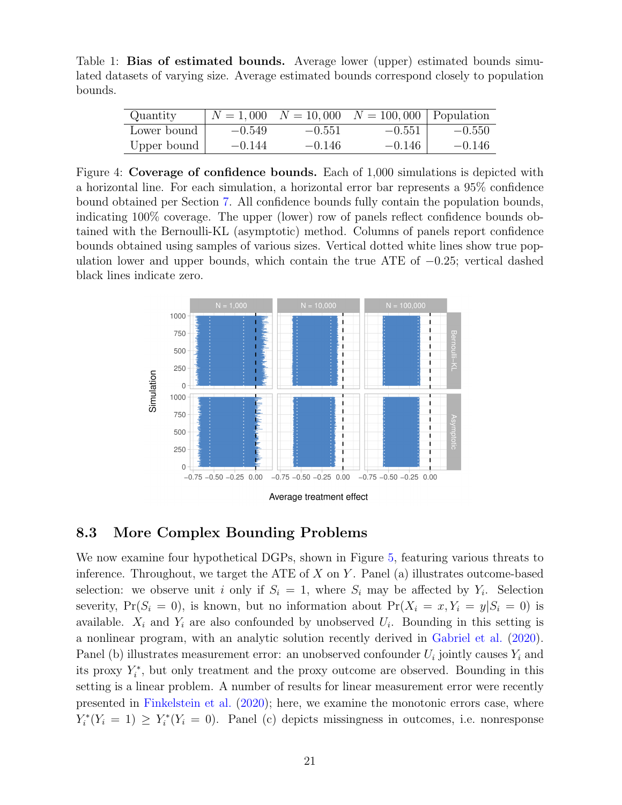<span id="page-22-2"></span>Table 1: Bias of estimated bounds. Average lower (upper) estimated bounds simulated datasets of varying size. Average estimated bounds correspond closely to population bounds.

| Quantity    | $N = 1,000$ | $N = 10,000$ | $N = 100,000$ Population |          |
|-------------|-------------|--------------|--------------------------|----------|
| Lower bound | $-0.549$    | $-0.551$     | $-0.551$                 | $-0.550$ |
| Upper bound | $-0.144$    | $-0.146$     | $-0.146$                 | $-0.146$ |

<span id="page-22-1"></span>Figure 4: Coverage of confidence bounds. Each of 1,000 simulations is depicted with a horizontal line. For each simulation, a horizontal error bar represents a 95% confidence bound obtained per Section [7.](#page-17-0) All confidence bounds fully contain the population bounds, indicating 100% coverage. The upper (lower) row of panels reflect confidence bounds obtained with the Bernoulli-KL (asymptotic) method. Columns of panels report confidence bounds obtained using samples of various sizes. Vertical dotted white lines show true population lower and upper bounds, which contain the true ATE of −0.25; vertical dashed black lines indicate zero.



### <span id="page-22-0"></span>8.3 More Complex Bounding Problems

We now examine four hypothetical DGPs, shown in Figure [5,](#page-24-0) featuring various threats to inference. Throughout, we target the ATE of  $X$  on  $Y$ . Panel (a) illustrates outcome-based selection: we observe unit i only if  $S_i = 1$ , where  $S_i$  may be affected by  $Y_i$ . Selection severity,  $Pr(S_i = 0)$ , is known, but no information about  $Pr(X_i = x, Y_i = y | S_i = 0)$  is available.  $X_i$  and  $Y_i$  are also confounded by unobserved  $U_i$ . Bounding in this setting is a nonlinear program, with an analytic solution recently derived in [Gabriel et al.](#page-28-1) [\(2020\)](#page-28-1). Panel (b) illustrates measurement error: an unobserved confounder  $U_i$  jointly causes  $Y_i$  and its proxy  $Y_i^*$ , but only treatment and the proxy outcome are observed. Bounding in this setting is a linear problem. A number of results for linear measurement error were recently presented in [Finkelstein et al.](#page-27-10) [\(2020\)](#page-27-10); here, we examine the monotonic errors case, where  $Y_i^*(Y_i = 1) \ge Y_i^*(Y_i = 0)$ . Panel (c) depicts missingness in outcomes, i.e. nonresponse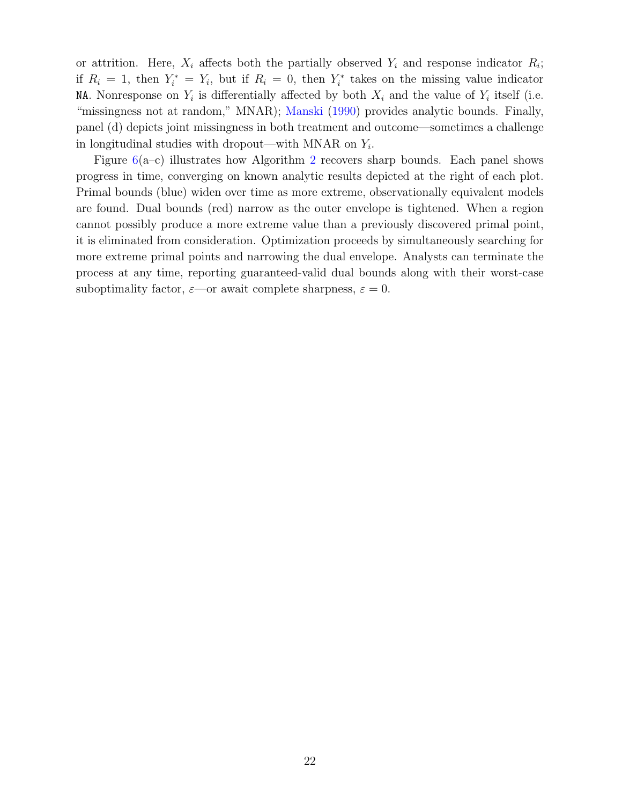or attrition. Here,  $X_i$  affects both the partially observed  $Y_i$  and response indicator  $R_i$ ; if  $R_i = 1$ , then  $Y_i^* = Y_i$ , but if  $R_i = 0$ , then  $Y_i^*$  takes on the missing value indicator NA. Nonresponse on  $Y_i$  is differentially affected by both  $X_i$  and the value of  $Y_i$  itself (i.e. "missingness not at random," MNAR); [Manski](#page-28-5) [\(1990\)](#page-28-5) provides analytic bounds. Finally, panel (d) depicts joint missingness in both treatment and outcome—sometimes a challenge in longitudinal studies with dropout—with MNAR on  $Y_i$ .

Figure  $6(a-c)$  $6(a-c)$  illustrates how Algorithm [2](#page-39-0) recovers sharp bounds. Each panel shows progress in time, converging on known analytic results depicted at the right of each plot. Primal bounds (blue) widen over time as more extreme, observationally equivalent models are found. Dual bounds (red) narrow as the outer envelope is tightened. When a region cannot possibly produce a more extreme value than a previously discovered primal point, it is eliminated from consideration. Optimization proceeds by simultaneously searching for more extreme primal points and narrowing the dual envelope. Analysts can terminate the process at any time, reporting guaranteed-valid dual bounds along with their worst-case suboptimality factor,  $\varepsilon$ —or await complete sharpness,  $\varepsilon = 0$ .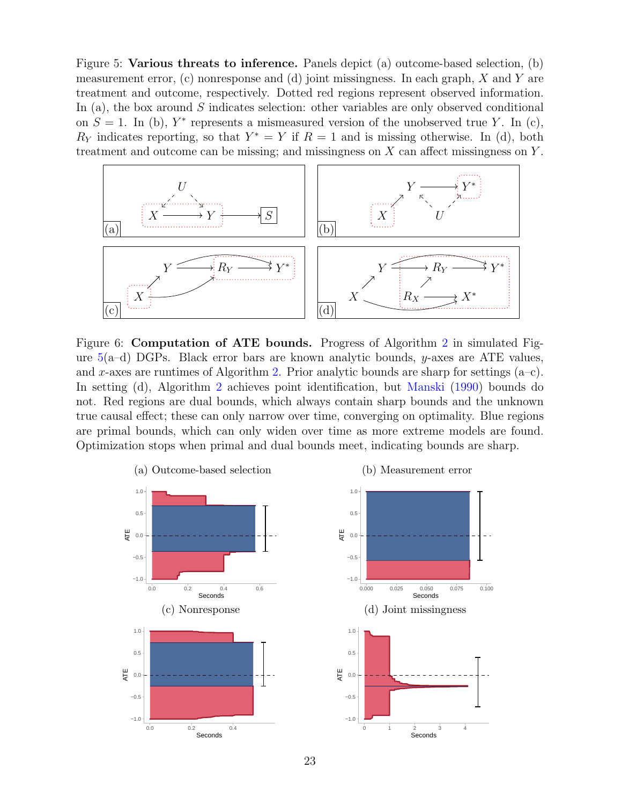<span id="page-24-0"></span>Figure 5: Various threats to inference. Panels depict (a) outcome-based selection, (b) measurement error, (c) nonresponse and (d) joint missingness. In each graph,  $X$  and  $Y$  are treatment and outcome, respectively. Dotted red regions represent observed information. In (a), the box around  $S$  indicates selection: other variables are only observed conditional on  $S = 1$ . In (b),  $Y^*$  represents a mismeasured version of the unobserved true Y. In (c),  $R_Y$  indicates reporting, so that  $Y^* = Y$  if  $R = 1$  and is missing otherwise. In (d), both treatment and outcome can be missing; and missingness on  $X$  can affect missingness on  $Y$ .



<span id="page-24-1"></span>Figure 6: Computation of ATE bounds. Progress of Algorithm [2](#page-39-0) in simulated Figure  $5(a-d)$  $5(a-d)$  DGPs. Black error bars are known analytic bounds, y-axes are ATE values, and x-axes are runtimes of Algorithm [2.](#page-39-0) Prior analytic bounds are sharp for settings  $(a-c)$ . In setting (d), Algorithm [2](#page-39-0) achieves point identification, but [Manski](#page-28-5) [\(1990\)](#page-28-5) bounds do not. Red regions are dual bounds, which always contain sharp bounds and the unknown true causal effect; these can only narrow over time, converging on optimality. Blue regions are primal bounds, which can only widen over time as more extreme models are found. Optimization stops when primal and dual bounds meet, indicating bounds are sharp.

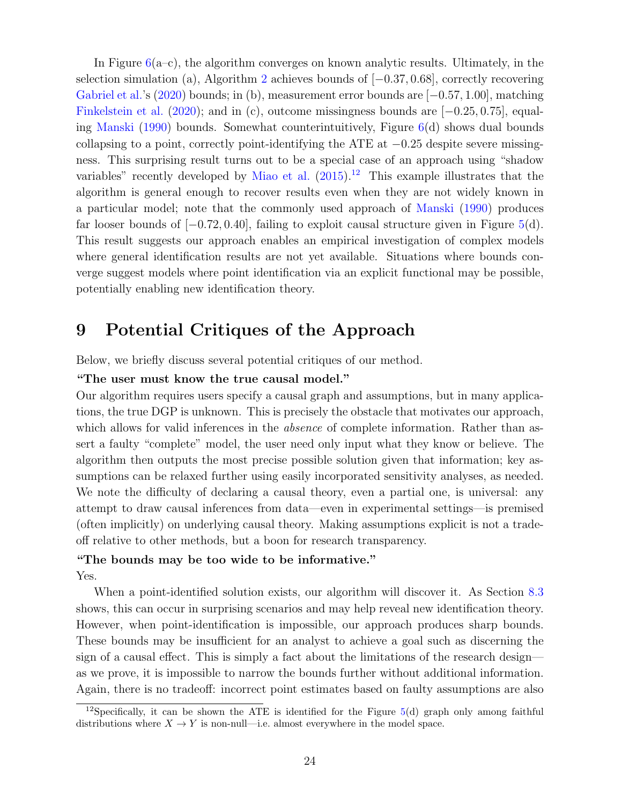In Figure  $6(a-c)$  $6(a-c)$ , the algorithm converges on known analytic results. Ultimately, in the selection simulation (a), Algorithm [2](#page-39-0) achieves bounds of [−0.37, 0.68], correctly recovering [Gabriel et al.'](#page-28-1)s [\(2020\)](#page-28-1) bounds; in (b), measurement error bounds are [−0.57, 1.00], matching [Finkelstein et al.](#page-27-10) [\(2020\)](#page-27-10); and in (c), outcome missingness bounds are [−0.25, 0.75], equaling [Manski](#page-28-5) [\(1990\)](#page-28-5) bounds. Somewhat counterintuitively, Figure [6\(](#page-24-1)d) shows dual bounds collapsing to a point, correctly point-identifying the ATE at −0.25 despite severe missingness. This surprising result turns out to be a special case of an approach using "shadow variables" recently developed by [Miao et al.](#page-29-4)  $(2015)^{12}$  $(2015)^{12}$  $(2015)^{12}$  $(2015)^{12}$  This example illustrates that the algorithm is general enough to recover results even when they are not widely known in a particular model; note that the commonly used approach of [Manski](#page-28-5) [\(1990\)](#page-28-5) produces far looser bounds of  $[-0.72, 0.40]$ , failing to exploit causal structure given in Figure [5\(](#page-24-0)d). This result suggests our approach enables an empirical investigation of complex models where general identification results are not yet available. Situations where bounds converge suggest models where point identification via an explicit functional may be possible, potentially enabling new identification theory.

# <span id="page-25-0"></span>9 Potential Critiques of the Approach

Below, we briefly discuss several potential critiques of our method.

#### "The user must know the true causal model."

Our algorithm requires users specify a causal graph and assumptions, but in many applications, the true DGP is unknown. This is precisely the obstacle that motivates our approach, which allows for valid inferences in the *absence* of complete information. Rather than assert a faulty "complete" model, the user need only input what they know or believe. The algorithm then outputs the most precise possible solution given that information; key assumptions can be relaxed further using easily incorporated sensitivity analyses, as needed. We note the difficulty of declaring a causal theory, even a partial one, is universal: any attempt to draw causal inferences from data—even in experimental settings—is premised (often implicitly) on underlying causal theory. Making assumptions explicit is not a tradeoff relative to other methods, but a boon for research transparency.

#### "The bounds may be too wide to be informative."

Yes.

When a point-identified solution exists, our algorithm will discover it. As Section [8.3](#page-22-0) shows, this can occur in surprising scenarios and may help reveal new identification theory. However, when point-identification is impossible, our approach produces sharp bounds. These bounds may be insufficient for an analyst to achieve a goal such as discerning the sign of a causal effect. This is simply a fact about the limitations of the research design as we prove, it is impossible to narrow the bounds further without additional information. Again, there is no tradeoff: incorrect point estimates based on faulty assumptions are also

<sup>&</sup>lt;sup>12</sup>Specifically, it can be shown the ATE is identified for the Figure  $5(d)$  $5(d)$  graph only among faithful distributions where  $X \to Y$  is non-null—i.e. almost everywhere in the model space.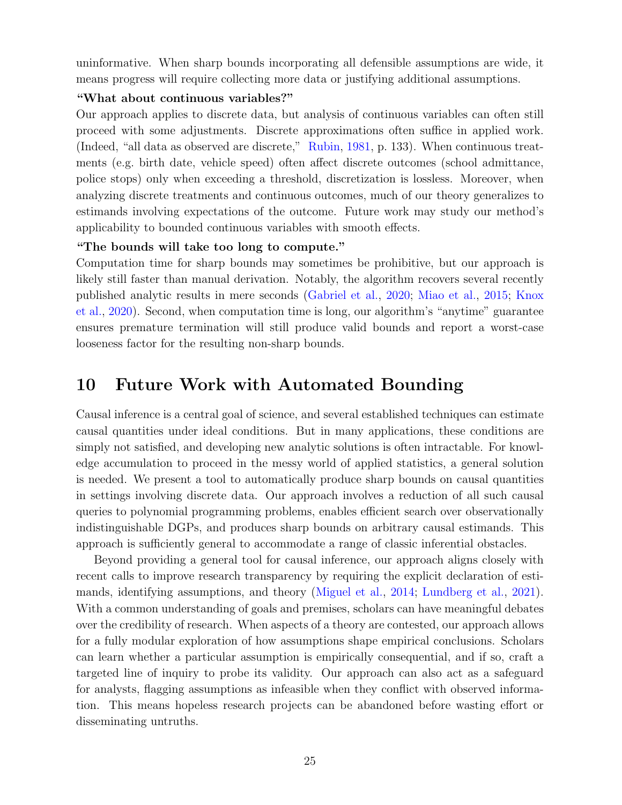uninformative. When sharp bounds incorporating all defensible assumptions are wide, it means progress will require collecting more data or justifying additional assumptions.

#### "What about continuous variables?"

Our approach applies to discrete data, but analysis of continuous variables can often still proceed with some adjustments. Discrete approximations often suffice in applied work. (Indeed, "all data as observed are discrete," [Rubin,](#page-29-12) [1981,](#page-29-12) p. 133). When continuous treatments (e.g. birth date, vehicle speed) often affect discrete outcomes (school admittance, police stops) only when exceeding a threshold, discretization is lossless. Moreover, when analyzing discrete treatments and continuous outcomes, much of our theory generalizes to estimands involving expectations of the outcome. Future work may study our method's applicability to bounded continuous variables with smooth effects.

#### "The bounds will take too long to compute."

Computation time for sharp bounds may sometimes be prohibitive, but our approach is likely still faster than manual derivation. Notably, the algorithm recovers several recently published analytic results in mere seconds [\(Gabriel et al.,](#page-28-1) [2020;](#page-28-1) [Miao et al.,](#page-29-4) [2015;](#page-29-4) [Knox](#page-28-3) [et al.,](#page-28-3) [2020\)](#page-28-3). Second, when computation time is long, our algorithm's "anytime" guarantee ensures premature termination will still produce valid bounds and report a worst-case looseness factor for the resulting non-sharp bounds.

# <span id="page-26-0"></span>10 Future Work with Automated Bounding

Causal inference is a central goal of science, and several established techniques can estimate causal quantities under ideal conditions. But in many applications, these conditions are simply not satisfied, and developing new analytic solutions is often intractable. For knowledge accumulation to proceed in the messy world of applied statistics, a general solution is needed. We present a tool to automatically produce sharp bounds on causal quantities in settings involving discrete data. Our approach involves a reduction of all such causal queries to polynomial programming problems, enables efficient search over observationally indistinguishable DGPs, and produces sharp bounds on arbitrary causal estimands. This approach is sufficiently general to accommodate a range of classic inferential obstacles.

Beyond providing a general tool for causal inference, our approach aligns closely with recent calls to improve research transparency by requiring the explicit declaration of estimands, identifying assumptions, and theory [\(Miguel et al.,](#page-29-13) [2014;](#page-29-13) [Lundberg et al.,](#page-28-13) [2021\)](#page-28-13). With a common understanding of goals and premises, scholars can have meaningful debates over the credibility of research. When aspects of a theory are contested, our approach allows for a fully modular exploration of how assumptions shape empirical conclusions. Scholars can learn whether a particular assumption is empirically consequential, and if so, craft a targeted line of inquiry to probe its validity. Our approach can also act as a safeguard for analysts, flagging assumptions as infeasible when they conflict with observed information. This means hopeless research projects can be abandoned before wasting effort or disseminating untruths.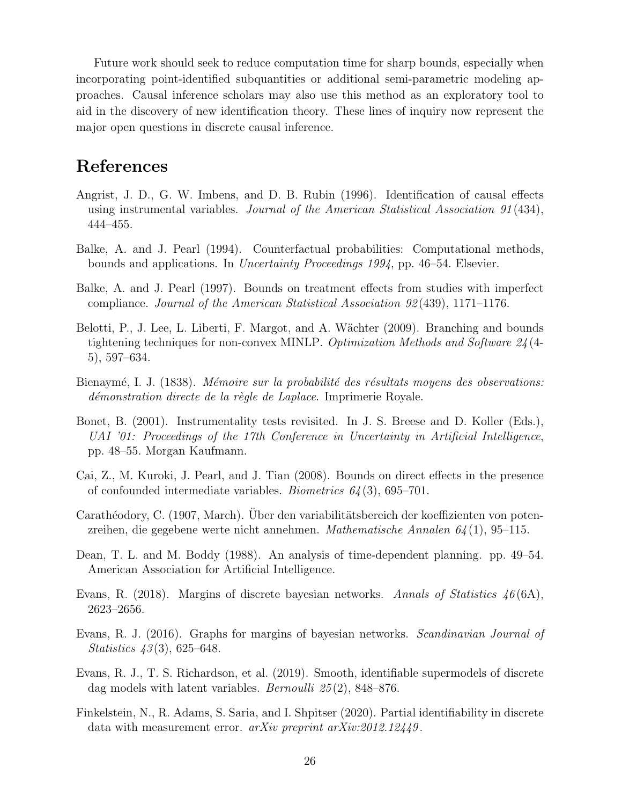Future work should seek to reduce computation time for sharp bounds, especially when incorporating point-identified subquantities or additional semi-parametric modeling approaches. Causal inference scholars may also use this method as an exploratory tool to aid in the discovery of new identification theory. These lines of inquiry now represent the major open questions in discrete causal inference.

# References

- <span id="page-27-7"></span>Angrist, J. D., G. W. Imbens, and D. B. Rubin (1996). Identification of causal effects using instrumental variables. Journal of the American Statistical Association 91 (434), 444–455.
- <span id="page-27-1"></span>Balke, A. and J. Pearl (1994). Counterfactual probabilities: Computational methods, bounds and applications. In Uncertainty Proceedings 1994, pp. 46–54. Elsevier.
- <span id="page-27-2"></span>Balke, A. and J. Pearl (1997). Bounds on treatment effects from studies with imperfect compliance. Journal of the American Statistical Association 92 (439), 1171–1176.
- <span id="page-27-3"></span>Belotti, P., J. Lee, L. Liberti, F. Margot, and A. Wächter (2009). Branching and bounds tightening techniques for non-convex MINLP. Optimization Methods and Software  $24/4$ -5), 597–634.
- <span id="page-27-9"></span>Bienaymé, I. J. (1838). *Mémoire sur la probabilité des résultats moyens des observations:* démonstration directe de la règle de Laplace. Imprimerie Royale.
- <span id="page-27-5"></span>Bonet, B. (2001). Instrumentality tests revisited. In J. S. Breese and D. Koller (Eds.), UAI '01: Proceedings of the 17th Conference in Uncertainty in Artificial Intelligence, pp. 48–55. Morgan Kaufmann.
- <span id="page-27-0"></span>Cai, Z., M. Kuroki, J. Pearl, and J. Tian (2008). Bounds on direct effects in the presence of confounded intermediate variables. *Biometrics*  $64(3)$ , 695–701.
- <span id="page-27-12"></span>Carathéodory, C. (1907, March). Uber den variabilitätsbereich der koeffizienten von potenzreihen, die gegebene werte nicht annehmen. Mathematische Annalen  $64(1)$ , 95–115.
- <span id="page-27-4"></span>Dean, T. L. and M. Boddy (1988). An analysis of time-dependent planning. pp. 49–54. American Association for Artificial Intelligence.
- <span id="page-27-6"></span>Evans, R. (2018). Margins of discrete bayesian networks. Annals of Statistics  $46(6A)$ , 2623–2656.
- <span id="page-27-11"></span>Evans, R. J. (2016). Graphs for margins of bayesian networks. Scandinavian Journal of *Statistics*  $43(3)$ , 625–648.
- <span id="page-27-8"></span>Evans, R. J., T. S. Richardson, et al. (2019). Smooth, identifiable supermodels of discrete dag models with latent variables. *Bernoulli* 25(2), 848–876.
- <span id="page-27-10"></span>Finkelstein, N., R. Adams, S. Saria, and I. Shpitser (2020). Partial identifiability in discrete data with measurement error.  $arXiv$  preprint  $arXiv:2012.12449$ .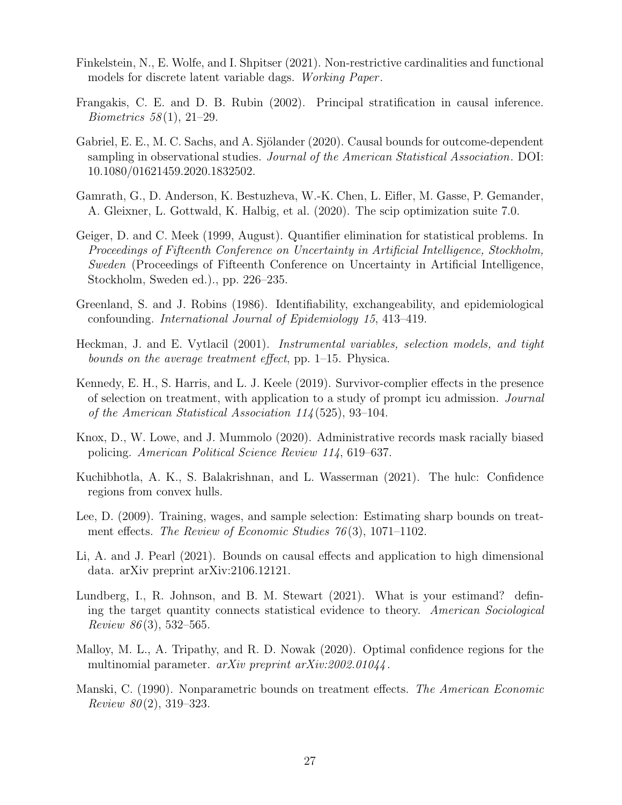- <span id="page-28-10"></span>Finkelstein, N., E. Wolfe, and I. Shpitser (2021). Non-restrictive cardinalities and functional models for discrete latent variable dags. Working Paper .
- <span id="page-28-9"></span>Frangakis, C. E. and D. B. Rubin (2002). Principal stratification in causal inference. *Biometrics*  $58(1)$ ,  $21-29$ .
- <span id="page-28-1"></span>Gabriel, E. E., M. C. Sachs, and A. Sjölander (2020). Causal bounds for outcome-dependent sampling in observational studies. Journal of the American Statistical Association. DOI: 10.1080/01621459.2020.1832502.
- <span id="page-28-8"></span>Gamrath, G., D. Anderson, K. Bestuzheva, W.-K. Chen, L. Eifler, M. Gasse, P. Gemander, A. Gleixner, L. Gottwald, K. Halbig, et al. (2020). The scip optimization suite 7.0.
- <span id="page-28-7"></span>Geiger, D. and C. Meek (1999, August). Quantifier elimination for statistical problems. In Proceedings of Fifteenth Conference on Uncertainty in Artificial Intelligence, Stockholm, Sweden (Proceedings of Fifteenth Conference on Uncertainty in Artificial Intelligence, Stockholm, Sweden ed.)., pp. 226–235.
- <span id="page-28-11"></span>Greenland, S. and J. Robins (1986). Identifiability, exchangeability, and epidemiological confounding. International Journal of Epidemiology 15, 413–419.
- <span id="page-28-6"></span>Heckman, J. and E. Vytlacil (2001). Instrumental variables, selection models, and tight bounds on the average treatment effect, pp. 1–15. Physica.
- <span id="page-28-2"></span>Kennedy, E. H., S. Harris, and L. J. Keele (2019). Survivor-complier effects in the presence of selection on treatment, with application to a study of prompt icu admission. Journal of the American Statistical Association 114 (525), 93–104.
- <span id="page-28-3"></span>Knox, D., W. Lowe, and J. Mummolo (2020). Administrative records mask racially biased policing. American Political Science Review 114, 619–637.
- <span id="page-28-14"></span>Kuchibhotla, A. K., S. Balakrishnan, and L. Wasserman (2021). The hulc: Confidence regions from convex hulls.
- <span id="page-28-0"></span>Lee, D. (2009). Training, wages, and sample selection: Estimating sharp bounds on treatment effects. The Review of Economic Studies  $76(3)$ , 1071–1102.
- <span id="page-28-4"></span>Li, A. and J. Pearl (2021). Bounds on causal effects and application to high dimensional data. arXiv preprint arXiv:2106.12121.
- <span id="page-28-13"></span>Lundberg, I., R. Johnson, and B. M. Stewart (2021). What is your estimand? defining the target quantity connects statistical evidence to theory. American Sociological Review 86(3), 532–565.
- <span id="page-28-12"></span>Malloy, M. L., A. Tripathy, and R. D. Nowak (2020). Optimal confidence regions for the multinomial parameter. arXiv preprint arXiv:2002.01044.
- <span id="page-28-5"></span>Manski, C. (1990). Nonparametric bounds on treatment effects. The American Economic Review  $80(2)$ , 319-323.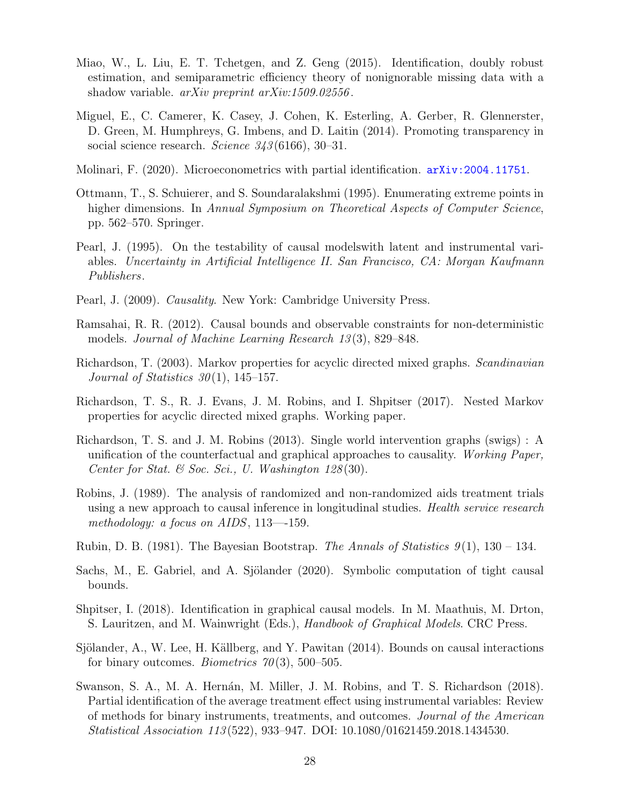- <span id="page-29-4"></span>Miao, W., L. Liu, E. T. Tchetgen, and Z. Geng (2015). Identification, doubly robust estimation, and semiparametric efficiency theory of nonignorable missing data with a shadow variable. *arXiv preprint arXiv:1509.02556*.
- <span id="page-29-13"></span>Miguel, E., C. Camerer, K. Casey, J. Cohen, K. Esterling, A. Gerber, R. Glennerster, D. Green, M. Humphreys, G. Imbens, and D. Laitin (2014). Promoting transparency in social science research. Science  $343(6166)$ , 30–31.
- <span id="page-29-3"></span>Molinari, F. (2020). Microeconometrics with partial identification. <arXiv:2004.11751>.
- <span id="page-29-15"></span>Ottmann, T., S. Schuierer, and S. Soundaralakshmi (1995). Enumerating extreme points in higher dimensions. In Annual Symposium on Theoretical Aspects of Computer Science, pp. 562–570. Springer.
- <span id="page-29-7"></span>Pearl, J. (1995). On the testability of causal modelswith latent and instrumental variables. Uncertainty in Artificial Intelligence II. San Francisco, CA: Morgan Kaufmann Publishers.
- <span id="page-29-8"></span>Pearl, J. (2009). Causality. New York: Cambridge University Press.
- <span id="page-29-5"></span>Ramsahai, R. R. (2012). Causal bounds and observable constraints for non-deterministic models. Journal of Machine Learning Research 13 (3), 829–848.
- <span id="page-29-11"></span>Richardson, T. (2003). Markov properties for acyclic directed mixed graphs. Scandinavian Journal of Statistics  $30(1)$ , 145–157.
- <span id="page-29-14"></span>Richardson, T. S., R. J. Evans, J. M. Robins, and I. Shpitser (2017). Nested Markov properties for acyclic directed mixed graphs. Working paper.
- <span id="page-29-9"></span>Richardson, T. S. and J. M. Robins (2013). Single world intervention graphs (swigs) : A unification of the counterfactual and graphical approaches to causality. Working Paper, Center for Stat. & Soc. Sci., U. Washington  $128(30)$ .
- <span id="page-29-1"></span>Robins, J. (1989). The analysis of randomized and non-randomized aids treatment trials using a new approach to causal inference in longitudinal studies. *Health service research* methodology: a focus on AIDS, 113—-159.
- <span id="page-29-12"></span>Rubin, D. B. (1981). The Bayesian Bootstrap. The Annals of Statistics  $9(1)$ , 130 – 134.
- <span id="page-29-6"></span>Sachs, M., E. Gabriel, and A. Sjölander (2020). Symbolic computation of tight causal bounds.
- <span id="page-29-10"></span>Shpitser, I. (2018). Identification in graphical causal models. In M. Maathuis, M. Drton, S. Lauritzen, and M. Wainwright (Eds.), *Handbook of Graphical Models*. CRC Press.
- <span id="page-29-0"></span>Sjölander, A., W. Lee, H. Källberg, and Y. Pawitan (2014). Bounds on causal interactions for binary outcomes. *Biometrics*  $70(3)$ , 500–505.
- <span id="page-29-2"></span>Swanson, S. A., M. A. Hernán, M. Miller, J. M. Robins, and T. S. Richardson (2018). Partial identification of the average treatment effect using instrumental variables: Review of methods for binary instruments, treatments, and outcomes. Journal of the American Statistical Association 113 (522), 933–947. DOI: 10.1080/01621459.2018.1434530.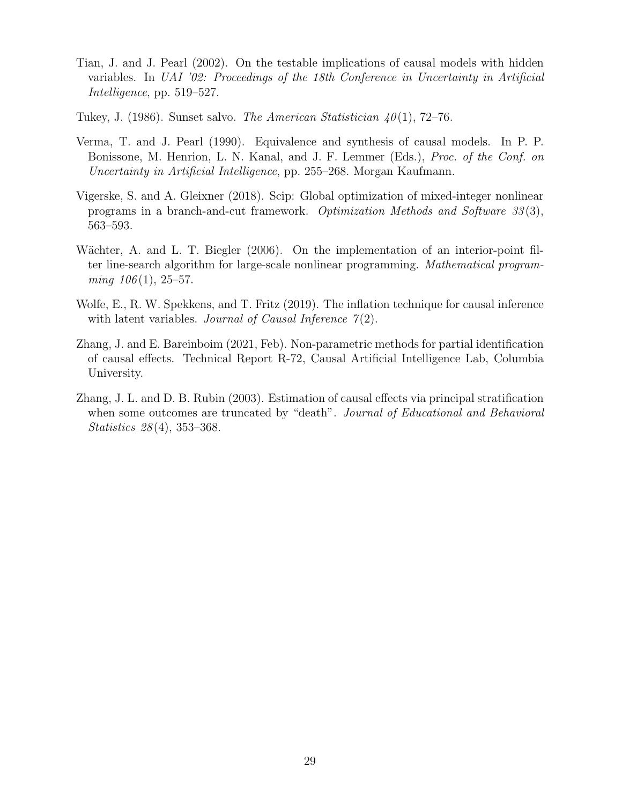- <span id="page-30-6"></span>Tian, J. and J. Pearl (2002). On the testable implications of causal models with hidden variables. In UAI '02: Proceedings of the 18th Conference in Uncertainty in Artificial Intelligence, pp. 519–527.
- <span id="page-30-0"></span>Tukey, J. (1986). Sunset salvo. *The American Statistician 40*(1), 72–76.
- <span id="page-30-5"></span>Verma, T. and J. Pearl (1990). Equivalence and synthesis of causal models. In P. P. Bonissone, M. Henrion, L. N. Kanal, and J. F. Lemmer (Eds.), Proc. of the Conf. on Uncertainty in Artificial Intelligence, pp. 255–268. Morgan Kaufmann.
- <span id="page-30-4"></span>Vigerske, S. and A. Gleixner (2018). Scip: Global optimization of mixed-integer nonlinear programs in a branch-and-cut framework. Optimization Methods and Software 33 (3), 563–593.
- <span id="page-30-7"></span>Wächter, A. and L. T. Biegler (2006). On the implementation of an interior-point filter line-search algorithm for large-scale nonlinear programming. Mathematical program $ming\ 106(1),\ 25-57.$
- <span id="page-30-3"></span>Wolfe, E., R. W. Spekkens, and T. Fritz (2019). The inflation technique for causal inference with latent variables. Journal of Causal Inference  $\mathcal{T}(2)$ .
- <span id="page-30-2"></span>Zhang, J. and E. Bareinboim (2021, Feb). Non-parametric methods for partial identification of causal effects. Technical Report R-72, Causal Artificial Intelligence Lab, Columbia University.
- <span id="page-30-1"></span>Zhang, J. L. and D. B. Rubin (2003). Estimation of causal effects via principal stratification when some outcomes are truncated by "death". Journal of Educational and Behavioral Statistics 28 (4), 353–368.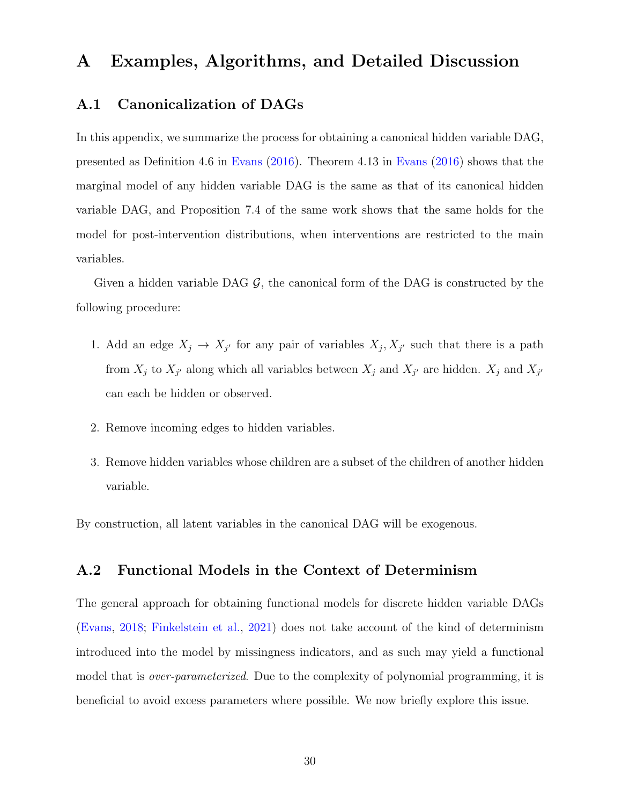## <span id="page-31-0"></span>A Examples, Algorithms, and Detailed Discussion

#### <span id="page-31-1"></span>A.1 Canonicalization of DAGs

In this appendix, we summarize the process for obtaining a canonical hidden variable DAG, presented as Definition 4.6 in [Evans](#page-27-11) [\(2016\)](#page-27-11). Theorem 4.13 in [Evans](#page-27-11) [\(2016\)](#page-27-11) shows that the marginal model of any hidden variable DAG is the same as that of its canonical hidden variable DAG, and Proposition 7.4 of the same work shows that the same holds for the model for post-intervention distributions, when interventions are restricted to the main variables.

Given a hidden variable DAG  $\mathcal{G}$ , the canonical form of the DAG is constructed by the following procedure:

- 1. Add an edge  $X_j \to X_{j'}$  for any pair of variables  $X_j, X_{j'}$  such that there is a path from  $X_j$  to  $X_{j'}$  along which all variables between  $X_j$  and  $X_{j'}$  are hidden.  $X_j$  and  $X_{j'}$ can each be hidden or observed.
- 2. Remove incoming edges to hidden variables.
- 3. Remove hidden variables whose children are a subset of the children of another hidden variable.

By construction, all latent variables in the canonical DAG will be exogenous.

### <span id="page-31-2"></span>A.2 Functional Models in the Context of Determinism

The general approach for obtaining functional models for discrete hidden variable DAGs [\(Evans,](#page-27-6) [2018;](#page-27-6) [Finkelstein et al.,](#page-28-10) [2021\)](#page-28-10) does not take account of the kind of determinism introduced into the model by missingness indicators, and as such may yield a functional model that is *over-parameterized*. Due to the complexity of polynomial programming, it is beneficial to avoid excess parameters where possible. We now briefly explore this issue.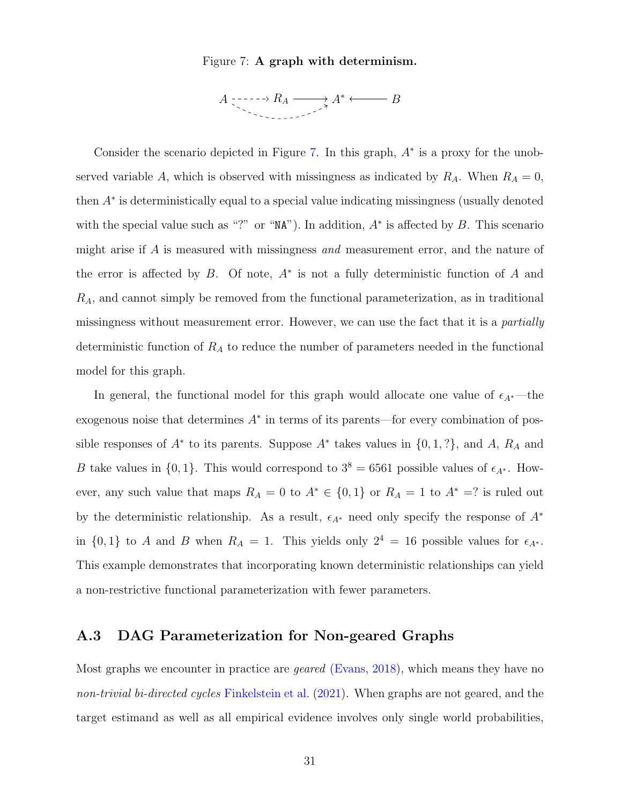#### Figure 7: A graph with determinism.



<span id="page-32-1"></span>Consider the scenario depicted in Figure [7.](#page-32-1) In this graph,  $A^*$  is a proxy for the unobserved variable A, which is observed with missingness as indicated by  $R_A$ . When  $R_A = 0$ , then A<sup>∗</sup> is deterministically equal to a special value indicating missingness (usually denoted with the special value such as "?" or "NA"). In addition,  $A^*$  is affected by B. This scenario might arise if A is measured with missingness and measurement error, and the nature of the error is affected by  $B$ . Of note,  $A^*$  is not a fully deterministic function of  $A$  and  $R_A$ , and cannot simply be removed from the functional parameterization, as in traditional missingness without measurement error. However, we can use the fact that it is a partially deterministic function of  $R_A$  to reduce the number of parameters needed in the functional model for this graph.

In general, the functional model for this graph would allocate one value of  $\epsilon_{A^*}$ —the exogenous noise that determines  $A^*$  in terms of its parents—for every combination of possible responses of  $A^*$  to its parents. Suppose  $A^*$  takes values in  $\{0, 1, ?\}$ , and  $A$ ,  $R_A$  and B take values in  $\{0, 1\}$ . This would correspond to  $3^8 = 6561$  possible values of  $\epsilon_{A^*}$ . However, any such value that maps  $R_A = 0$  to  $A^* \in \{0,1\}$  or  $R_A = 1$  to  $A^* = ?$  is ruled out by the deterministic relationship. As a result,  $\epsilon_{A^*}$  need only specify the response of  $A^*$ in  $\{0, 1\}$  to A and B when  $R_A = 1$ . This yields only  $2^4 = 16$  possible values for  $\epsilon_{A^*}$ . This example demonstrates that incorporating known deterministic relationships can yield a non-restrictive functional parameterization with fewer parameters.

### <span id="page-32-0"></span>A.3 DAG Parameterization for Non-geared Graphs

Most graphs we encounter in practice are *geared* [\(Evans,](#page-27-6) [2018\)](#page-27-6), which means they have no non-trivial bi-directed cycles [Finkelstein et al.](#page-28-10) [\(2021\)](#page-28-10). When graphs are not geared, and the target estimand as well as all empirical evidence involves only single world probabilities,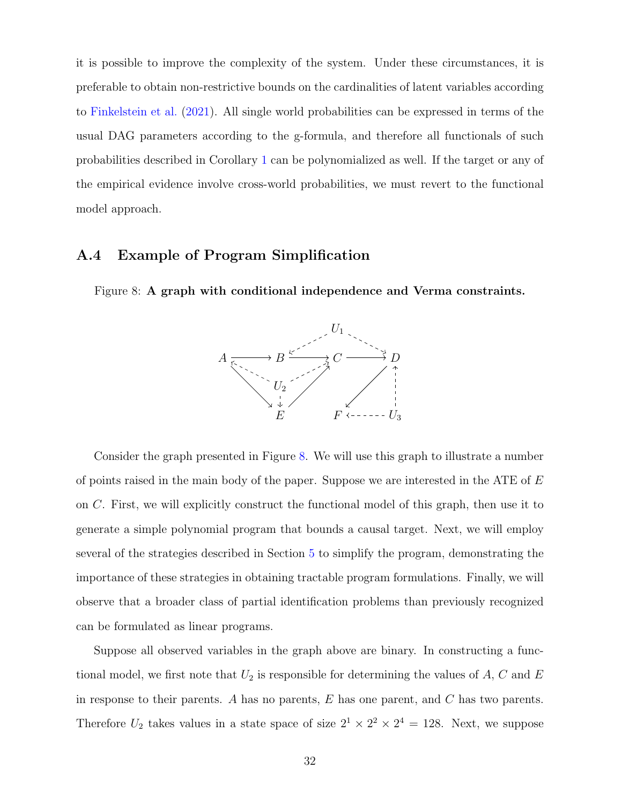it is possible to improve the complexity of the system. Under these circumstances, it is preferable to obtain non-restrictive bounds on the cardinalities of latent variables according to [Finkelstein et al.](#page-28-10) [\(2021\)](#page-28-10). All single world probabilities can be expressed in terms of the usual DAG parameters according to the g-formula, and therefore all functionals of such probabilities described in Corollary [1](#page-11-0) can be polynomialized as well. If the target or any of the empirical evidence involve cross-world probabilities, we must revert to the functional model approach.

#### <span id="page-33-0"></span>A.4 Example of Program Simplification

<span id="page-33-1"></span>Figure 8: A graph with conditional independence and Verma constraints.



Consider the graph presented in Figure [8.](#page-33-1) We will use this graph to illustrate a number of points raised in the main body of the paper. Suppose we are interested in the ATE of E on C. First, we will explicitly construct the functional model of this graph, then use it to generate a simple polynomial program that bounds a causal target. Next, we will employ several of the strategies described in Section [5](#page-13-0) to simplify the program, demonstrating the importance of these strategies in obtaining tractable program formulations. Finally, we will observe that a broader class of partial identification problems than previously recognized can be formulated as linear programs.

Suppose all observed variables in the graph above are binary. In constructing a functional model, we first note that  $U_2$  is responsible for determining the values of  $A, C$  and  $E$ in response to their parents. A has no parents,  $E$  has one parent, and  $C$  has two parents. Therefore  $U_2$  takes values in a state space of size  $2^1 \times 2^2 \times 2^4 = 128$ . Next, we suppose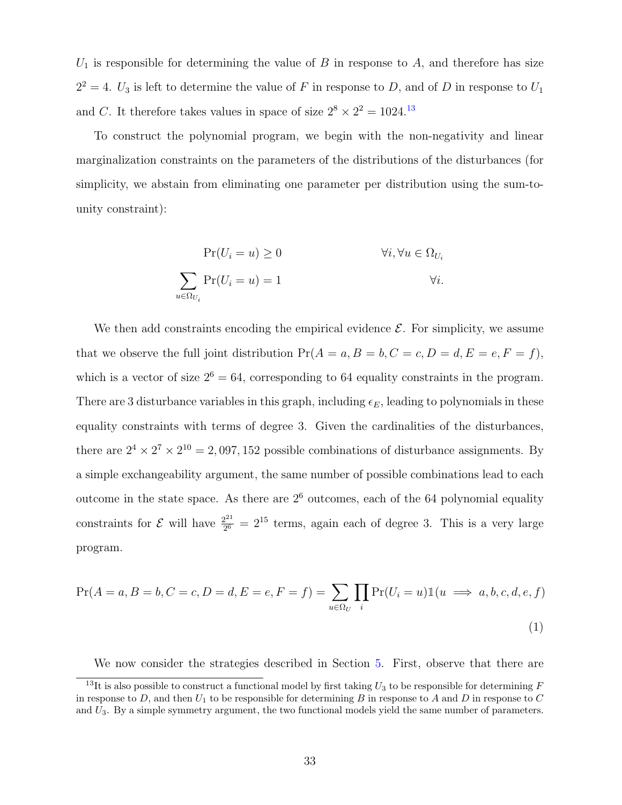$U_1$  is responsible for determining the value of B in response to A, and therefore has size  $2^2 = 4$ .  $U_3$  is left to determine the value of F in response to D, and of D in response to  $U_1$ and C. It therefore takes values in space of size  $2^8 \times 2^2 = 1024$ .<sup>[13](#page-0-0)</sup>

To construct the polynomial program, we begin with the non-negativity and linear marginalization constraints on the parameters of the distributions of the disturbances (for simplicity, we abstain from eliminating one parameter per distribution using the sum-tounity constraint):

$$
\Pr(U_i = u) \ge 0 \qquad \forall i, \forall u \in \Omega_{U_i}
$$

$$
\sum_{u \in \Omega_{U_i}} \Pr(U_i = u) = 1 \qquad \forall i.
$$

We then add constraints encoding the empirical evidence  $\mathcal{E}$ . For simplicity, we assume that we observe the full joint distribution  $Pr(A = a, B = b, C = c, D = d, E = e, F = f)$ , which is a vector of size  $2^6 = 64$ , corresponding to 64 equality constraints in the program. There are 3 disturbance variables in this graph, including  $\epsilon_E$ , leading to polynomials in these equality constraints with terms of degree 3. Given the cardinalities of the disturbances, there are  $2^4 \times 2^7 \times 2^{10} = 2,097,152$  possible combinations of disturbance assignments. By a simple exchangeability argument, the same number of possible combinations lead to each outcome in the state space. As there are  $2<sup>6</sup>$  outcomes, each of the 64 polynomial equality constraints for  $\mathcal E$  will have  $\frac{2^{21}}{26}$  $\frac{2^{21}}{2^6}$  =  $2^{15}$  terms, again each of degree 3. This is a very large program.

$$
\Pr(A = a, B = b, C = c, D = d, E = e, F = f) = \sum_{u \in \Omega_U} \prod_i \Pr(U_i = u) \mathbb{1}(u \implies a, b, c, d, e, f)
$$
\n(1)

We now consider the strategies described in Section [5.](#page-13-0) First, observe that there are

<sup>&</sup>lt;sup>13</sup>It is also possible to construct a functional model by first taking  $U_3$  to be responsible for determining F in response to  $D$ , and then  $U_1$  to be responsible for determining  $B$  in response to  $A$  and  $D$  in response to  $C$ and  $U_3$ . By a simple symmetry argument, the two functional models yield the same number of parameters.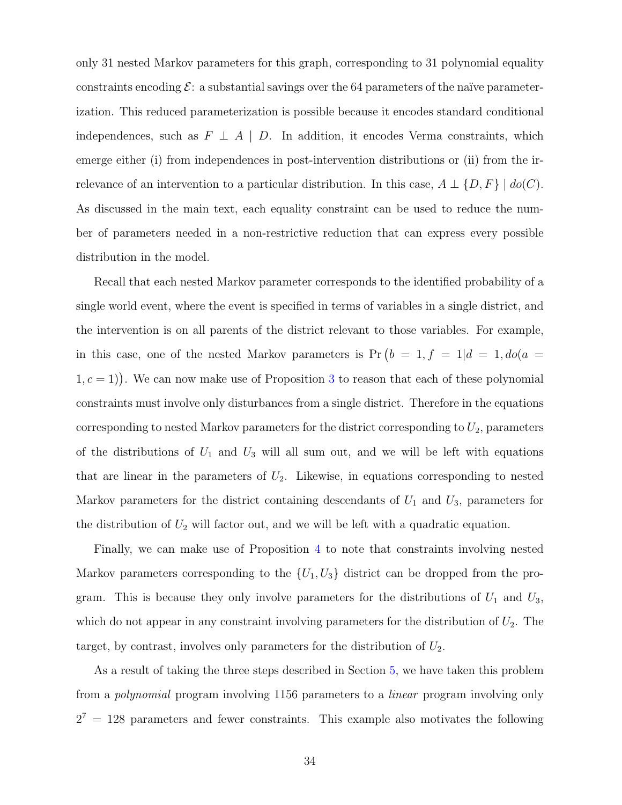only 31 nested Markov parameters for this graph, corresponding to 31 polynomial equality constraints encoding  $\mathcal{E}:$  a substantial savings over the 64 parameters of the naïve parameterization. This reduced parameterization is possible because it encodes standard conditional independences, such as  $F \perp A \mid D$ . In addition, it encodes Verma constraints, which emerge either (i) from independences in post-intervention distributions or (ii) from the irrelevance of an intervention to a particular distribution. In this case,  $A \perp \{D, F\} \mid do(C)$ . As discussed in the main text, each equality constraint can be used to reduce the number of parameters needed in a non-restrictive reduction that can express every possible distribution in the model.

Recall that each nested Markov parameter corresponds to the identified probability of a single world event, where the event is specified in terms of variables in a single district, and the intervention is on all parents of the district relevant to those variables. For example, in this case, one of the nested Markov parameters is  $Pr(b = 1, f = 1|d = 1, do(a = 1, f = 1|d = 1, do(a = 1, b = 1, b = 1)$  $(1, c = 1)$ . We can now make use of Proposition [3](#page-13-3) to reason that each of these polynomial constraints must involve only disturbances from a single district. Therefore in the equations corresponding to nested Markov parameters for the district corresponding to  $U_2$ , parameters of the distributions of  $U_1$  and  $U_3$  will all sum out, and we will be left with equations that are linear in the parameters of  $U_2$ . Likewise, in equations corresponding to nested Markov parameters for the district containing descendants of  $U_1$  and  $U_3$ , parameters for the distribution of  $U_2$  will factor out, and we will be left with a quadratic equation.

Finally, we can make use of Proposition [4](#page-15-1) to note that constraints involving nested Markov parameters corresponding to the  $\{U_1, U_3\}$  district can be dropped from the program. This is because they only involve parameters for the distributions of  $U_1$  and  $U_3$ , which do not appear in any constraint involving parameters for the distribution of  $U_2$ . The target, by contrast, involves only parameters for the distribution of  $U_2$ .

As a result of taking the three steps described in Section [5,](#page-13-0) we have taken this problem from a polynomial program involving 1156 parameters to a linear program involving only  $2^7 = 128$  parameters and fewer constraints. This example also motivates the following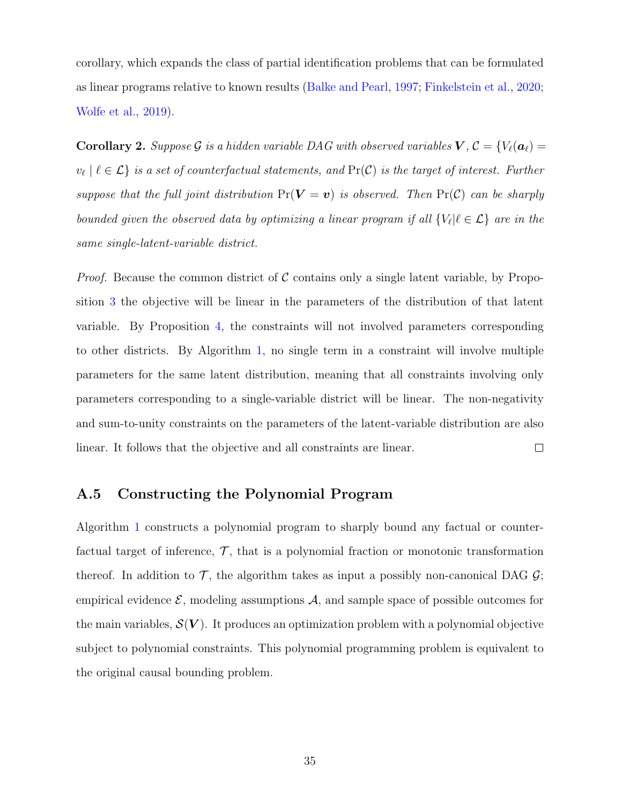corollary, which expands the class of partial identification problems that can be formulated as linear programs relative to known results [\(Balke and Pearl,](#page-27-2) [1997;](#page-27-2) [Finkelstein et al.,](#page-27-10) [2020;](#page-27-10) [Wolfe et al.,](#page-30-3) [2019\)](#page-30-3).

**Corollary 2.** Suppose G is a hidden variable DAG with observed variables  $V, C = \{V_\ell(\boldsymbol{a}_\ell) =$  $v_{\ell} \mid \ell \in \mathcal{L}$  is a set of counterfactual statements, and  $Pr(\mathcal{C})$  is the target of interest. Further suppose that the full joint distribution  $Pr(V = v)$  is observed. Then  $Pr(C)$  can be sharply bounded given the observed data by optimizing a linear program if all  $\{V_\ell | \ell \in \mathcal{L}\}$  are in the same single-latent-variable district.

*Proof.* Because the common district of C contains only a single latent variable, by Proposition [3](#page-13-3) the objective will be linear in the parameters of the distribution of that latent variable. By Proposition [4,](#page-15-1) the constraints will not involved parameters corresponding to other districts. By Algorithm [1,](#page-37-1) no single term in a constraint will involve multiple parameters for the same latent distribution, meaning that all constraints involving only parameters corresponding to a single-variable district will be linear. The non-negativity and sum-to-unity constraints on the parameters of the latent-variable distribution are also  $\Box$ linear. It follows that the objective and all constraints are linear.

### <span id="page-36-0"></span>A.5 Constructing the Polynomial Program

Algorithm [1](#page-37-1) constructs a polynomial program to sharply bound any factual or counterfactual target of inference,  $\mathcal{T}$ , that is a polynomial fraction or monotonic transformation thereof. In addition to  $\mathcal{T}$ , the algorithm takes as input a possibly non-canonical DAG  $\mathcal{G}$ ; empirical evidence  $\mathcal{E}$ , modeling assumptions  $\mathcal{A}$ , and sample space of possible outcomes for the main variables,  $\mathcal{S}(V)$ . It produces an optimization problem with a polynomial objective subject to polynomial constraints. This polynomial programming problem is equivalent to the original causal bounding problem.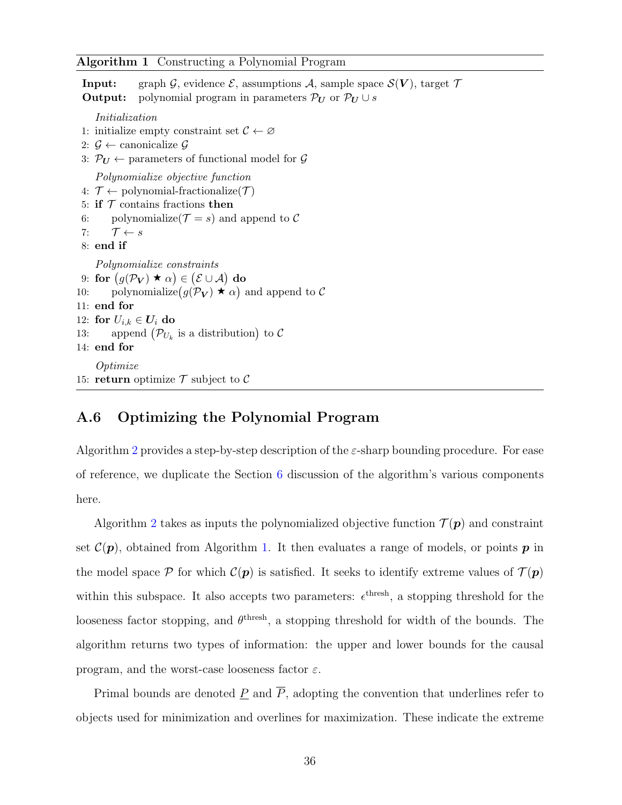#### <span id="page-37-1"></span>Algorithm 1 Constructing a Polynomial Program

**Input:** graph G, evidence  $\mathcal{E}$ , assumptions A, sample space  $\mathcal{S}(V)$ , target  $\mathcal{T}$ **Output:** polynomial program in parameters  $\mathcal{P}_U$  or  $\mathcal{P}_U \cup s$ Initialization 1: initialize empty constraint set  $\mathcal{C} \leftarrow \emptyset$ 2:  $\mathcal{G}$  ← canonicalize  $\mathcal{G}$ 3:  $\mathcal{P}_U \leftarrow$  parameters of functional model for  $\mathcal{G}$ Polynomialize objective function 4:  $\mathcal{T} \leftarrow$  polynomial-fractionalize( $\mathcal{T}$ ) 5: if  $T$  contains fractions then 6: polynomialize( $\mathcal{T} = s$ ) and append to  $\mathcal C$ 7:  $\mathcal{T} \leftarrow s$ 8: end if Polynomialize constraints 9: for  $\big(g(\mathcal{P}_{\boldsymbol{V}})\blacklozenge\alpha\big)\in\big(\mathcal{E}\cup\mathcal{A}\big)$  do 10: polynomialize $(g(\mathcal{P}_{\mathbf{V}}) \star \alpha)$  and append to C 11: end for 12: for  $U_{i,k} \in U_i$  do 13: append  $(\mathcal{P}_{U_k}$  is a distribution) to  $\mathcal{C}$ 14: end for **Optimize** 15: return optimize  $\mathcal T$  subject to  $\mathcal C$ 

### <span id="page-37-0"></span>A.6 Optimizing the Polynomial Program

Algorithm [2](#page-39-0) provides a step-by-step description of the  $\varepsilon$ -sharp bounding procedure. For ease of reference, we duplicate the Section [6](#page-16-0) discussion of the algorithm's various components here.

Algorithm [2](#page-39-0) takes as inputs the polynomialized objective function  $\mathcal{T}(p)$  and constraint set  $\mathcal{C}(\boldsymbol{p})$ , obtained from Algorithm [1.](#page-37-1) It then evaluates a range of models, or points  $\boldsymbol{p}$  in the model space P for which  $\mathcal{C}(p)$  is satisfied. It seeks to identify extreme values of  $\mathcal{T}(p)$ within this subspace. It also accepts two parameters:  $\epsilon^{\text{thresh}}$ , a stopping threshold for the looseness factor stopping, and  $\theta^{\text{thresh}}$ , a stopping threshold for width of the bounds. The algorithm returns two types of information: the upper and lower bounds for the causal program, and the worst-case looseness factor  $\varepsilon$ .

Primal bounds are denoted  $\underline{P}$  and  $\overline{P}$ , adopting the convention that underlines refer to objects used for minimization and overlines for maximization. These indicate the extreme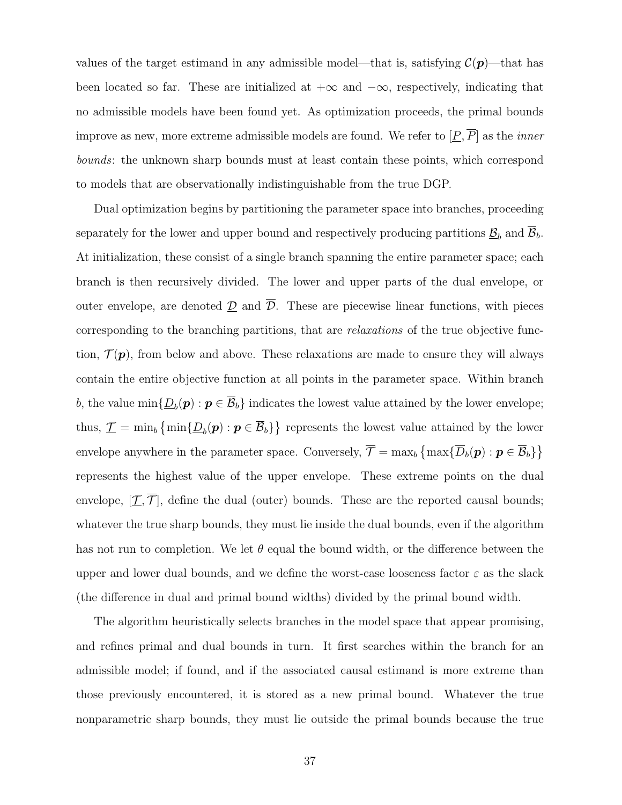values of the target estimand in any admissible model—that is, satisfying  $\mathcal{C}(\mathbf{p})$ —that has been located so far. These are initialized at  $+\infty$  and  $-\infty$ , respectively, indicating that no admissible models have been found yet. As optimization proceeds, the primal bounds improve as new, more extreme admissible models are found. We refer to  $[\underline{P}, \overline{P}]$  as the *inner* bounds: the unknown sharp bounds must at least contain these points, which correspond to models that are observationally indistinguishable from the true DGP.

Dual optimization begins by partitioning the parameter space into branches, proceeding separately for the lower and upper bound and respectively producing partitions  $\underline{\mathcal{B}}_b$  and  $\mathcal{B}_b$ . At initialization, these consist of a single branch spanning the entire parameter space; each branch is then recursively divided. The lower and upper parts of the dual envelope, or outer envelope, are denoted  $\underline{\mathcal{D}}$  and  $\overline{\mathcal{D}}$ . These are piecewise linear functions, with pieces corresponding to the branching partitions, that are relaxations of the true objective function,  $\mathcal{T}(\boldsymbol{p})$ , from below and above. These relaxations are made to ensure they will always contain the entire objective function at all points in the parameter space. Within branch b, the value  $\min\{\underline{D}_b(\bm{p}) : \bm{p} \in \overline{\mathcal{B}}_b\}$  indicates the lowest value attained by the lower envelope; thus,  $\mathcal{I} = \min_b \{ \min \{ \underline{D}_b(\boldsymbol{p}) : \boldsymbol{p} \in \overline{\mathcal{B}}_b \} \}$  represents the lowest value attained by the lower envelope anywhere in the parameter space. Conversely,  $\overline{\mathcal{T}} = \max_b \{ \max \{ \overline{D}_b(\mathbf{p}) : \mathbf{p} \in \overline{\mathcal{B}}_b \} \}$ represents the highest value of the upper envelope. These extreme points on the dual envelope,  $[\overline{\mathcal{I}}, \overline{\mathcal{I}}]$ , define the dual (outer) bounds. These are the reported causal bounds; whatever the true sharp bounds, they must lie inside the dual bounds, even if the algorithm has not run to completion. We let  $\theta$  equal the bound width, or the difference between the upper and lower dual bounds, and we define the worst-case looseness factor  $\varepsilon$  as the slack (the difference in dual and primal bound widths) divided by the primal bound width.

The algorithm heuristically selects branches in the model space that appear promising, and refines primal and dual bounds in turn. It first searches within the branch for an admissible model; if found, and if the associated causal estimand is more extreme than those previously encountered, it is stored as a new primal bound. Whatever the true nonparametric sharp bounds, they must lie outside the primal bounds because the true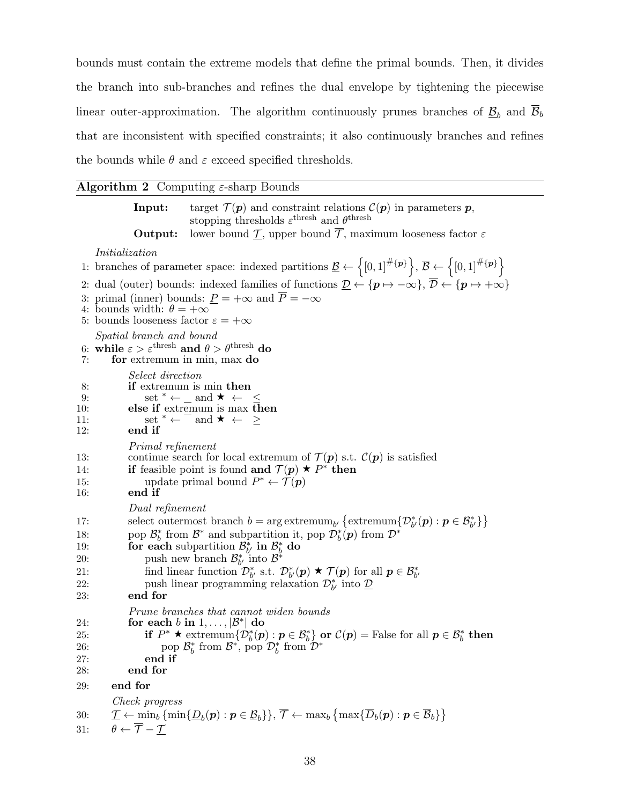bounds must contain the extreme models that define the primal bounds. Then, it divides the branch into sub-branches and refines the dual envelope by tightening the piecewise linear outer-approximation. The algorithm continuously prunes branches of  $\underline{\mathcal{B}}_b$  and  $\overline{\mathcal{B}}_b$ that are inconsistent with specified constraints; it also continuously branches and refines the bounds while  $\theta$  and  $\varepsilon$  exceed specified thresholds.

#### <span id="page-39-0"></span>**Algorithm 2** Computing  $\varepsilon$ -sharp Bounds

**Input:** target  $\mathcal{T}(\boldsymbol{p})$  and constraint relations  $\mathcal{C}(\boldsymbol{p})$  in parameters  $\boldsymbol{p}$ , stopping thresholds  $\varepsilon^{\text{thresh}}$  and  $\theta^{\text{thresh}}$ **Output:** lower bound  $\mathcal{T}$ , upper bound  $\overline{\mathcal{T}}$ , maximum looseness factor  $\varepsilon$ Initialization 1: branches of parameter space: indexed partitions  $\underline{\mathcal{B}} \leftarrow \{0,1]^{\#\{p\}}\}, \overline{\mathcal{B}} \leftarrow \{0,1]^{\#\{p\}}\}$ 2: dual (outer) bounds: indexed families of functions  $\mathcal{D} \leftarrow \{p \mapsto -\infty\}, \overline{\mathcal{D}} \leftarrow \{p \mapsto +\infty\}$ 3: primal (inner) bounds:  $P = +\infty$  and  $P = -\infty$ 4: bounds width:  $\theta = +\infty$ 5: bounds looseness factor  $\varepsilon = +\infty$ Spatial branch and bound 6: while  $\varepsilon > \varepsilon^{\text{thresh}}$  and  $\theta > \theta^{\text{thresh}}$  do 7: for extremum in min, max do Select direction 8: if extremum is min then 9:  $\text{set }^* \leftarrow \text{and } \star \leftarrow \leq$ 10: else if extremum is max then 11:  $\text{set }^* \leftarrow \text{and } \star \leftarrow \geq$ 12: end if Primal refinement 13: continue search for local extremum of  $\mathcal{T}(\boldsymbol{p})$  s.t.  $\mathcal{C}(\boldsymbol{p})$  is satisfied 14: **if** feasible point is found **and**  $\mathcal{T}(p) \star P^*$  then 15: update primal bound  $P^* \leftarrow \mathcal{T}(\mathbf{p})$ 16: end if Dual refinement 17: select outermost branch  $b = \arg \text{extremum}_{b'} \{ \text{extremum}_{b'}(p) : p \in \mathcal{B}_{b'}^* \}$ 18: pop  $\mathcal{B}_{b}^{*}$  from  $\mathcal{B}^{*}$  and subpartition it, pop  $\mathcal{D}_{b}^{*}(\boldsymbol{p})$  from  $\mathcal{D}^{*}$ 19: **for each** subpartition  $\mathcal{B}_{b'}^*$  in  $\mathcal{B}_{b}^*$  do 20: push new branch  $\mathcal{B}_{b'}^*$  into  $\mathcal{B}^*$ 21: find linear function  $\mathcal{D}_{b'}^*$  s.t.  $\mathcal{D}_{b'}^*(p) \star \mathcal{T}(p)$  for all  $p \in \mathcal{B}_{b'}^*$ 22: push linear programming relaxation  $\mathcal{D}_{b'}^*$  into  $\underline{\mathcal{D}}$ 23: end for Prune branches that cannot widen bounds 24: for each b in  $1, \ldots, |\mathcal{B}^*|$  do 25: if  $P^* \star \text{ extremum}\{D_b^*(p) : p \in \mathcal{B}_b^*\}$  or  $\mathcal{C}(p) = \text{False}$  for all  $p \in \mathcal{B}_b^*$  then 26: pop  $\mathcal{B}_b^*$  from  $\mathcal{B}^*$ , pop  $\mathcal{D}_b^*$  from  $\mathcal{D}^*$ 27: end if 28: end for 29: end for Check progress  $\mathfrak{D} \mathfrak{C} \qquad \mathcal{T} \leftarrow \min_b \left\{ \min \{ \underline{D}_b(\boldsymbol{p}) : \boldsymbol{p} \in \underline{\mathcal{B}}_b \} \right\}, \, \overline{\mathcal{T}} \leftarrow \max_b \left\{ \max \{ \overline{D}_b(\boldsymbol{p}) : \boldsymbol{p} \in \overline{\mathcal{B}}_b \} \right\}$ 31:  $\theta \leftarrow \overline{\mathcal{T}} - \mathcal{T}$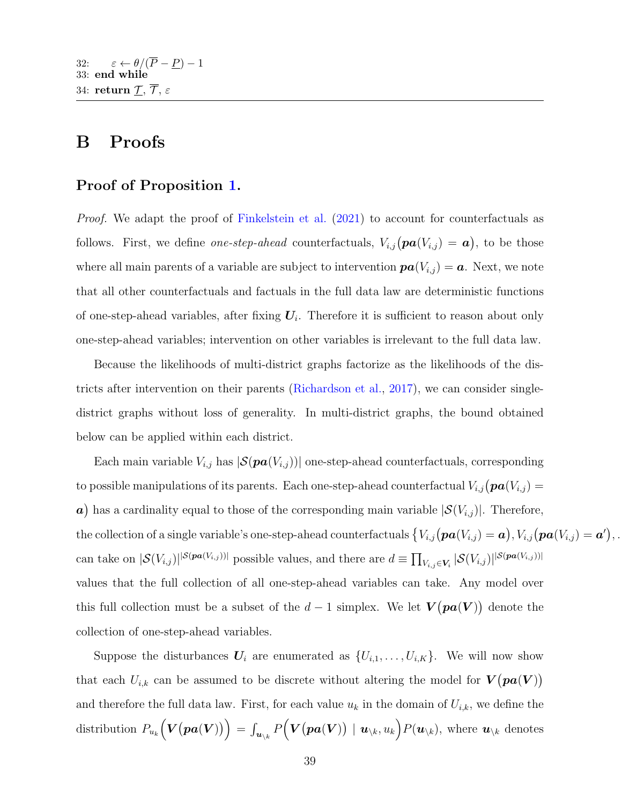# <span id="page-40-0"></span>B Proofs

### Proof of Proposition [1.](#page-8-0)

*Proof.* We adapt the proof of [Finkelstein et al.](#page-28-10) [\(2021\)](#page-28-10) to account for counterfactuals as follows. First, we define *one-step-ahead* counterfactuals,  $V_{i,j}(\textbf{pa}(V_{i,j}) = \textbf{a})$ , to be those where all main parents of a variable are subject to intervention  $\boldsymbol{pa}(V_{i,j}) = \boldsymbol{a}$ . Next, we note that all other counterfactuals and factuals in the full data law are deterministic functions of one-step-ahead variables, after fixing  $U_i$ . Therefore it is sufficient to reason about only one-step-ahead variables; intervention on other variables is irrelevant to the full data law.

Because the likelihoods of multi-district graphs factorize as the likelihoods of the districts after intervention on their parents [\(Richardson et al.,](#page-29-14) [2017\)](#page-29-14), we can consider singledistrict graphs without loss of generality. In multi-district graphs, the bound obtained below can be applied within each district.

Each main variable  $V_{i,j}$  has  $|\mathcal{S}(pa(V_{i,j}))|$  one-step-ahead counterfactuals, corresponding to possible manipulations of its parents. Each one-step-ahead counterfactual  $V_{i,j}(\boldsymbol{pa}(V_{i,j}) =$ a) has a cardinality equal to those of the corresponding main variable  $|\mathcal{S}(V_{i,j})|$ . Therefore, the collection of a single variable's one-step-ahead counterfactuals  $\{V_{i,j}(\boldsymbol{pa}(V_{i,j}) = \boldsymbol{a}), V_{i,j}(\boldsymbol{pa}(V_{i,j}) = \boldsymbol{a}')\}$ . can take on  $|\mathcal{S}(V_{i,j})|^{|S(\textit{pa}(V_{i,j}))|}$  possible values, and there are  $d \equiv \prod_{V_{i,j} \in V_i} |\mathcal{S}(V_{i,j})|^{|S(\textit{pa}(V_{i,j}))|}$ values that the full collection of all one-step-ahead variables can take. Any model over this full collection must be a subset of the  $d-1$  simplex. We let  $V(p a(V))$  denote the collection of one-step-ahead variables.

Suppose the disturbances  $U_i$  are enumerated as  $\{U_{i,1},\ldots,U_{i,K}\}$ . We will now show that each  $U_{i,k}$  can be assumed to be discrete without altering the model for  $V(\textbf{pa}(V))$ and therefore the full data law. First, for each value  $u_k$  in the domain of  $U_{i,k}$ , we define the distribution  $P_{u_k} (V(pa(V))) = \int_{\bm{u}_{\setminus k}} P(V(pa(V)) \mid \bm{u}_{\setminus k}, u_k) P(\bm{u}_{\setminus k})$ , where  $\bm{u}_{\setminus k}$  denotes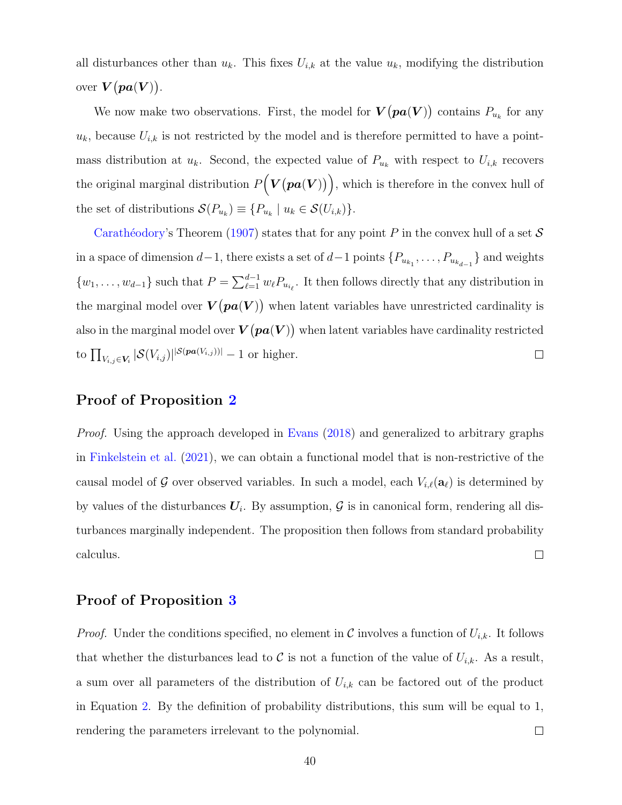all disturbances other than  $u_k$ . This fixes  $U_{i,k}$  at the value  $u_k$ , modifying the distribution over  $V(pa(V)$ .

We now make two observations. First, the model for  $V\bigl(\boldsymbol{pa}(\boldsymbol{V})\bigr)$  contains  $P_{u_k}$  for any  $u_k$ , because  $U_{i,k}$  is not restricted by the model and is therefore permitted to have a pointmass distribution at  $u_k$ . Second, the expected value of  $P_{u_k}$  with respect to  $U_{i,k}$  recovers the original marginal distribution  $P(V(\boldsymbol{pa}(V)))$ , which is therefore in the convex hull of the set of distributions  $\mathcal{S}(P_{u_k}) \equiv \{P_{u_k} \mid u_k \in \mathcal{S}(U_{i,k})\}.$ 

Carathéodory's Theorem [\(1907\)](#page-27-12) states that for any point P in the convex hull of a set  $S$ in a space of dimension  $d-1$ , there exists a set of  $d-1$  points  $\{P_{u_{k_1}}, \ldots, P_{u_{k_{d-1}}}\}$  and weights  $\{w_1, \ldots, w_{d-1}\}\$  such that  $P = \sum_{\ell=1}^{d-1} w_{\ell} P_{u_{i_{\ell}}}\$ . It then follows directly that any distribution in the marginal model over  $V(pa(V))$  when latent variables have unrestricted cardinality is also in the marginal model over  $V(pa(V))$  when latent variables have cardinality restricted to  $\prod_{V_{i,j}\in V_i} |\mathcal{S}(V_{i,j})|^{|\mathcal{S}(pa(V_{i,j}))|}-1$  or higher.  $\Box$ 

#### Proof of Proposition [2](#page-10-1)

Proof. Using the approach developed in [Evans](#page-27-6) [\(2018\)](#page-27-6) and generalized to arbitrary graphs in [Finkelstein et al.](#page-28-10) [\(2021\)](#page-28-10), we can obtain a functional model that is non-restrictive of the causal model of G over observed variables. In such a model, each  $V_{i,\ell}(\mathbf{a}_\ell)$  is determined by by values of the disturbances  $U_i$ . By assumption,  $\mathcal G$  is in canonical form, rendering all disturbances marginally independent. The proposition then follows from standard probability calculus.  $\Box$ 

### Proof of Proposition [3](#page-13-3)

*Proof.* Under the conditions specified, no element in C involves a function of  $U_{i,k}$ . It follows that whether the disturbances lead to C is not a function of the value of  $U_{i,k}$ . As a result, a sum over all parameters of the distribution of  $U_{i,k}$  can be factored out of the product in Equation [2.](#page-11-1) By the definition of probability distributions, this sum will be equal to 1, rendering the parameters irrelevant to the polynomial.  $\Box$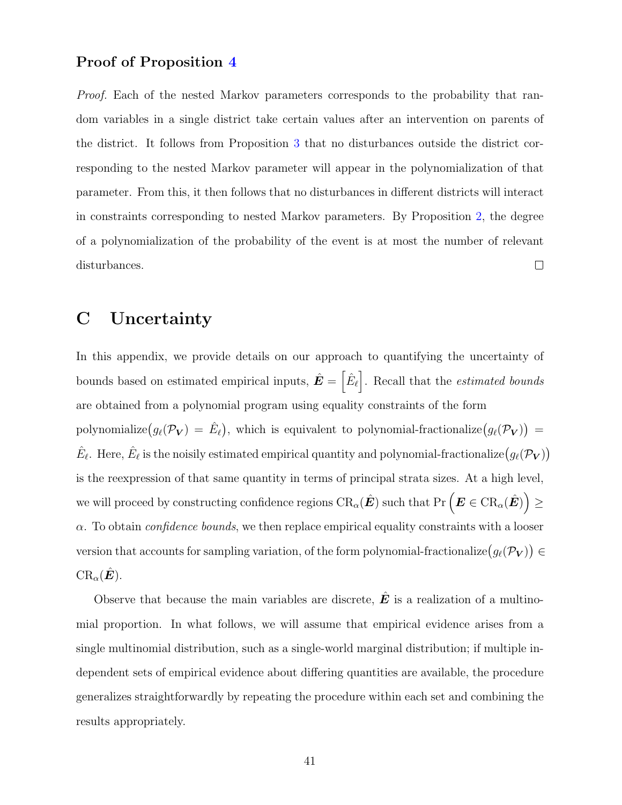#### Proof of Proposition [4](#page-15-1)

Proof. Each of the nested Markov parameters corresponds to the probability that random variables in a single district take certain values after an intervention on parents of the district. It follows from Proposition [3](#page-13-3) that no disturbances outside the district corresponding to the nested Markov parameter will appear in the polynomialization of that parameter. From this, it then follows that no disturbances in different districts will interact in constraints corresponding to nested Markov parameters. By Proposition [2,](#page-10-1) the degree of a polynomialization of the probability of the event is at most the number of relevant disturbances.  $\Box$ 

# <span id="page-42-0"></span>C Uncertainty

In this appendix, we provide details on our approach to quantifying the uncertainty of bounds based on estimated empirical inputs,  $\hat{E} = \left[\hat{E}_{\ell}\right]$ . Recall that the *estimated bounds* are obtained from a polynomial program using equality constraints of the form polynomialize $(g_\ell(\mathcal{P}_{\mathbf{V}}) = \hat{E}_\ell)$ , which is equivalent to polynomial-fractionalize $(g_\ell(\mathcal{P}_{\mathbf{V}}))$  =  $\hat{E}_\ell$ . Here,  $\hat{E}_\ell$  is the noisily estimated empirical quantity and polynomial-fractionalize  $(g_\ell(\mathcal{P}_{\bm{V}}))$ is the reexpression of that same quantity in terms of principal strata sizes. At a high level, we will proceed by constructing confidence regions  $\text{CR}_\alpha(\hat{\bm E})$  such that  $\text{Pr}\left(\bm E\in \text{CR}_\alpha(\hat{\bm E})\right)\geq 0$  $\alpha$ . To obtain *confidence bounds*, we then replace empirical equality constraints with a looser version that accounts for sampling variation, of the form polynomial-fractionalize  $(g_\ell(\mathcal{P}_{\mathbf{V}})) \in$  $\operatorname{CR}_{\alpha}(\tilde{\bm{E}}).$ 

Observe that because the main variables are discrete,  $\hat{E}$  is a realization of a multinomial proportion. In what follows, we will assume that empirical evidence arises from a single multinomial distribution, such as a single-world marginal distribution; if multiple independent sets of empirical evidence about differing quantities are available, the procedure generalizes straightforwardly by repeating the procedure within each set and combining the results appropriately.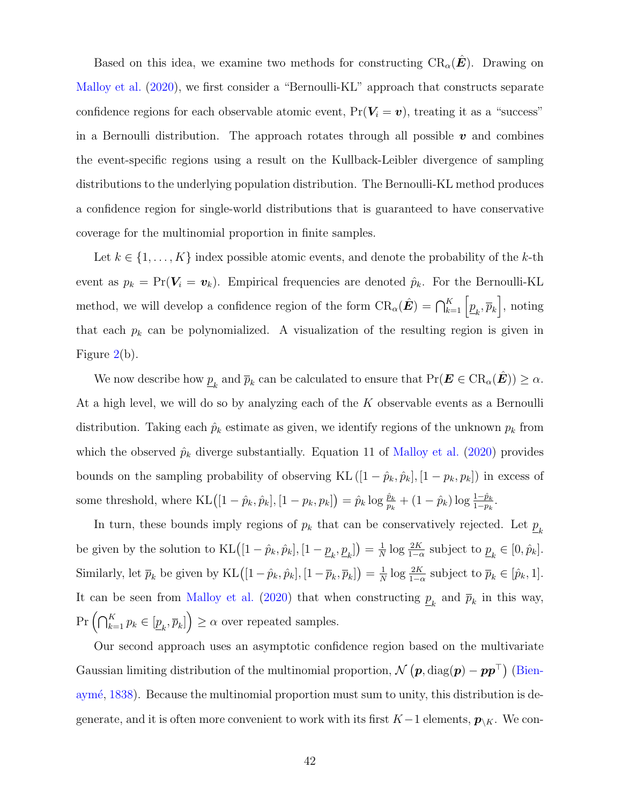Based on this idea, we examine two methods for constructing  $\text{CR}_\alpha(E)$ . Drawing on [Malloy et al.](#page-28-12) [\(2020\)](#page-28-12), we first consider a "Bernoulli-KL" approach that constructs separate confidence regions for each observable atomic event,  $Pr(V_i = v)$ , treating it as a "success" in a Bernoulli distribution. The approach rotates through all possible  $v$  and combines the event-specific regions using a result on the Kullback-Leibler divergence of sampling distributions to the underlying population distribution. The Bernoulli-KL method produces a confidence region for single-world distributions that is guaranteed to have conservative coverage for the multinomial proportion in finite samples.

Let  $k \in \{1, \ldots, K\}$  index possible atomic events, and denote the probability of the k-th event as  $p_k = Pr(V_i = v_k)$ . Empirical frequencies are denoted  $\hat{p}_k$ . For the Bernoulli-KL method, we will develop a confidence region of the form  $CR_\alpha(\hat{E}) = \bigcap_{k=1}^K \left[\underline{p}_k, \overline{p}_k\right]$ , noting that each  $p_k$  can be polynomialized. A visualization of the resulting region is given in Figure [2\(](#page-19-2)b).

We now describe how  $\underline{p}_k$  and  $\overline{p}_k$  can be calculated to ensure that  $\Pr(\boldsymbol{E} \in \operatorname{CR}_\alpha(\hat{\boldsymbol{E}})) \geq \alpha$ . At a high level, we will do so by analyzing each of the  $K$  observable events as a Bernoulli distribution. Taking each  $\hat{p}_k$  estimate as given, we identify regions of the unknown  $p_k$  from which the observed  $\hat{p}_k$  diverge substantially. Equation 11 of [Malloy et al.](#page-28-12) [\(2020\)](#page-28-12) provides bounds on the sampling probability of observing KL  $([1 - \hat{p}_k, \hat{p}_k], [1 - p_k, p_k])$  in excess of some threshold, where  $KL([1 - \hat{p}_k, \hat{p}_k], [1 - p_k, p_k]) = \hat{p}_k \log \frac{\hat{p}_k}{p_k} + (1 - \hat{p}_k) \log \frac{1 - \hat{p}_k}{1 - p_k}$ .

In turn, these bounds imply regions of  $p_k$  that can be conservatively rejected. Let  $\underline{p}_k$ be given by the solution to  $KL([1 - \hat{p}_k, \hat{p}_k], [1 - \underline{p}_k, \underline{p}_k]) = \frac{1}{N}$  $\frac{1}{N} \log \frac{2K}{1-\alpha}$  subject to  $\underline{p}_k \in [0, \hat{p}_k]$ . Similarly, let  $\bar{p}_k$  be given by KL $([1-\hat{p}_k, \hat{p}_k], [1-\overline{p}_k, \overline{p}_k]) = \frac{1}{N}$  $\frac{1}{N} \log \frac{2K}{1-\alpha}$  subject to  $\overline{p}_k \in [\hat{p}_k, 1].$ It can be seen from [Malloy et al.](#page-28-12) [\(2020\)](#page-28-12) that when constructing  $\underline{p}_k$  and  $\overline{p}_k$  in this way,  $Pr\left(\bigcap_{k=1}^K p_k \in [\underline{p}_k, \overline{p}_k]\right) \ge \alpha$  over repeated samples.

Our second approach uses an asymptotic confidence region based on the multivariate Gaussian limiting distribution of the multinomial proportion,  $\mathcal{N}(\bm{p}, \text{diag}(\bm{p}) - \bm{p}\bm{p}^{\top})$  [\(Bien-](#page-27-9)aymé, [1838\)](#page-27-9). Because the multinomial proportion must sum to unity, this distribution is degenerate, and it is often more convenient to work with its first  $K-1$  elements,  $p_{\setminus K}$ . We con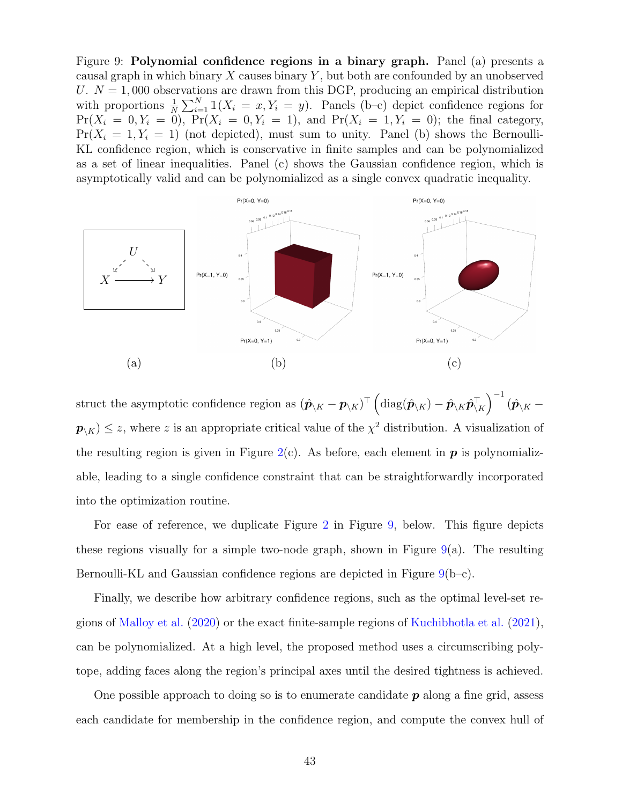<span id="page-44-0"></span>Figure 9: Polynomial confidence regions in a binary graph. Panel (a) presents a causal graph in which binary X causes binary Y , but both are confounded by an unobserved U.  $N = 1,000$  observations are drawn from this DGP, producing an empirical distribution with proportions  $\frac{1}{N} \sum_{i=1}^{N} \mathbb{1}(X_i = x, Y_i = y)$ . Panels (b-c) depict confidence regions for  $Pr(X_i = 0, Y_i = 0)$ ,  $Pr(X_i = 0, Y_i = 1)$ , and  $Pr(X_i = 1, Y_i = 0)$ ; the final category,  $Pr(X_i = 1, Y_i = 1)$  (not depicted), must sum to unity. Panel (b) shows the Bernoulli-KL confidence region, which is conservative in finite samples and can be polynomialized as a set of linear inequalities. Panel (c) shows the Gaussian confidence region, which is asymptotically valid and can be polynomialized as a single convex quadratic inequality.



struct the asymptotic confidence region as  $(\hat{\pmb{p}}_{\backslash K} - \pmb{p}_{\backslash K})^{\top} \left(\mathrm{diag}(\hat{\pmb{p}}_{\backslash K}) - \hat{\pmb{p}}_{\backslash K} \hat{\pmb{p}}_{\backslash K}^{\top}\right)^{-1} (\hat{\pmb{p}}_{\backslash K}$  $p_{\setminus K}$   $\leq$  z, where z is an appropriate critical value of the  $\chi^2$  distribution. A visualization of the resulting region is given in Figure [2\(](#page-19-2)c). As before, each element in  $p$  is polynomializable, leading to a single confidence constraint that can be straightforwardly incorporated into the optimization routine.

For ease of reference, we duplicate Figure [2](#page-19-2) in Figure [9,](#page-44-0) below. This figure depicts these regions visually for a simple two-node graph, shown in Figure  $9(a)$  $9(a)$ . The resulting Bernoulli-KL and Gaussian confidence regions are depicted in Figure [9\(](#page-44-0)b–c).

Finally, we describe how arbitrary confidence regions, such as the optimal level-set regions of [Malloy et al.](#page-28-12) [\(2020\)](#page-28-12) or the exact finite-sample regions of [Kuchibhotla et al.](#page-28-14) [\(2021\)](#page-28-14), can be polynomialized. At a high level, the proposed method uses a circumscribing polytope, adding faces along the region's principal axes until the desired tightness is achieved.

One possible approach to doing so is to enumerate candidate  $p$  along a fine grid, assess each candidate for membership in the confidence region, and compute the convex hull of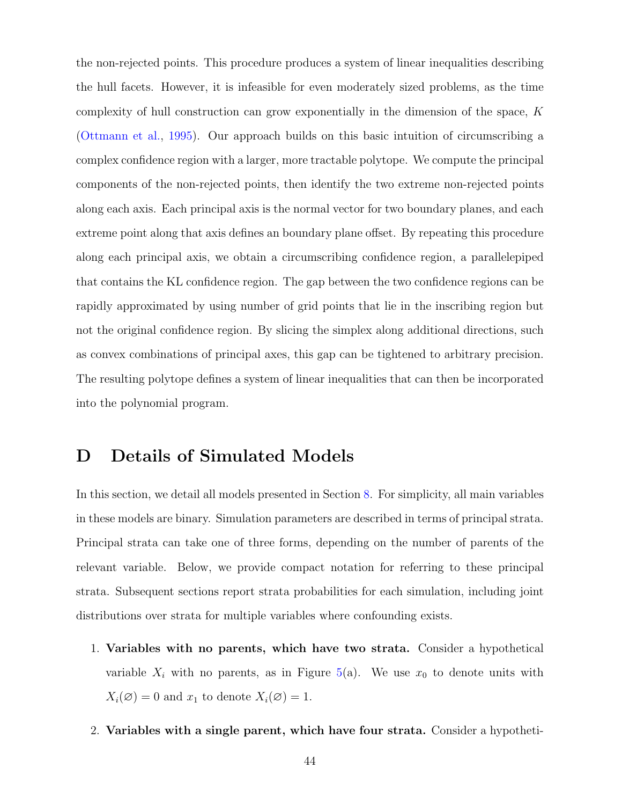the non-rejected points. This procedure produces a system of linear inequalities describing the hull facets. However, it is infeasible for even moderately sized problems, as the time complexity of hull construction can grow exponentially in the dimension of the space,  $K$ [\(Ottmann et al.,](#page-29-15) [1995\)](#page-29-15). Our approach builds on this basic intuition of circumscribing a complex confidence region with a larger, more tractable polytope. We compute the principal components of the non-rejected points, then identify the two extreme non-rejected points along each axis. Each principal axis is the normal vector for two boundary planes, and each extreme point along that axis defines an boundary plane offset. By repeating this procedure along each principal axis, we obtain a circumscribing confidence region, a parallelepiped that contains the KL confidence region. The gap between the two confidence regions can be rapidly approximated by using number of grid points that lie in the inscribing region but not the original confidence region. By slicing the simplex along additional directions, such as convex combinations of principal axes, this gap can be tightened to arbitrary precision. The resulting polytope defines a system of linear inequalities that can then be incorporated into the polynomial program.

# <span id="page-45-0"></span>D Details of Simulated Models

In this section, we detail all models presented in Section [8.](#page-19-0) For simplicity, all main variables in these models are binary. Simulation parameters are described in terms of principal strata. Principal strata can take one of three forms, depending on the number of parents of the relevant variable. Below, we provide compact notation for referring to these principal strata. Subsequent sections report strata probabilities for each simulation, including joint distributions over strata for multiple variables where confounding exists.

- 1. Variables with no parents, which have two strata. Consider a hypothetical variable  $X_i$  with no parents, as in Figure [5\(](#page-24-0)a). We use  $x_0$  to denote units with  $X_i(\emptyset) = 0$  and  $x_1$  to denote  $X_i(\emptyset) = 1$ .
- 2. Variables with a single parent, which have four strata. Consider a hypotheti-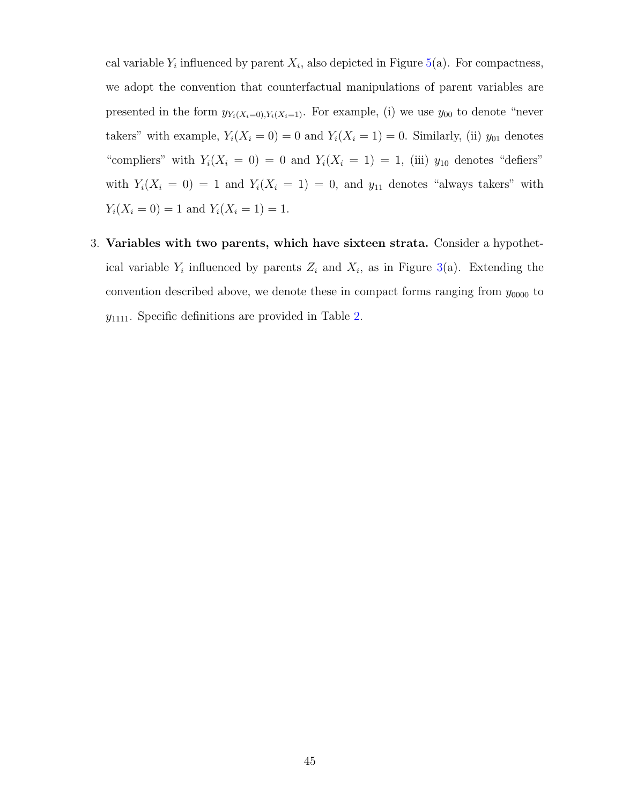cal variable  $Y_i$  influenced by parent  $X_i$ , also depicted in Figure [5\(](#page-24-0)a). For compactness, we adopt the convention that counterfactual manipulations of parent variables are presented in the form  $y_{Y_i(X_i=0),Y_i(X_i=1)}$ . For example, (i) we use  $y_{00}$  to denote "never takers" with example,  $Y_i(X_i = 0) = 0$  and  $Y_i(X_i = 1) = 0$ . Similarly, (ii)  $y_{01}$  denotes "compliers" with  $Y_i(X_i = 0) = 0$  and  $Y_i(X_i = 1) = 1$ , (iii)  $y_{10}$  denotes "defiers" with  $Y_i(X_i = 0) = 1$  and  $Y_i(X_i = 1) = 0$ , and  $y_{11}$  denotes "always takers" with  $Y_i(X_i = 0) = 1$  and  $Y_i(X_i = 1) = 1$ .

3. Variables with two parents, which have sixteen strata. Consider a hypothetical variable  $Y_i$  influenced by parents  $Z_i$  and  $X_i$ , as in Figure [3\(](#page-20-0)a). Extending the convention described above, we denote these in compact forms ranging from  $y_{0000}$  to  $y_{1111}$ . Specific definitions are provided in Table [2.](#page-47-0)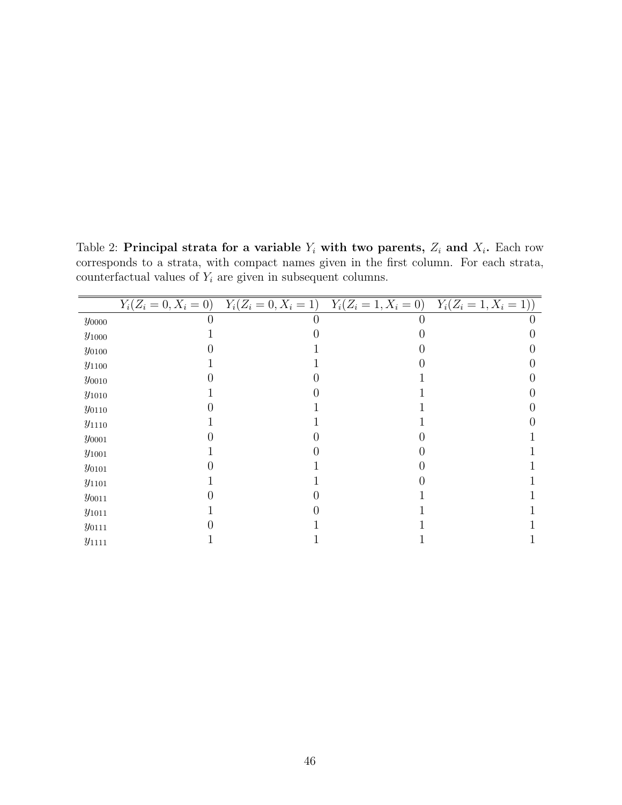<span id="page-47-0"></span>Table 2: Principal strata for a variable  $Y_i$  with two parents,  $Z_i$  and  $X_i$ . Each row corresponds to a strata, with compact names given in the first column. For each strata, counterfactual values of  $Y_i$  are given in subsequent columns.

|                |  | $Y_i(Z_i = 0, X_i = 0)$ $Y_i(Z_i = 0, X_i = 1)$ $Y_i(Z_i = 1, X_i = 0)$ $Y_i(Z_i = 1, X_i = 1))$ |
|----------------|--|--------------------------------------------------------------------------------------------------|
| $y_{0000}$     |  |                                                                                                  |
| $y_{\rm 1000}$ |  |                                                                                                  |
| $y_{0100}$     |  |                                                                                                  |
| $y_{1100}$     |  |                                                                                                  |
| $y_{0010}$     |  |                                                                                                  |
| $y_{1010}$     |  |                                                                                                  |
| $y_{0110}$     |  |                                                                                                  |
| $y_{1110}$     |  |                                                                                                  |
| $y_{0001}$     |  |                                                                                                  |
| $y_{\rm 1001}$ |  |                                                                                                  |
| $y_{0101}$     |  |                                                                                                  |
| $y_{1101}$     |  |                                                                                                  |
| $y_{0011}$     |  |                                                                                                  |
| $y_{\rm 1011}$ |  |                                                                                                  |
| $y_{0111}$     |  |                                                                                                  |
| $y_{1111}$     |  |                                                                                                  |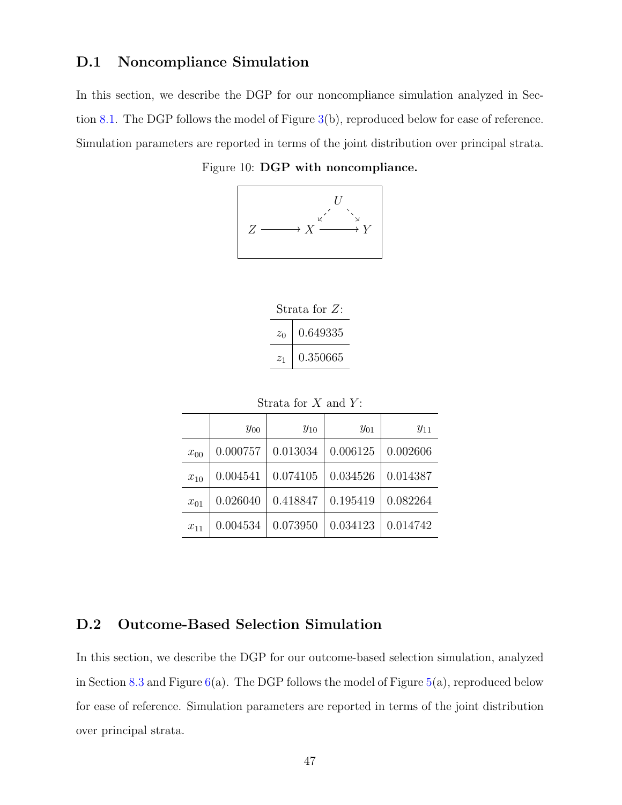### <span id="page-48-0"></span>D.1 Noncompliance Simulation

In this section, we describe the DGP for our noncompliance simulation analyzed in Section [8.1.](#page-19-1) The DGP follows the model of Figure [3\(](#page-20-0)b), reproduced below for ease of reference. Simulation parameters are reported in terms of the joint distribution over principal strata.

Figure 10: DGP with noncompliance.





Strata for  $X$  and  $Y$ :

|          | $y_{00}$ | $y_{10}$ | $y_{01}$ | $y_{11}$ |
|----------|----------|----------|----------|----------|
| $x_{00}$ | 0.000757 | 0.013034 | 0.006125 | 0.002606 |
| $x_{10}$ | 0.004541 | 0.074105 | 0.034526 | 0.014387 |
| $x_{01}$ | 0.026040 | 0.418847 | 0.195419 | 0.082264 |
| $x_{11}$ | 0.004534 | 0.073950 | 0.034123 | 0.014742 |

### <span id="page-48-1"></span>D.2 Outcome-Based Selection Simulation

In this section, we describe the DGP for our outcome-based selection simulation, analyzed in Section [8.3](#page-22-0) and Figure  $6(a)$  $6(a)$ . The DGP follows the model of Figure  $5(a)$  $5(a)$ , reproduced below for ease of reference. Simulation parameters are reported in terms of the joint distribution over principal strata.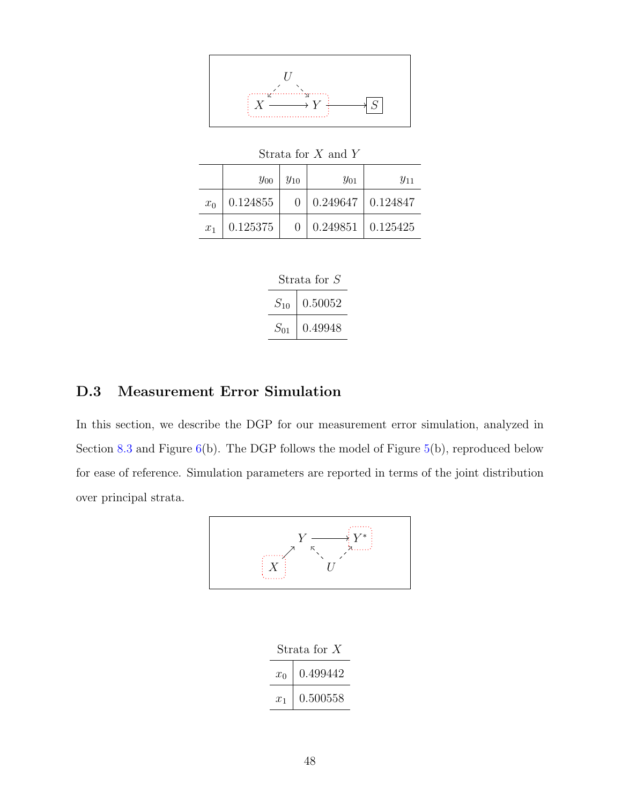

Strata for  $X$  and  $Y$  $y_{00} \mid y_{10} \mid$   $y_{01} \mid$   $y_{11}$  $x_0$  0.124855 0 0.249647 0.124847  $x_1$  | 0.125375 | 0 | 0.249851 | 0.125425

| Strata for S |         |
|--------------|---------|
| $S_{10}$     | 0.50052 |
| $S_{01}$     | 0.49948 |

# <span id="page-49-0"></span>D.3 Measurement Error Simulation

In this section, we describe the DGP for our measurement error simulation, analyzed in Section [8.3](#page-22-0) and Figure  $6(b)$  $6(b)$ . The DGP follows the model of Figure  $5(b)$  $5(b)$ , reproduced below for ease of reference. Simulation parameters are reported in terms of the joint distribution over principal strata.



| Strata for $X$ |          |  |
|----------------|----------|--|
| $x_0$          | 0.499442 |  |
| $x_1$          | 0.500558 |  |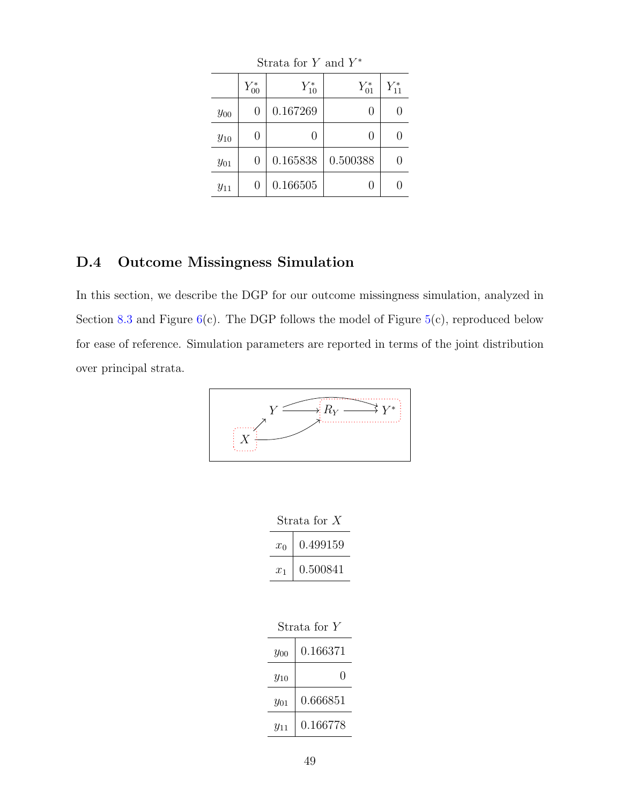| puata ivi 1 anu 1 |                  |            |            |            |
|-------------------|------------------|------------|------------|------------|
|                   | $Y_{00}^*$       | $Y_{10}^*$ | $Y_{01}^*$ | $Y_{11}^*$ |
| $y_{00}$          | 0                | 0.167269   |            |            |
| $y_{10}$          | $\left( \right)$ | 0          |            |            |
| $y_{01}$          | 0                | 0.165838   | 0.500388   |            |
| $y_{11}$          | 0                | 0.166505   |            |            |

Strata for  $Y$  and  $Y^*$ 

### <span id="page-50-0"></span>D.4 Outcome Missingness Simulation

In this section, we describe the DGP for our outcome missingness simulation, analyzed in Section [8.3](#page-22-0) and Figure  $6(c)$  $6(c)$ . The DGP follows the model of Figure  $5(c)$  $5(c)$ , reproduced below for ease of reference. Simulation parameters are reported in terms of the joint distribution over principal strata.



| Strata for $X$ |          |  |
|----------------|----------|--|
| $x_0$          | 0.499159 |  |
| $x_1$          | 0.500841 |  |

| Strata for Y |          |  |
|--------------|----------|--|
| $y_{00}$     | 0.166371 |  |
| $y_{10}$     |          |  |
| $y_{01}$     | 0.666851 |  |
| $y_{11}$     | 0.166778 |  |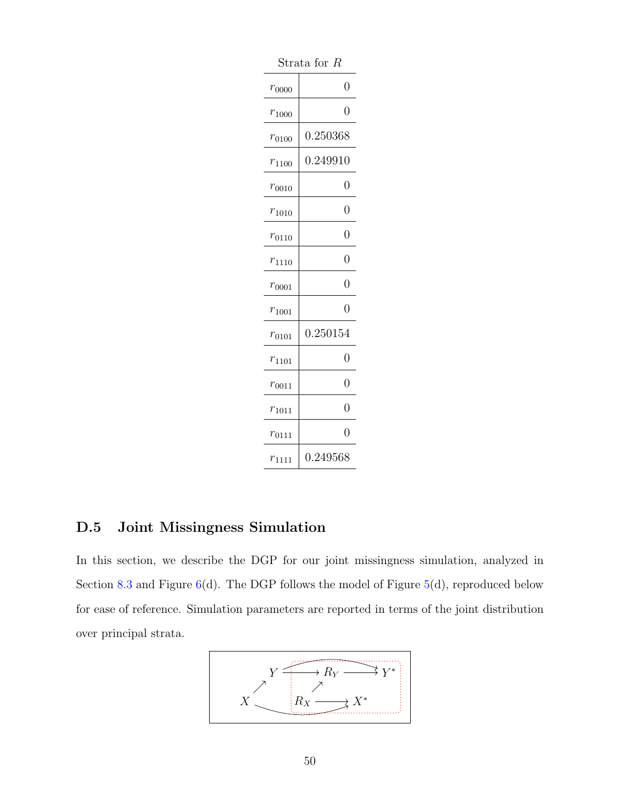| puata ioi<br>Îι |                  |  |
|-----------------|------------------|--|
| $r_{0000}$      | $\overline{0}$   |  |
| $r_{1000}$      | 0                |  |
| $r_{0100}$      | 0.250368         |  |
| $r_{1100}$      | 0.249910         |  |
| $r_{0010}$      | $\overline{0}$   |  |
| $r_{1010}$      | 0                |  |
| $r_{0110}$      | 0                |  |
| $r_{1110}$      | 0                |  |
| $r_{0001}$      | 0                |  |
| $r_{1001}$      | $\overline{0}$   |  |
| $r_{0101}$      | $\; 0.250154 \;$ |  |
| $r_{1101}$      | 0                |  |
| $r_{0011}$      | $\overline{0}$   |  |
| $r_{1011}$      | $\overline{0}$   |  |
| $r_{0111}$      | 0                |  |
| $r_{1111}$      | 0.249568         |  |

Strata for R

### <span id="page-51-0"></span>D.5 Joint Missingness Simulation

In this section, we describe the DGP for our joint missingness simulation, analyzed in Section [8.3](#page-22-0) and Figure  $6(d)$  $6(d)$ . The DGP follows the model of Figure  $5(d)$  $5(d)$ , reproduced below for ease of reference. Simulation parameters are reported in terms of the joint distribution over principal strata.